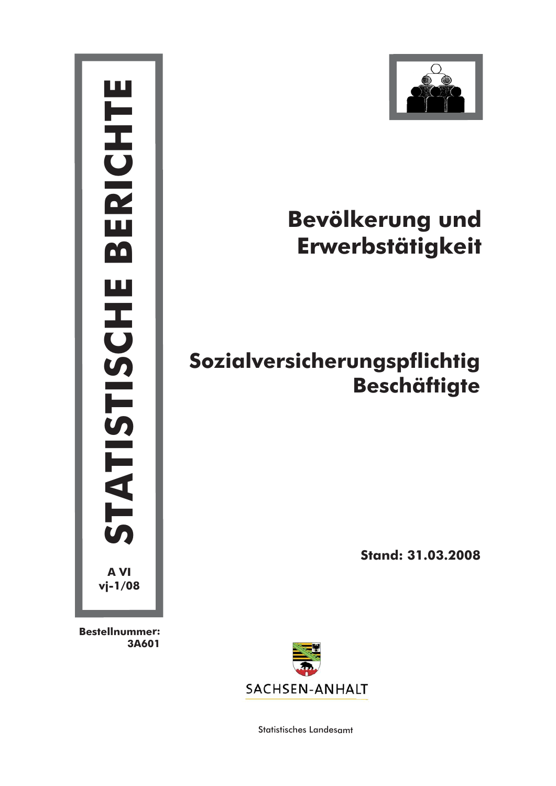

**Bestellnummer: 3A601**



# **Bevölkerung und Erwerbstätigkeit**

## **Sozialversicherungspflichtig Beschäftigte**

**Stand: 31.03.2008**



Statistisches Landesamt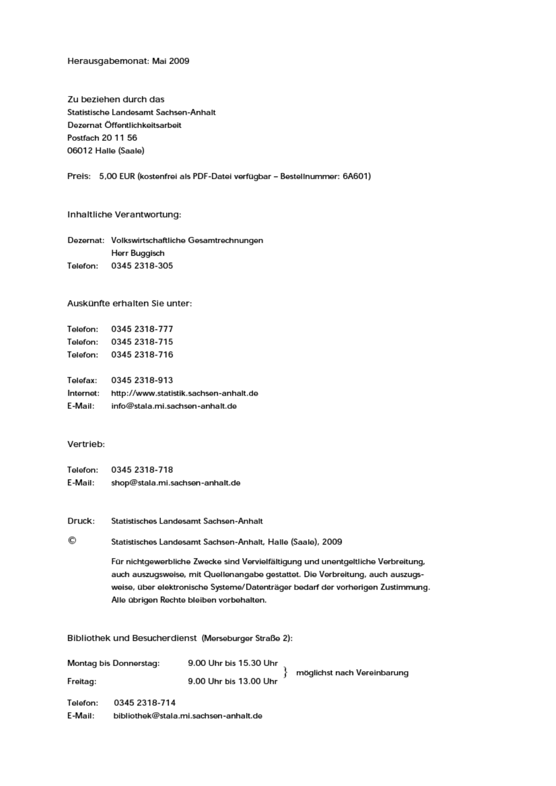#### Herausgabemonat: Mai 2009

Zu beziehen durch das Statistische Landesamt Sachsen-Anhalt Dezernat Öffentlichkeitsarbeit Postfach 20 11 56 06012 Halle (Saale)

Preis: 5,00 EUR (kostenfrei als PDF-Datei verfügbar – Bestellnummer: 6A601)

#### Inhaltliche Verantwortung:

Dezernat: Volkswirtschaftliche Gesamtrechnungen Herr Buggisch Telefon: 0345 2318-305

#### Auskünfte erhalten Sie unter:

| Telefon: 0345 2318-777 |  |
|------------------------|--|
| Telefon: 0345 2318-715 |  |
| Telefon: 0345 2318-716 |  |
| Telefax: 0345 2318-913 |  |

Internet: http://www.statistik.sachsen-anhalt.de E-Mail: info@stala.mi.sachsen-anhalt.de

#### Vertrieb:

Telefon: 0345 2318-718 E-Mail: shop@stala.mi.sachsen-anhalt.de

Druck: Statistisches Landesamt Sachsen-Anhalt

#### Statistisches Landesamt Sachsen-Anhalt, Halle (Saale), 2009

Für nichtgewerbliche Zwecke sind Vervielfältigung und unentgeltliche Verbreitung, auch auszugsweise, mit Quellenangabe gestattet. Die Verbreitung, auch auszugsweise, über elektronische Systeme/Datenträger bedarf der vorherigen Zustimmung. Alle übrigen Rechte bleiben vorbehalten.

Bibliothek und Besucherdienst (Merseburger Straße 2):

| Montag bis Donnerstag: |               | 9.00 Uhr bis 15.30 Uhr                |                             |
|------------------------|---------------|---------------------------------------|-----------------------------|
| Freitag:               |               | 9.00 Uhr bis 13.00 Uhr                | möglichst nach Vereinbarung |
| Telefon:               | 0345 2318-714 |                                       |                             |
| E-Mail:                |               | bibliothek@stala.mi.sachsen-anhalt.de |                             |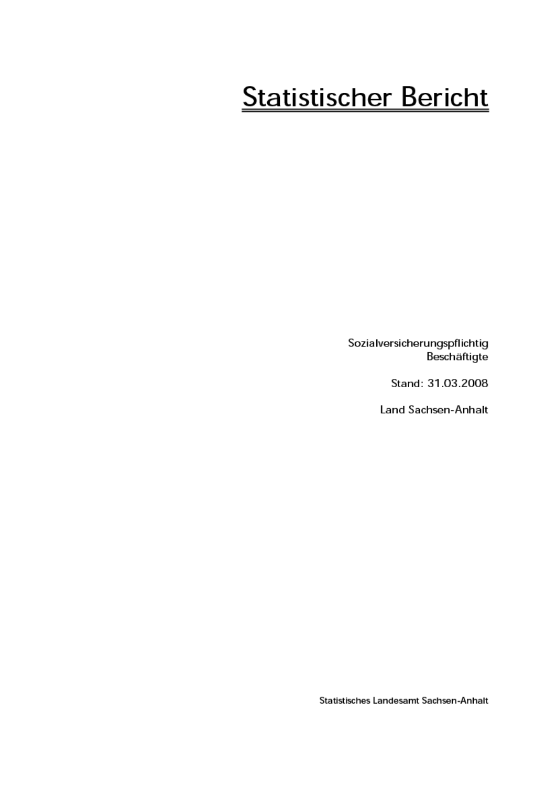# **Statistischer Bericht**

Sozialversicherungspflichtig Beschäftigte

Stand: 31.03.2008

Land Sachsen-Anhalt

Statistisches Landesamt Sachsen-Anhalt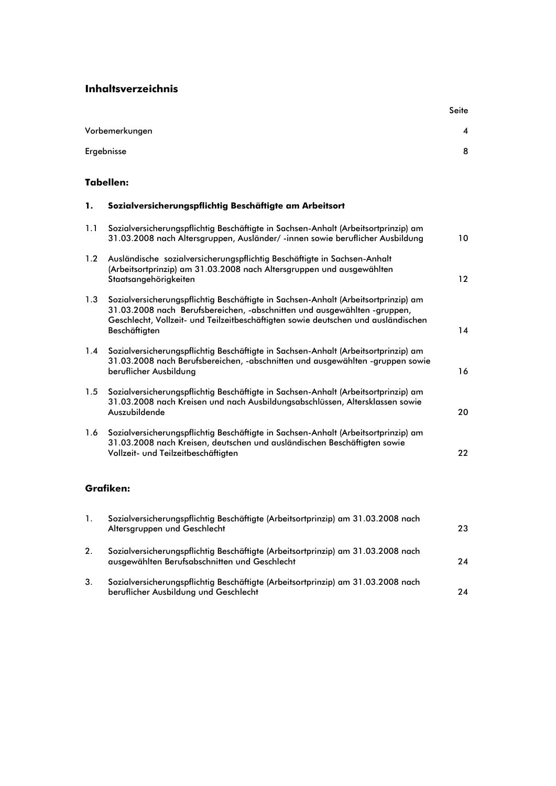### **Inhaltsverzeichnis**

|     | Vorbemerkungen                                                                                                                                                                                                                                                       | 4  |
|-----|----------------------------------------------------------------------------------------------------------------------------------------------------------------------------------------------------------------------------------------------------------------------|----|
|     | Ergebnisse                                                                                                                                                                                                                                                           | 8  |
|     | Tabellen:                                                                                                                                                                                                                                                            |    |
| 1.  | Sozialversicherungspflichtig Beschäftigte am Arbeitsort                                                                                                                                                                                                              |    |
| 1.1 | Sozialversicherungspflichtig Beschäftigte in Sachsen-Anhalt (Arbeitsortprinzip) am<br>31.03.2008 nach Altersgruppen, Ausländer/-innen sowie beruflicher Ausbildung                                                                                                   | 10 |
| 1.2 | Ausländische sozialversicherungspflichtig Beschäftigte in Sachsen-Anhalt<br>(Arbeitsortprinzip) am 31.03.2008 nach Altersgruppen und ausgewählten<br>Staatsangehörigkeiten                                                                                           | 12 |
| 1.3 | Sozialversicherungspflichtig Beschäftigte in Sachsen-Anhalt (Arbeitsortprinzip) am<br>31.03.2008 nach Berufsbereichen, -abschnitten und ausgewählten -gruppen,<br>Geschlecht, Vollzeit- und Teilzeitbeschäftigten sowie deutschen und ausländischen<br>Beschäftigten | 14 |
| 1.4 | Sozialversicherungspflichtig Beschäftigte in Sachsen-Anhalt (Arbeitsortprinzip) am<br>31.03.2008 nach Berufsbereichen, -abschnitten und ausgewählten -gruppen sowie<br>beruflicher Ausbildung                                                                        | 16 |
| 1.5 | Sozialversicherungspflichtig Beschäftigte in Sachsen-Anhalt (Arbeitsortprinzip) am<br>31.03.2008 nach Kreisen und nach Ausbildungsabschlüssen, Altersklassen sowie<br>Auszubildende                                                                                  | 20 |
| 1.6 | Sozialversicherungspflichtig Beschäftigte in Sachsen-Anhalt (Arbeitsortprinzip) am<br>31.03.2008 nach Kreisen, deutschen und ausländischen Beschäftigten sowie<br>Vollzeit- und Teilzeitbeschäftigten                                                                | 22 |
|     | Grafiken:                                                                                                                                                                                                                                                            |    |
|     |                                                                                                                                                                                                                                                                      |    |

| $\mathbf{1}$ . | Sozialversicherungspflichtig Beschäftigte (Arbeitsortprinzip) am 31.03.2008 nach<br>Altersgruppen und Geschlecht                  | 23 |
|----------------|-----------------------------------------------------------------------------------------------------------------------------------|----|
| 2.             | Sozialversicherungspflichtig Beschäftigte (Arbeitsortprinzip) am 31.03.2008 nach<br>ausgewählten Berufsabschnitten und Geschlecht | 24 |
| 3.             | Sozialversicherungspflichtig Beschäftigte (Arbeitsortprinzip) am 31.03.2008 nach<br>beruflicher Ausbildung und Geschlecht         | 24 |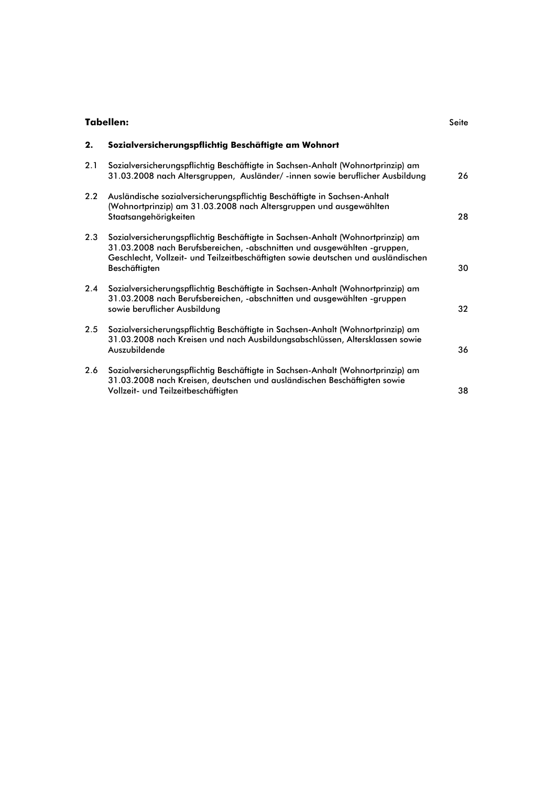| Tabellen: |  |  |
|-----------|--|--|
|           |  |  |

| 2.  | Sozialversicherungspflichtig Beschäftigte am Wohnort                                                                                                                                                                                                              |    |
|-----|-------------------------------------------------------------------------------------------------------------------------------------------------------------------------------------------------------------------------------------------------------------------|----|
| 2.1 | Sozialversicherungspflichtig Beschäftigte in Sachsen-Anhalt (Wohnortprinzip) am<br>31.03.2008 nach Altersgruppen, Ausländer/-innen sowie beruflicher Ausbildung                                                                                                   | 26 |
| 2.2 | Ausländische sozialversicherungspflichtig Beschäftigte in Sachsen-Anhalt<br>(Wohnortprinzip) am 31.03.2008 nach Altersgruppen und ausgewählten<br>Staatsangehörigkeiten                                                                                           | 28 |
| 2.3 | Sozialversicherungspflichtig Beschäftigte in Sachsen-Anhalt (Wohnortprinzip) am<br>31.03.2008 nach Berufsbereichen, -abschnitten und ausgewählten -gruppen,<br>Geschlecht, Vollzeit- und Teilzeitbeschäftigten sowie deutschen und ausländischen<br>Beschäftigten | 30 |
| 2.4 | Sozialversicherungspflichtig Beschäftigte in Sachsen-Anhalt (Wohnortprinzip) am<br>31.03.2008 nach Berufsbereichen, -abschnitten und ausgewählten -gruppen<br>sowie beruflicher Ausbildung                                                                        | 32 |
| 2.5 | Sozialversicherungspflichtig Beschäftigte in Sachsen-Anhalt (Wohnortprinzip) am<br>31.03.2008 nach Kreisen und nach Ausbildungsabschlüssen, Altersklassen sowie<br>Auszubildende                                                                                  | 36 |
| 2.6 | Sozialversicherungspflichtig Beschäftigte in Sachsen-Anhalt (Wohnortprinzip) am<br>31.03.2008 nach Kreisen, deutschen und ausländischen Beschäftigten sowie<br>Vollzeit- und Teilzeitbeschäftigten                                                                | 38 |

Seite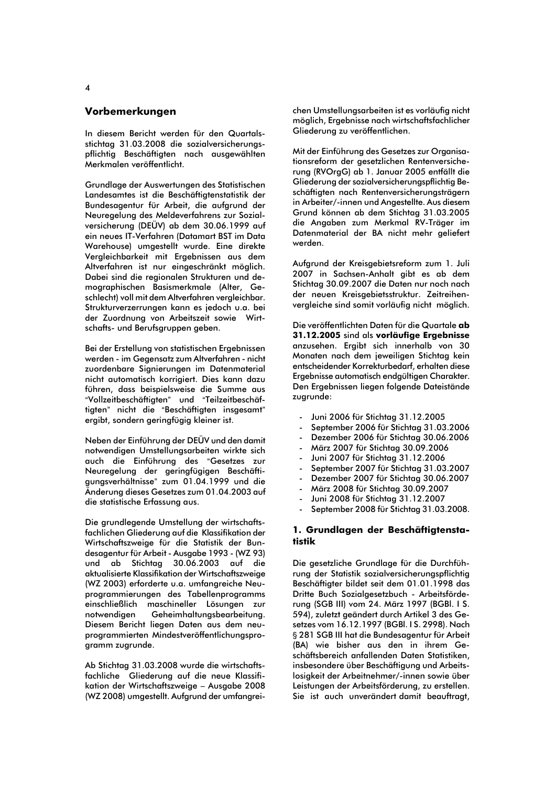#### Vorbemerkungen

In diesem Bericht werden für den Quartalsstichtag 31.03.2008 die sozialversicherungspflichtig Beschäftigten nach ausgewählten Merkmalen veröffentlicht.

Grundlage der Auswertungen des Statistischen Landesamtes ist die Beschäftigtenstatistik der Bundesagentur für Arbeit, die aufgrund der Neuregelung des Meldeverfahrens zur Sozialversicherung (DEÜV) ab dem 30.06.1999 auf ein neues IT-Verfahren (Datamart BST im Data Warehouse) umgestellt wurde. Eine direkte Vergleichbarkeit mit Ergebnissen aus dem Altverfahren ist nur eingeschränkt möglich. Dabei sind die regionalen Strukturen und demographischen Basismerkmale (Alter, Geschlecht) voll mit dem Altverfahren vergleichbar. Strukturverzerrungen kann es jedoch u.a. bei der Zuordnung von Arbeitszeit sowie Wirtschafts- und Berufsgruppen geben.

Bei der Erstellung von statistischen Ergebnissen werden - im Gegensatz zum Altverfahren - nicht zuordenbare Signierungen im Datenmaterial nicht automatisch korrigiert. Dies kann dazu führen, dass beispielsweise die Summe aus "Vollzeitbeschäftigten" und "Teilzeitbeschäftigten" nicht die "Beschäftigten insgesamt" ergibt, sondern geringfügig kleiner ist.

Neben der Einführung der DEÜV und den damit notwendigen Umstellungsarbeiten wirkte sich auch die Einführung des "Gesetzes zur Neuregelung der geringfügigen Beschäfti-<br>gungsverhältnisse" zum 01.04.1999 und die Änderung dieses Gesetzes zum 01.04.2003 auf die statistische Erfassung aus.

Die grundlegende Umstellung der wirtschaftsfachlichen Gliederung auf die Klassifikation der Wirtschaftszweige für die Statistik der Bundesagentur für Arbeit - Ausgabe 1993 - (WZ 93) und ab Stichtag 30.06.2003 auf die aktualisierte Klassifikation der Wirtschaftszweige (WZ 2003) erforderte u.a. umfangreiche Neuprogrammierungen des Tabellenprogramms einschließlich maschineller Lösungen zur notwendigen Geheimhaltungsbearbeitung. Diesem Bericht liegen Daten aus dem neuprogrammierten Mindestveröffentlichungsprogramm zugrunde.

Ab Stichtag 31.03.2008 wurde die wirtschaftsfachliche Gliederung auf die neue Klassifikation der Wirtschaftszweige - Ausgabe 2008 (WZ 2008) umgestellt. Aufgrund der umfangreichen Umstellungsarbeiten ist es vorläufig nicht möglich. Ergebnisse nach wirtschaftsfachlicher Gliederung zu veröffentlichen.

Mit der Einführung des Gesetzes zur Organisationsreform der gesetzlichen Rentenversicherung (RVOrgG) ab 1. Januar 2005 entfällt die Gliederung der sozialversicherungspflichtig Beschäftigten nach Rentenversicherungsträgern in Arbeiter/-innen und Angestellte. Aus diesem Grund können ab dem Stichtag 31.03.2005 die Anaaben zum Merkmal RV-Träger im Datenmaterial der BA nicht mehr geliefert werden.

Aufgrund der Kreisgebietsreform zum 1. Juli 2007 in Sachsen-Anhalt gibt es ab dem Stichtag 30.09.2007 die Daten nur noch nach der neuen Kreisgebietsstruktur. Zeitreihenvergleiche sind somit vorläufig nicht möglich.

Die veröffentlichten Daten für die Quartale ab 31.12.2005 sind als vorläufige Ergebnisse anzusehen. Ergibt sich innerhalb von 30 Monaten nach dem jeweiligen Stichtag kein entscheidender Korrekturbedarf, erhalten diese Ergebnisse automatisch endgültigen Charakter. Den Ergebnissen liegen folgende Dateistände zugrunde:

- Juni 2006 für Stichtag 31.12.2005
- September 2006 für Stichtag 31.03.2006
- Dezember 2006 für Stichtag 30.06.2006
- März 2007 für Stichtag 30.09.2006
- Juni 2007 für Stichtag 31.12.2006
- September 2007 für Stichtag 31.03.2007
- Dezember 2007 für Stichtag 30.06.2007
- März 2008 für Stichtag 30.09.2007
- Juni 2008 für Stichtag 31.12.2007
- September 2008 für Stichtag 31.03.2008.  $\overline{a}$

#### 1. Grundlagen der Beschäftigtensta**tistik**

Die gesetzliche Grundlage für die Durchführung der Statistik sozialversicherungspflichtig Beschäftigter bildet seit dem 01.01.1998 das Dritte Buch Sozialgesetzbuch - Arbeitsförderung (SGB III) vom 24. März 1997 (BGBI. I S. 594), zuletzt geändert durch Artikel 3 des Gesetzes vom 16.12.1997 (BGBI.1S. 2998). Nach § 281 SGB III hat die Bundesagentur für Arbeit (BA) wie bisher aus den in ihrem Geschäftsbereich anfallenden Daten Statistiken. insbesondere über Beschäftigung und Arbeitslosigkeit der Arbeitnehmer/-innen sowie über Leistungen der Arbeitsförderung, zu erstellen. Sie ist auch unverändert damit beauftragt,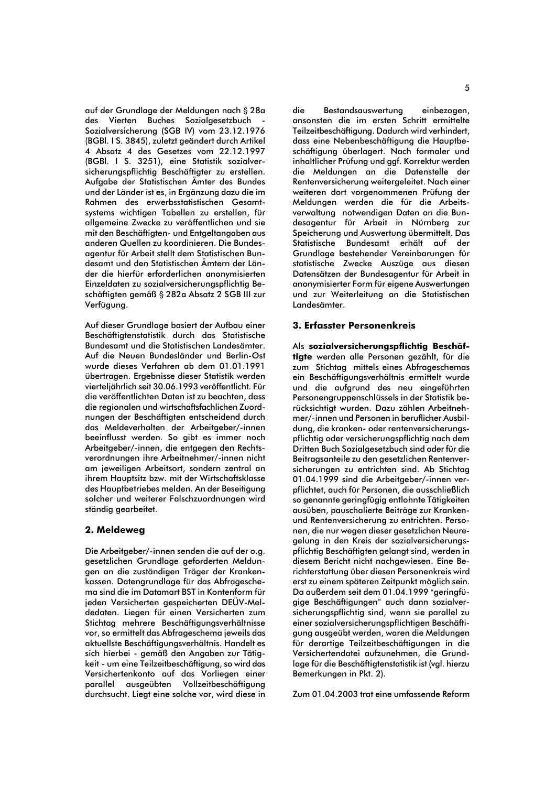auf der Grundlage der Meldungen nach § 28a des Vierten Buches Sozialaesetzbuch Sozialversicherung (SGB IV) vom 23.12.1976 (BGBI. I S. 3845), zuletzt geändert durch Artikel 4 Absatz 4 des Gesetzes vom 22.12.1997 (BGBI. I S. 3251), eine Statistik sozialversicherungspflichtig Beschäftigter zu erstellen. Aufgabe der Statistischen Ämter des Bundes und der Länder ist es, in Ergänzung dazu die im Rahmen des erwerbsstatistischen Gesamtsystems wichtigen Tabellen zu erstellen. für allaemeine Zwecke zu veröffentlichen und sie mit den Beschäftigten- und Entgeltangaben aus anderen Quellen zu koordinieren. Die Bundesagentur für Arbeit stellt dem Statistischen Bundesamt und den Statistischen Ämtern der Länder die hierfür erforderlichen anonymisierten Einzeldaten zu sozialversicherungspflichtig Beschäftigten gemäß § 282a Absatz 2 SGB III zur Verfügung.

Auf dieser Grundlage basiert der Aufbau einer Beschäftigtenstatistik durch das Statistische Bundesamt und die Statistischen Landesämter. Auf die Neuen Bundesländer und Berlin-Ost wurde dieses Verfahren ab dem 01.01.1991 übertragen. Ergebnisse dieser Statistik werden vierteljährlich seit 30.06.1993 veröffentlicht. Für die veröffentlichten Daten ist zu beachten, dass die regionalen und wirtschaftsfachlichen Zuordnungen der Beschäftigten entscheidend durch das Meldeverhalten der Arbeitaeber/-innen beeinflusst werden. So aibt es immer noch Arbeitgeber/-innen, die entgegen den Rechtsverordnungen ihre Arbeitnehmer/-innen nicht am jeweiligen Arbeitsort, sondern zentral an ihrem Hauptsitz bzw. mit der Wirtschaftsklasse des Hauptbetriebes melden. An der Beseitigung solcher und weiterer Falschzuordnungen wird ständig gearbeitet.

#### 2. Meldeweg

Die Arbeitgeber/-innen senden die auf der o.g. gesetzlichen Grundlage geforderten Meldungen an die zuständigen Träger der Krankenkassen. Datenarundlage für das Abfrageschema sind die im Datamart BST in Kontenform für jeden Versicherten gespeicherten DEÜV-Meldedaten. Liegen für einen Versicherten zum Stichtag mehrere Beschäftigungsverhältnisse vor, so ermittelt das Abfrageschema jeweils das aktuellste Beschäftigungsverhältnis. Handelt es sich hierbei - gemäß den Angaben zur Tätigkeit - um eine Teilzeitbeschäftigung, so wird das Versichertenkonto auf das Vorliegen einer Vollzeitbeschäftiauna parallel ausgeübten durchsucht. Liegt eine solche vor, wird diese in

die Bestandsauswertung einbezogen. ansonsten die im ersten Schritt ermittelte Teilzeitbeschäftigung. Dadurch wird verhindert, dass eine Nebenbeschäftigung die Hauptbeschäftigung überlagert. Nach formaler und inhaltlicher Prüfung und gaf. Korrektur werden die Meldungen an die Datenstelle der Rentenversicherung weitergeleitet. Nach einer weiteren dort vorgenommenen Prüfung der Meldungen werden die für die Arbeitsverwaltung notwendigen Daten an die Bundesagentur für Arbeit in Nürnberg zur Speicherung und Auswertung übermittelt. Das Statistische Bundesamt erhält auf der Grundlage bestehender Vereinbarungen für statistische Zwecke Auszüge aus diesen Datensätzen der Bundesagentur für Arbeit in anonymisierter Form für eigene Auswertungen und zur Weiterleitung an die Statistischen I andesämter

#### 3. Erfasster Personenkreis

Als sozialversicherungspflichtig Beschäftigte werden alle Personen gezählt, für die zum Stichtag mittels eines Abfrageschemas ein Beschäftigungsverhältnis ermittelt wurde und die aufgrund des neu eingeführten Personengruppenschlüssels in der Statistik berücksichtigt wurden. Dazu zählen Arbeitnehmer/-innen und Personen in beruflicher Ausbilduna, die kranken- oder rentenversicherunaspflichtig oder versicherungspflichtig nach dem Dritten Buch Sozialaesetzbuch sind oder für die Beitragsanteile zu den gesetzlichen Rentenversicherungen zu entrichten sind. Ab Stichtag 01.04.1999 sind die Arbeitaeber/-innen verpflichtet, auch für Personen, die ausschließlich so genannte geringfügig entlohnte Tätigkeiten ausüben, pauschalierte Beiträge zur Krankenund Rentenversicherung zu entrichten. Personen, die nur wegen dieser gesetzlichen Neuregelung in den Kreis der sozialversicherungspflichtig Beschäftigten gelangt sind, werden in diesem Bericht nicht nachaewiesen. Eine Berichterstattung über diesen Personenkreis wird erst zu einem späteren Zeitpunkt möglich sein. Da außerdem seit dem 01.04.1999 "geringfügige Beschäftigungen" auch dann sozialversicherungspflichtig sind, wenn sie parallel zu einer sozialversicherungspflichtigen Beschäftigung ausgeübt werden, waren die Meldungen für derartige Teilzeitbeschäftigungen in die Versichertendatei aufzunehmen, die Grundlage für die Beschäftigtenstatistik ist (vgl. hierzu Bemerkungen in Pkt. 2).

Zum 01.04.2003 trat eine umfassende Reform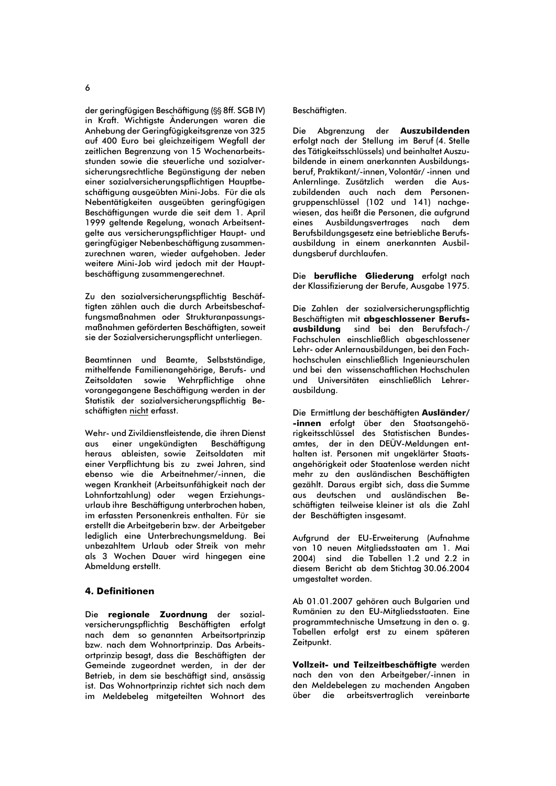$\overline{6}$ 

der geringfügigen Beschäftigung (SS 8ff. SGB IV) in Kraft. Wichtiaste Änderungen waren die Anhebung der Geringfügigkeitsgrenze von 325 auf 400 Euro bei gleichzeitigem Wegfall der zeitlichen Begrenzung von 15 Wochenarbeitsstunden sowie die steuerliche und sozialversicherungsrechtliche Begünstigung der neben einer sozialversicherungspflichtigen Hauptbeschäftigung ausgeübten Mini-Jobs. Für die als Nebentätiakeiten ausaeübten aerinafüajaen Beschäftigungen wurde die seit dem 1. April 1999 geltende Regelung, wonach Arbeitsentgelte aus versicherungspflichtiger Haupt- und geringfügiger Nebenbeschäftigung zusammenzurechnen waren, wieder aufgehoben. Jeder weitere Mini-Job wird jedoch mit der Hauptbeschäftigung zusammengerechnet.

Zu den sozialversicherungspflichtig Beschäftigten zählen auch die durch Arbeitsbeschaffungsmaßnahmen oder Strukturanpassungsmaßnahmen geförderten Beschäftigten, soweit sie der Sozialversicherungspflicht unterliegen.

Beamtinnen und Beamte, Selbstständige, mithelfende Familienangehörige, Berufs- und Zeitsoldaten sowie Wehrpflichtige ohne vorangegangene Beschäftigung werden in der Statistik der sozialversicherungspflichtig Beschäftigten nicht erfasst.

Wehr- und Zivildienstleistende, die ihren Dienst einer ungekündigten Beschäftigung **aun** heraus ableisten, sowie Zeitsoldaten mit einer Verpflichtung bis zu zwei Jahren, sind ebenso wie die Arbeitnehmer/-innen, die wegen Krankheit (Arbeitsunfähigkeit nach der Lohnfortzahlung) oder wegen Erziehungsurlaub ihre Beschäftigung unterbrochen haben, im erfassten Personenkreis enthalten. Für sie erstellt die Arbeitgeberin bzw. der Arbeitgeber lediglich eine Unterbrechungsmeldung. Bei unbezahltem Urlaub oder Streik von mehr als 3 Wochen Dauer wird hingegen eine Abmeldung erstellt.

#### **4. Definitionen**

Die regionale Zuordnung der sozialversicherungspflichtig Beschäftigten erfolgt nach dem so genannten Arbeitsortprinzip bzw. nach dem Wohnortprinzip. Das Arbeitsortprinzip besagt, dass die Beschäftigten der Gemeinde zugeordnet werden, in der der Betrieb, in dem sie beschäftigt sind, ansässig ist. Das Wohnortprinzip richtet sich nach dem im Meldebeleg mitgeteilten Wohnort des

#### Beschäftigten.

Abgrenzung der Auszubildenden Die erfolgt nach der Stellung im Beruf (4. Stelle des Tätigkeitsschlüssels) und beinhaltet Auszubildende in einem anerkannten Ausbildungsberuf, Praktikant/-innen, Volontär/-innen und Anlernlinge. Zusätzlich werden die Auszubildenden auch nach dem Personenaruppenschlüssel (102 und 141) nachgewiesen, das heißt die Personen, die aufgrund Ausbildunasvertrages nach eines dem Berufsbildungsgesetz eine betriebliche Berufsausbildung in einem anerkannten Ausbildungsberuf durchlaufen.

Die berufliche Gliederung erfolgt nach der Klassifizierung der Berufe, Ausgabe 1975.

Die Zahlen der sozialversicherungspflichtig Beschäftigten mit abgeschlossener Berufsausbilduna sind bei den Berufsfach-/ Fachschulen einschließlich abgeschlossener Lehr- oder Anlernausbildungen, bei den Fachhochschulen einschließlich Ingenieurschulen und bei den wissenschaftlichen Hochschulen und Universitäten einschließlich Lehrerausbildung.

Die Ermittlung der beschäftigten Ausländer/ -innen erfolgt über den Staatsangehörigkeitsschlüssel des Statistischen Bundesamtes, der in den DEÜV-Meldungen enthalten ist. Personen mit ungeklärter Staatsangehörigkeit oder Staatenlose werden nicht mehr zu den ausländischen Beschäftigten gezählt. Daraus ergibt sich, dass die Summe aus deutschen und ausländischen Beschäftigten teilweise kleiner ist als die Zahl der Beschäftigten insgesamt.

Aufgrund der EU-Erweiterung (Aufnahme von 10 neuen Mitaliedsstaaten am 1. Mai 2004) sind die Tabellen 1.2 und 2.2 in diesem Bericht ab dem Stichtag 30.06.2004 umgestaltet worden.

Ab 01.01.2007 gehören auch Bulgarien und Rumänien zu den EU-Mitgliedsstaaten. Eine programmtechnische Umsetzung in den o. g. Tabellen erfolgt erst zu einem späteren Zeitpunkt.

Vollzeit- und Teilzeitbeschäftigte werden nach den von den Arbeitgeber/-innen in den Meldebelegen zu machenden Angaben über die arbeitsvertraglich vereinbarte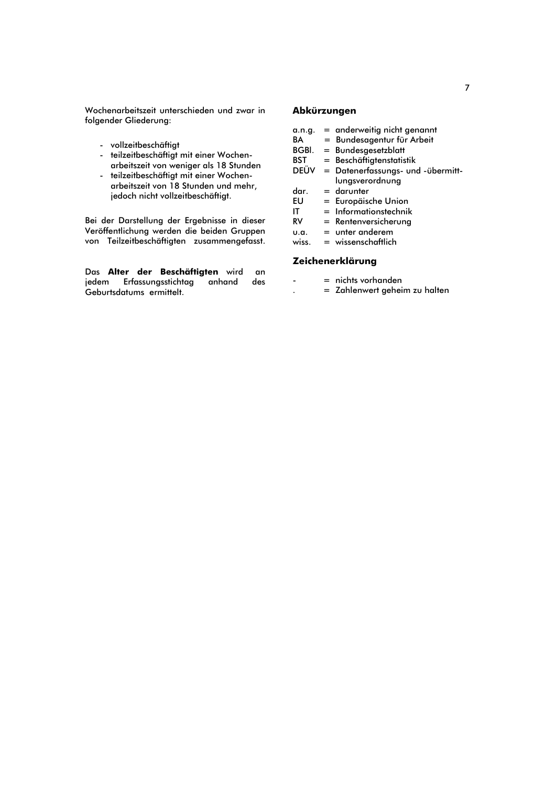Wochenarbeitszeit unterschieden und zwar in folgender Gliederung:

- vollzeitbeschäftigt
- teilzeitbeschäftigt mit einer Wochen- $\overline{a}$ arbeitszeit von weniger als 18 Stunden
- teilzeitbeschäftigt mit einer Wochen- $\Box$ arbeitszeit von 18 Stunden und mehr, jedoch nicht vollzeitbeschäftigt.

Bei der Darstellung der Ergebnisse in dieser Veröffentlichung werden die beiden Gruppen von Teilzeitbeschäftigten zusammengefasst.

Das Alter der Beschäftigten wird an jedem Erfassungsstichtag anhand des Geburtsdatums ermittelt.

#### Abkürzungen

- **BA**  $=$  Bundesagentur für Arbeit
- BGBI.  $=$  Bundesgesetzblatt
- **BST** = Beschäftigtenstatistik
- DEÜV = Datenerfassungs- und -übermittlungsverordnung
- dar.  $=$  darunter
- **EU** = Europäische Union
- $=$  Informationstechnik IT
- $RV$ = Rentenversicherung
- $=$  unter anderem **u.a.**
- $=$  wissenschaftlich wiss.

#### Zeichenerklärung

- $=$  nichts vorhanden
- = Zahlenwert geheim zu halten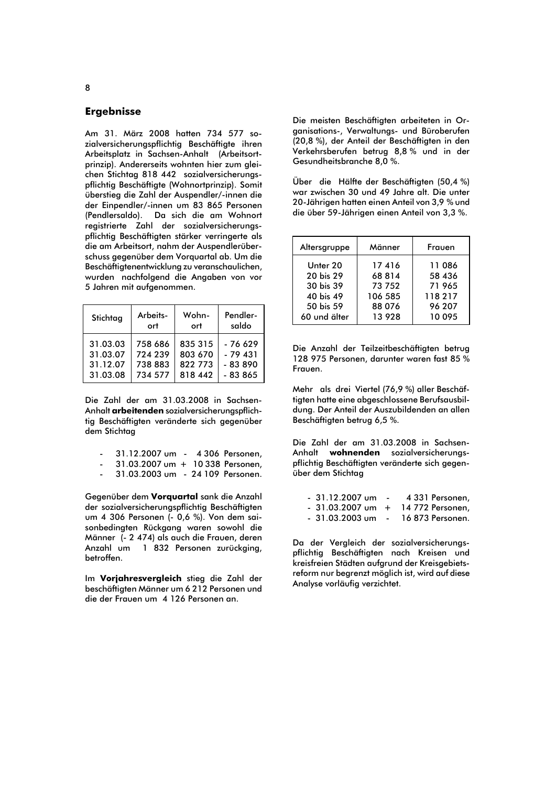#### **Ergebnisse**

Am 31. März 2008 hatten 734 577 sozialversicherungspflichtig Beschäftigte ihren Arbeitsplatz in Sachsen-Anhalt (Arbeitsortprinzip). Andererseits wohnten hier zum gleichen Stichtag 818 442 sozialversicherungspflichtig Beschäftigte (Wohnortprinzip). Somit überstieg die Zahl der Auspendler/-innen die der Einpendler/-innen um 83 865 Personen Da sich die am Wohnort (Pendlersaldo). registrierte Zahl der sozialversicherungspflichtig Beschäftigten stärker verringerte als die am Arbeitsort, nahm der Auspendlerüberschuss gegenüber dem Vorguartal ab. Um die Beschäftigtenentwicklung zu veranschaulichen, wurden nachfolgend die Angaben von vor 5 Jahren mit aufgenommen.

| Stichtag | Arbeits- | Wohn-   | Pendler- |
|----------|----------|---------|----------|
|          | ort      | ort     | saldo    |
| 31.03.03 | 758 686  | 835 315 | $-76629$ |
| 31.03.07 | 724 239  | 803 670 | $-79431$ |
| 31.12.07 | 738 883  | 822 773 | $-83890$ |
| 31.03.08 | 734 577  | 818 442 | $-83865$ |

Die Zahl der am 31.03.2008 in Sachsen-Anhalt arbeitenden sozialversicherungspflichtig Beschäftigten veränderte sich gegenüber dem Stichtag

|  | 31.12.2007 um |  |  | 4 306 Personen |
|--|---------------|--|--|----------------|
|--|---------------|--|--|----------------|

- 31.03.2007 um + 10 338 Personen,
- 31.03.2003 um 24 109 Personen.

Gegenüber dem Vorguartal sank die Anzahl der sozialversicherungspflichtig Beschäftigten um 4 306 Personen (- 0,6 %). Von dem saisonbedingten Rückgang waren sowohl die Männer (- 2 474) als auch die Frauen, deren Anzahl um 1 832 Personen zurückging, betroffen.

Im Vorjahresvergleich stieg die Zahl der beschäftigten Männer um 6 212 Personen und die der Frauen um 4 126 Personen an.

Die meisten Beschäftigten grbeiteten in Organisations-, Verwaltungs- und Büroberufen (20,8 %), der Anteil der Beschäftigten in den Verkehrsberufen betrug 8,8% und in der Gesundheitsbranche 8,0 %.

Über die Hälfte der Beschäftigten (50,4 %) war zwischen 30 und 49 Jahre alt. Die unter 20-Jährigen hatten einen Anteil von 3.9 % und die über 59-Jährigen einen Anteil von 3,3 %.

| Altersgruppe | Männer  | Frauen |
|--------------|---------|--------|
| Unter 20     | 17416   | 11086  |
| 20 bis 29    | 68814   | 58 436 |
| 30 bis 39    | 73 752  | 71965  |
| 40 bis 49    | 106 585 | 118217 |
| 50 bis 59    | 88 076  | 96 207 |
| 60 und älter | 13 928  | 10 095 |

Die Anzahl der Teilzeitbeschäftigten betrug 128 975 Personen, darunter waren fast 85 % Frauen

Mehr als drei Viertel (76,9 %) aller Beschäftigten hatte eine abgeschlossene Berufsausbildung. Der Anteil der Auszubildenden an allen Beschäftigten betrug 6,5 %.

Die Zahl der am 31.03.2008 in Sachsen-Anhalt wohnenden sozialversicherungspflichtig Beschäftigten veränderte sich gegenüber dem Stichtag

| - 31.12.2007 um |                | 4 331 Personen,  |
|-----------------|----------------|------------------|
| - 31.03.2007 um | $^+$           | 14 772 Personen. |
| - 31.03.2003 um | $\overline{a}$ | 16 873 Personen. |

Da der Vergleich der sozialversicherungspflichtig Beschäftigten nach Kreisen und kreisfreien Städten aufgrund der Kreisgebietsreform nur begrenzt möglich ist, wird auf diese Analyse vorläufig verzichtet.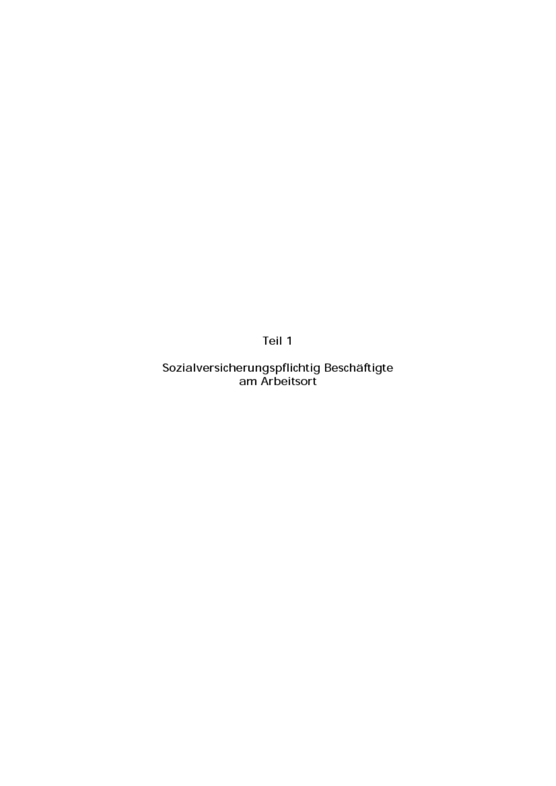Teil 1

Sozialversicherungspflichtig Beschäftigte am Arbeitsort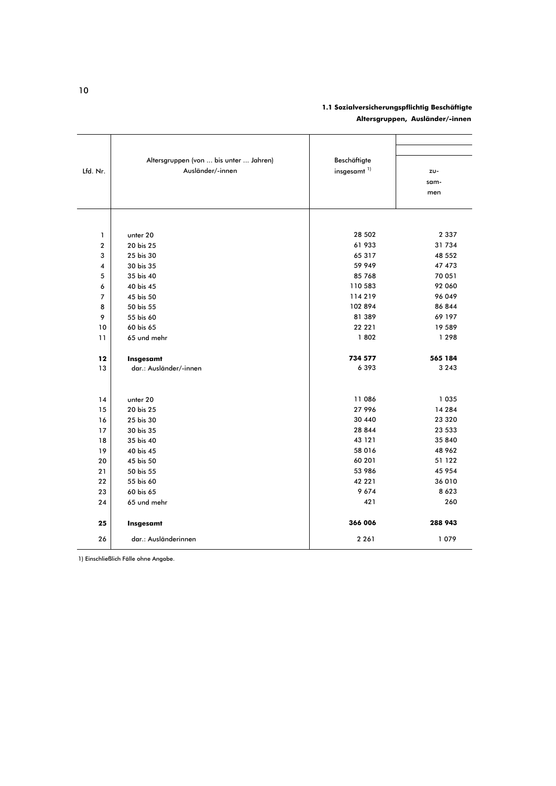#### 1.1 Sozialversicherungspflichtig Beschäftigte Altersgruppen, Ausländer/-innen

|          | Altersgruppen (von  bis unter  Jahren) | Beschäftigte            |         |
|----------|----------------------------------------|-------------------------|---------|
| Lfd. Nr. | Ausländer/-innen                       | insgesamt <sup>1)</sup> | zu-     |
|          |                                        |                         | sam-    |
|          |                                        |                         | men     |
|          |                                        |                         |         |
|          |                                        |                         |         |
| 1        | unter 20                               | 28 502                  | 2 3 3 7 |
| 2        | 20 bis 25                              | 61 933                  | 31734   |
| 3        | 25 bis 30                              | 65 317                  | 48 552  |
| 4        | 30 bis 35                              | 59 949                  | 47 473  |
| 5        | 35 bis 40                              | 85 768                  | 70 051  |
| 6        | 40 bis 45                              | 110 583                 | 92 060  |
| 7        | 45 bis 50                              | 114219                  | 96 049  |
| 8        | 50 bis 55                              | 102 894                 | 86 844  |
| 9        | 55 bis 60                              | 81 389                  | 69 197  |
| 10       | 60 bis 65                              | 22 22 1                 | 19 589  |
| 11       | 65 und mehr                            | 1802                    | 1 2 9 8 |
| 12       | Insgesamt                              | 734 577                 | 565 184 |
| 13       | dar.: Ausländer/-innen                 | 6393                    | 3 2 4 3 |
|          |                                        |                         |         |
| 14       | unter 20                               | 11 086                  | 1 0 3 5 |
| 15       | 20 bis 25                              | 27 996                  | 14 284  |
| 16       | 25 bis 30                              | 30 440                  | 23 3 20 |
| 17       | 30 bis 35                              | 28 844                  | 23 533  |
| 18       | 35 bis 40                              | 43 121                  | 35 840  |
| 19       | 40 bis 45                              | 58 016                  | 48 962  |
| 20       | 45 bis 50                              | 60 201                  | 51 122  |
| 21       | 50 bis 55                              | 53 986                  | 45 954  |
| 22       | 55 bis 60                              | 42 22 1                 | 36 010  |
| 23       | 60 bis 65                              | 9674                    | 8 6 2 3 |
| 24       | 65 und mehr                            | 421                     | 260     |
| 25       | Insgesamt                              | 366 006                 | 288 943 |
| 26       | dar.: Ausländerinnen                   | 2 2 6 1                 | 1079    |

1) Einschließlich Fälle ohne Angabe.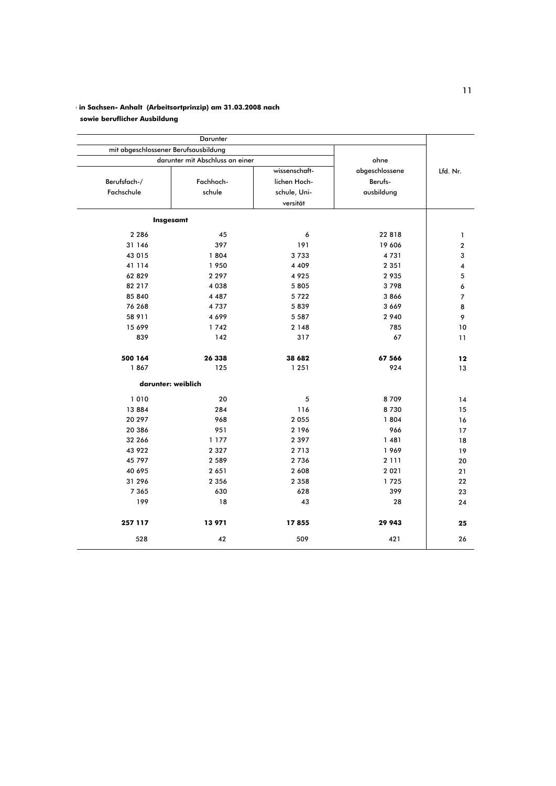### in Sachsen- Anhalt (Arbeitsortprinzip) am 31.03.2008 nach

sowie beruflicher Ausbildung

|          |                |              |                                 | mit abgeschlossener Berufsausbildung |  |  |
|----------|----------------|--------------|---------------------------------|--------------------------------------|--|--|
|          | ohne           |              | darunter mit Abschluss an einer |                                      |  |  |
| Lfd. Nr. | abgeschlossene |              | wissenschaft-                   |                                      |  |  |
|          | Berufs-        | lichen Hoch- | Fachhoch-                       | Berufsfach-/                         |  |  |
|          | ausbildung     | schule, Uni- | schule                          | Fachschule                           |  |  |
|          |                | versität     |                                 |                                      |  |  |
|          |                |              |                                 | Insgesamt                            |  |  |
|          | 22 8 18        | 6            | 45                              | 2 2 8 6                              |  |  |
|          | 19 606         | 191          | 397                             | 31 146                               |  |  |
|          | 4731           | 3733         | 1804                            | 43 015                               |  |  |
|          | 2 3 5 1        | 4 4 0 9      | 1950                            | 41 114                               |  |  |
|          | 2935           | 4925         | 2 2 9 7                         | 62 829                               |  |  |
|          | 3798           | 5805         | 4038                            | 82 217                               |  |  |
|          | 3866           | 5722         | 4 4 8 7                         | 85 840                               |  |  |
|          | 3 6 6 9        | 5839         | 4737                            | 76 268                               |  |  |
|          | 2 9 4 0        | 5 5 8 7      | 4699                            | 58 911                               |  |  |
|          | 785            | 2 1 4 8      | 1742                            | 15 699                               |  |  |
|          | 67             | 317          | 142                             | 839                                  |  |  |
|          | 67 566         | 38 682       | 26 338                          | 500 164                              |  |  |
|          | 924            | 1 2 5 1      | 125                             | 1867                                 |  |  |
|          |                |              |                                 | darunter: weiblich                   |  |  |
|          | 8709           | 5            | 20                              | 1010                                 |  |  |
|          | 8730           | 116          | 284                             | 13884                                |  |  |
|          | 1804           | 2 0 5 5      | 968                             | 20 297                               |  |  |
|          | 966            | 2 1 9 6      | 951                             | 20 386                               |  |  |
|          | 1 4 8 1        | 2 3 9 7      | 1 1 7 7                         | 32 266                               |  |  |
|          | 1969           | 2 7 1 3      | 2 3 2 7                         | 43 922                               |  |  |
|          | 2 1 1 1        | 2 7 3 6      | 2 5 8 9                         | 45 797                               |  |  |
|          | 2 0 2 1        | 2 6 0 8      | 2651                            | 40 695                               |  |  |
|          | 1725           | 2 3 5 8      | 2 3 5 6                         | 31 296                               |  |  |
|          | 399            | 628          | 630                             | 7 3 6 5                              |  |  |
|          | 28             | 43           | 18                              | 199                                  |  |  |
|          | 29 943         | 17855        | 13971                           | 257 117                              |  |  |
|          | 421            | 509          | 42                              | 528                                  |  |  |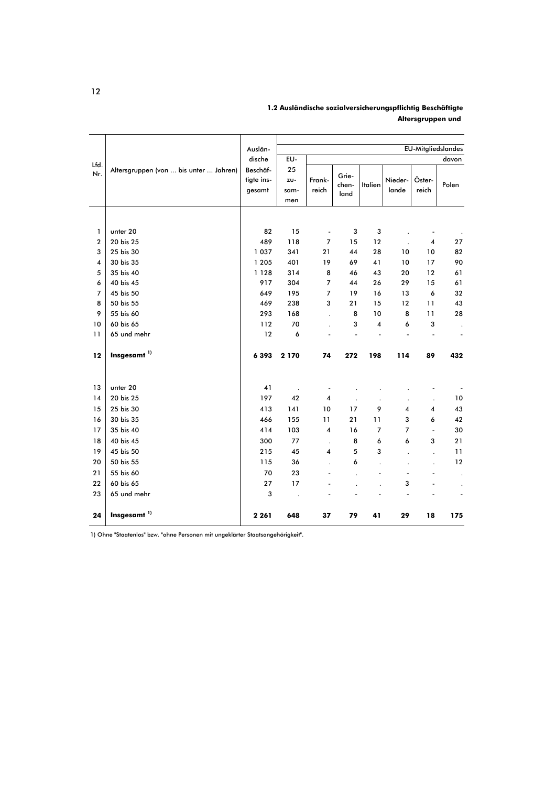|                  |                                        | Auslän-                          |                          |                          |                        |                      |                  |                          | <b>EU-Mitgliedslandes</b> |
|------------------|----------------------------------------|----------------------------------|--------------------------|--------------------------|------------------------|----------------------|------------------|--------------------------|---------------------------|
| Lfd.             |                                        | dische                           | EU-                      |                          |                        |                      |                  |                          | davon                     |
| Nr.              | Altersgruppen (von  bis unter  Jahren) | Beschäf-<br>tigte ins-<br>gesamt | 25<br>zu-<br>sam-<br>men | Frank-<br>reich          | Grie-<br>chen-<br>land | <b>Italien</b>       | Nieder-<br>lande | Öster-<br>reich          | Polen                     |
|                  |                                        |                                  |                          |                          |                        |                      |                  |                          |                           |
|                  |                                        |                                  |                          |                          |                        |                      |                  |                          |                           |
| 1                | unter 20                               | 82                               | 15                       | $\frac{1}{2}$            | 3                      | 3                    |                  |                          |                           |
| $\boldsymbol{2}$ | 20 bis 25                              | 489                              | 118                      | $\overline{7}$           | 15                     | 12                   |                  | 4                        | 27                        |
| 3                | 25 bis 30                              | 1 0 3 7                          | 341                      | 21                       | 44                     | 28                   | 10               | 10                       | 82                        |
| 4                | 30 bis 35                              | 1 2 0 5                          | 401                      | 19                       | 69                     | 41                   | 10               | 17                       | 90                        |
| 5                | 35 bis 40                              | 1 1 2 8                          | 314                      | 8                        | 46                     | 43                   | 20               | 12                       | 61                        |
| 6                | 40 bis 45                              | 917                              | 304                      | 7                        | 44                     | 26                   | 29               | 15                       | 61                        |
| $\overline{7}$   | 45 bis 50                              | 649                              | 195                      | 7                        | 19                     | 16                   | 13               | 6                        | 32                        |
| 8                | 50 bis 55                              | 469                              | 238                      | 3                        | 21                     | 15                   | 12               | 11                       | 43                        |
| 9                | 55 bis 60                              | 293                              | 168                      | $\ddot{\phantom{0}}$     | 8                      | 10                   | 8                | 11                       | 28                        |
| 10               | 60 bis 65                              | 112                              | 70                       |                          | 3                      | 4                    | 6                | 3                        |                           |
| 11               | 65 und mehr                            | 12                               | 6                        |                          |                        |                      |                  |                          | ٠                         |
| 12               | Insgesamt <sup>1)</sup>                | 6 3 9 3                          | 2 1 7 0                  | 74                       | 272                    | 198                  | 114              | 89                       | 432                       |
| 13               | unter 20                               | 41                               |                          | $\overline{\phantom{a}}$ |                        |                      |                  |                          |                           |
| 14               | 20 bis 25                              | 197                              | 42                       | $\overline{\mathbf{4}}$  |                        |                      |                  |                          | $10$                      |
| 15               | 25 bis 30                              | 413                              | 141                      | 10                       | 17                     | 9                    | 4                | $\overline{\mathbf{4}}$  | 43                        |
| 16               | 30 bis 35                              | 466                              | 155                      | 11                       | 21                     | 11                   | 3                | 6                        | 42                        |
| 17               | 35 bis 40                              | 414                              | 103                      | 4                        | 16                     | $\overline{7}$       | 7                | $\overline{a}$           | 30                        |
| 18               | 40 bis 45                              | 300                              | 77                       | $\ddot{\phantom{0}}$     | 8                      | 6                    | 6                | 3                        | 21                        |
| 19               | 45 bis 50                              | 215                              | 45                       | 4                        | 5                      | 3                    |                  |                          | 11                        |
| 20               | 50 bis 55                              | 115                              | 36                       | $\overline{\phantom{a}}$ | 6                      | $\ddot{\phantom{a}}$ | $\cdot$          | $\ddot{\phantom{0}}$     | 12                        |
| 21               | 55 bis 60                              | 70                               | 23                       |                          |                        |                      | ٠                | $\overline{\phantom{a}}$ |                           |
| 22               | 60 bis 65                              | 27                               | 17                       |                          |                        |                      | 3                |                          |                           |
| 23               | 65 und mehr                            | 3                                |                          |                          |                        |                      |                  |                          |                           |
|                  |                                        |                                  |                          |                          |                        |                      |                  |                          |                           |
| 24               | Insgesamt <sup>1)</sup>                | 2 2 6 1                          | 648                      | 37                       | 79                     | 41                   | 29               | 18                       | 175                       |

1.2 Ausländische sozialversicherungspflichtig Beschäftigte Altersgruppen und

1) Ohne "Staatenlos" bzw. "ohne Personen mit ungeklärter Staatsangehörigkeit".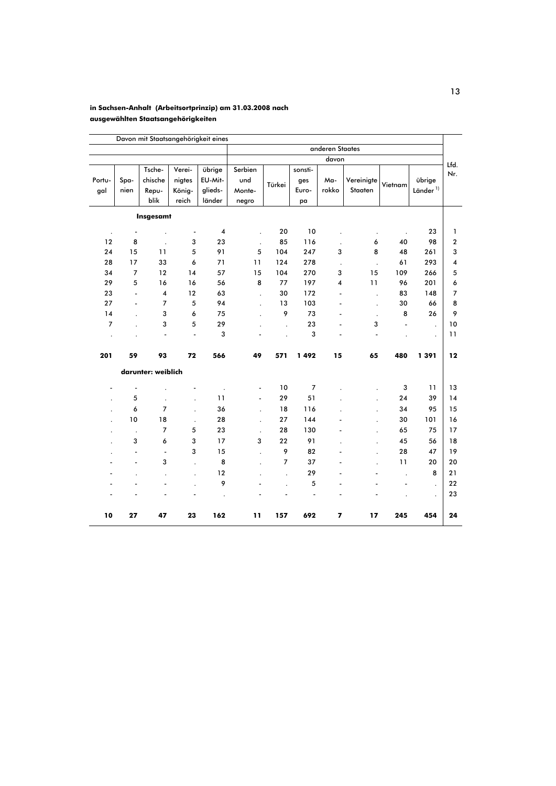#### in Sachsen-Anhalt (Arbeitsortprinzip) am 31.03.2008 nach ausgewählten Staatsangehörigkeiten

|                      |                          |                            |                            | Davon mit Staatsangehörigkeit eines    |                                             |                      |                         |                |                       |                      |                          |                         |  |
|----------------------|--------------------------|----------------------------|----------------------------|----------------------------------------|---------------------------------------------|----------------------|-------------------------|----------------|-----------------------|----------------------|--------------------------|-------------------------|--|
|                      |                          |                            |                            |                                        |                                             | anderen Staates      |                         |                |                       |                      |                          |                         |  |
|                      |                          |                            |                            |                                        |                                             |                      |                         | davon          |                       |                      |                          | Lfd.                    |  |
| Portu-<br>gal        | Spa-<br>nien             | Tsche-<br>chische<br>Repu- | Verei-<br>nigtes<br>König- | übrige<br>EU-Mit-<br>glieds-<br>länder | Serbien<br>und<br>Türkei<br>Monte-<br>negro |                      | sonsti-<br>ges<br>Euro- | Ma-<br>rokko   | Vereinigte<br>Staaten | Vietnam              | übrige<br>Länder $^{1)}$ | Nr.                     |  |
|                      |                          | blik                       | reich                      |                                        |                                             |                      | pa                      |                |                       |                      |                          |                         |  |
|                      |                          | Insgesamt                  |                            |                                        |                                             |                      |                         |                |                       |                      |                          |                         |  |
| $\ddot{\phantom{0}}$ | $\overline{\phantom{a}}$ |                            | $\overline{\phantom{a}}$   | 4                                      |                                             | 20                   | 10                      |                |                       | $\ddot{\phantom{0}}$ | 23                       | 1                       |  |
| 12                   | 8                        | $\ddot{\phantom{a}}$       | 3                          | 23                                     | $\ddot{\phantom{a}}$                        | 85                   | 116                     |                | 6                     | 40                   | 98                       | $\overline{\mathbf{c}}$ |  |
| 24                   | 15                       | 11                         | 5                          | 91                                     | 5                                           | 104                  | 247                     | 3              | 8                     | 48                   | 261                      | 3                       |  |
| 28                   | 17                       | 33                         | 6                          | 71                                     | 11                                          | 124                  | 278                     | $\cdot$        | $\cdot$               | 61                   | 293                      | 4                       |  |
| 34                   | $\overline{7}$           | 12                         | 14                         | 57                                     | 15                                          | 104                  | 270                     | 3              | 15                    | 109                  | 266                      | 5                       |  |
| 29                   | 5                        | 16                         | 16                         | 56                                     | 8                                           | 77                   | 197                     | 4              | 11                    | 96                   | 201                      | 6                       |  |
| 23                   | $\overline{a}$           | 4                          | 12                         | 63                                     | $\ddot{\phantom{0}}$                        | 30                   | 172                     | $\overline{a}$ | $\ddot{\phantom{a}}$  | 83                   | 148                      | $\overline{7}$          |  |
| 27                   | L,                       | $\overline{7}$             | 5                          | 94                                     | $\ddot{\phantom{0}}$                        | 13                   | 103                     |                | $\ddot{\phantom{0}}$  | 30                   | 66                       | 8                       |  |
| 14                   |                          | 3                          | 6                          | 75                                     |                                             | 9                    | 73                      |                | $\ddot{\phantom{0}}$  | 8                    | 26                       | 9                       |  |
| $\overline{7}$       |                          | 3                          | 5                          | 29                                     |                                             | $\ddot{\phantom{0}}$ | 23                      |                | 3                     |                      | $\ddot{\phantom{0}}$     | 10                      |  |
|                      |                          | ÷,                         | $\overline{\phantom{0}}$   | 3                                      |                                             |                      | 3                       |                | ÷,                    |                      | $\cdot$                  | 11                      |  |
| 201                  | 59                       | 93                         | 72                         | 566                                    | 49                                          | 571                  | 1492                    | 15             | 65                    | 480                  | 1391                     | 12                      |  |
|                      |                          | darunter: weiblich         |                            |                                        |                                             |                      |                         |                |                       |                      |                          |                         |  |
|                      | ٠                        |                            |                            |                                        |                                             | 10                   | $\overline{7}$          |                |                       | 3                    | 11                       | 13                      |  |
|                      | 5                        | ÷.                         | $\cdot$                    | 11                                     | ÷,                                          | 29                   | 51                      |                |                       | 24                   | 39                       | 14                      |  |
|                      | 6                        | 7                          | $\cdot$                    | 36                                     | $\ddot{\phantom{0}}$                        | 18                   | 116                     |                |                       | 34                   | 95                       | 15                      |  |
|                      | 10                       | 18                         | $\blacksquare$             | 28                                     | $\ddot{\phantom{0}}$                        | 27                   | 144                     |                |                       | 30                   | 101                      | 16                      |  |
|                      | $\cdot$                  | 7                          | 5                          | 23                                     | $\ddot{\phantom{0}}$                        | 28                   | 130                     |                |                       | 65                   | 75                       | 17                      |  |
|                      | 3                        | 6                          | 3                          | 17                                     | 3                                           | 22                   | 91                      |                |                       | 45                   | 56                       | 18                      |  |
|                      | $\overline{\phantom{m}}$ | $\overline{\phantom{a}}$   | 3                          | 15                                     | $\ddot{\phantom{a}}$                        | 9                    | 82                      |                |                       | 28                   | 47                       | 19                      |  |
|                      | ÷,                       | 3                          | $\ddot{\phantom{a}}$       | 8                                      |                                             | $\overline{7}$       | 37                      |                |                       | 11                   | 20                       | 20                      |  |
|                      |                          |                            | $\cdot$                    | 12                                     |                                             | $\ddot{\phantom{a}}$ | 29                      |                |                       | $\overline{a}$       | 8                        | 21                      |  |
|                      |                          |                            |                            | 9                                      |                                             |                      | 5                       |                |                       |                      | $\ddot{\phantom{a}}$     | 22                      |  |
|                      |                          |                            |                            |                                        |                                             |                      | Ĭ.                      |                |                       |                      | $\cdot$                  | 23                      |  |
| 10                   | 27                       | 47                         | 23                         | 162                                    | 11                                          | 157                  | 692                     | 7              | 17                    | 245                  | 454                      | 24                      |  |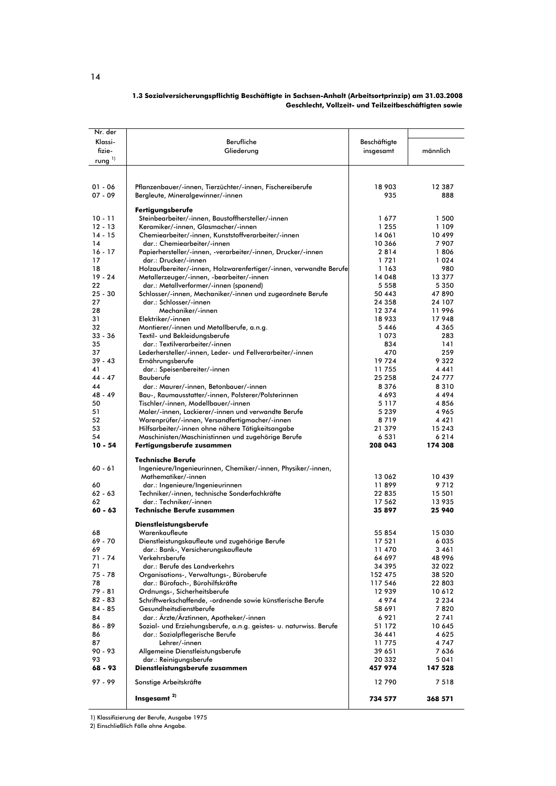#### 1.3 Sozialversicherungspflichtig Beschäftigte in Sachsen-Anhalt (Arbeitsortprinzip) am 31.03.2008 Geschlecht, Vollzeit- und Teilzeitbeschäftigten sowie

| Nr. der      |                                                                    |              |          |
|--------------|--------------------------------------------------------------------|--------------|----------|
| Klassi-      | Berufliche                                                         | Beschäftigte |          |
| fizie-       |                                                                    |              |          |
|              | Gliederung                                                         | insgesamt    | männlich |
| rung $^{1)}$ |                                                                    |              |          |
|              |                                                                    |              |          |
|              |                                                                    |              |          |
| $01 - 06$    | Pflanzenbauer/-innen, Tierzüchter/-innen, Fischereiberufe          | 18 903       | 12 387   |
| $07 - 09$    | Bergleute, Mineralgewinner/-innen                                  | 935          | 888      |
|              |                                                                    |              |          |
|              | Fertigungsberufe                                                   |              |          |
| $10 - 11$    | Steinbearbeiter/-innen, Baustoffhersteller/-innen                  | 1677         | 1 500    |
| $12 - 13$    | Keramiker/-innen, Glasmacher/-innen                                | 1 2 5 5      | 1 1 0 9  |
| $14 - 15$    | Chemiearbeiter/-innen, Kunststoffverarbeiter/-innen                | 14 061       | 10499    |
| 14           | dar.: Chemiearbeiter/-innen                                        | 10 366       | 7907     |
| $16 - 17$    | Papierhersteller/-innen, -verarbeiter/-innen, Drucker/-innen       | 2814         | 1806     |
| 17           | dar.: Drucker/-innen                                               | 1721         | 1024     |
| 18           | Holzaufbereiter/-innen, Holzwarenfertiger/-innen, verwandte Berufe | 1 163        | 980      |
| $19 - 24$    | Metallerzeuger/-innen, -bearbeiter/-innen                          | 14 048       | 13 377   |
|              |                                                                    |              |          |
| 22           | dar.: Metallverformer/-innen (spanend)                             | 5 5 5 8      | 5 3 5 0  |
| $25 - 30$    | Schlosser/-innen, Mechaniker/-innen und zugeordnete Berufe         | 50 443       | 47890    |
| 27           | dar.: Schlosser/-innen                                             | 24 358       | 24 107   |
| 28           | Mechaniker/-innen                                                  | 12 374       | 11996    |
| 31           | Elektriker/-innen                                                  | 18933        | 17948    |
| 32           | Montierer/-innen und Metallberufe, a.n.g.                          | 5446         | 4 3 6 5  |
| $33 - 36$    | Textil- und Bekleidungsberufe                                      | 1073         | 283      |
| 35           | dar.: Textilverarbeiter/-innen                                     | 834          | 141      |
| 37           | Lederhersteller/-innen, Leder- und Fellverarbeiter/-innen          | 470          | 259      |
| $39 - 43$    | Ernährungsberufe                                                   | 19724        | 9322     |
| 41           | dar.: Speisenbereiter/-innen                                       | 11755        | 4441     |
| $44 - 47$    | Bauberufe                                                          | 25 258       | 24 777   |
| 44           | dar.: Maurer/-innen, Betonbauer/-innen                             | 8376         | 8310     |
| 48 - 49      |                                                                    |              |          |
|              | Bau-, Raumausstatter/-innen, Polsterer/Polsterinnen                | 4693         | 4494     |
| 50           | Tischler/-innen, Modellbauer/-innen                                | 5 1 1 7      | 4856     |
| 51           | Maler/-innen, Lackierer/-innen und verwandte Berufe                | 5 2 3 9      | 4965     |
| 52           | Warenprüfer/-innen, Versandfertigmacher/-innen                     | 8719         | 4421     |
| 53           | Hilfsarbeiter/-innen ohne nähere Tätigkeitsangabe                  | 21 379       | 15 2 4 3 |
| 54           | Maschinisten/Maschinistinnen und zugehörige Berufe                 | 6 531        | 6214     |
| $10 - 54$    | Fertigungsberufe zusammen                                          | 208 043      | 174 308  |
|              |                                                                    |              |          |
|              | Technische Berufe                                                  |              |          |
| $60 - 61$    | Ingenieure/Ingenieurinnen, Chemiker/-innen, Physiker/-innen,       |              |          |
|              | Mathematiker/-innen                                                | 13 062       | 10 439   |
| 60           | dar.: Ingenieure/Ingenieurinnen                                    | 11899        | 9712     |
| $62 - 63$    | Techniker/-innen, technische Sonderfachkräfte                      | 22 835       | 15 501   |
| 62           | dar.: Techniker/-innen                                             | 17 562       | 13 935   |
| $60 - 63$    | <b>Technische Berufe zusammen</b>                                  | 35 897       | 25 940   |
|              |                                                                    |              |          |
|              | <b>Dienstleistungsberufe</b>                                       |              |          |
| 68           | Warenkaufleute                                                     | 55 854       | 15 030   |
| 69 - 70      | Dienstleistungskaufleute und zugehörige Berufe                     | 17 521       | 6035     |
| 69           | dar.: Bank-, Versicherungskaufleute                                | 11470        | 3461     |
| $71 - 74$    | Verkehrsberufe                                                     | 64 697       | 48 996   |
| 71           | dar.: Berufe des Landverkehrs                                      | 34 395       | 32 022   |
| $75 - 78$    | Organisations-, Verwaltungs-, Büroberufe                           | 152 475      | 38 5 20  |
| 78           | dar.: Bürofach-, Bürohilfskräfte                                   | 117 546      | 22 803   |
| 79 - 81      | Ordnungs-, Sicherheitsberufe                                       | 12 939       | 10 6 12  |
| 82 - 83      | Schriftwerkschaffende, -ordnende sowie künstlerische Berufe        | 4974         | 2 2 3 4  |
| 84 - 85      | Gesundheitsdienstberufe                                            | 58 691       | 7820     |
|              |                                                                    |              |          |
| 84           | dar.: Arzte/Arztinnen, Apotheker/-innen                            | 6921         | 2741     |
| 86 - 89      | Sozial- und Erziehungsberufe, a.n.g. geistes- u. naturwiss. Berufe | 51 172       | 10 645   |
| 86           | dar.: Sozialpflegerische Berufe                                    | 36 441       | 4 6 2 5  |
| 87           | Lehrer/-innen                                                      | 11775        | 4747     |
| $90 - 93$    | Allgemeine Dienstleistungsberufe                                   | 39 651       | 7636     |
| 93           | dar.: Reinigungsberufe                                             | 20 332       | 5 0 4 1  |
| 68 - 93      | Dienstleistungsberufe zusammen                                     | 457 974      | 147 528  |
|              |                                                                    |              |          |
| $97 - 99$    | Sonstige Arbeitskräfte                                             | 12790        | 7518     |
|              |                                                                    |              |          |
|              | Insgesamt <sup>2)</sup>                                            | 734 577      | 368 571  |

1) Klassifizierung der Berufe, Ausgabe 1975<br>2) Einschließlich Fälle ohne Angabe.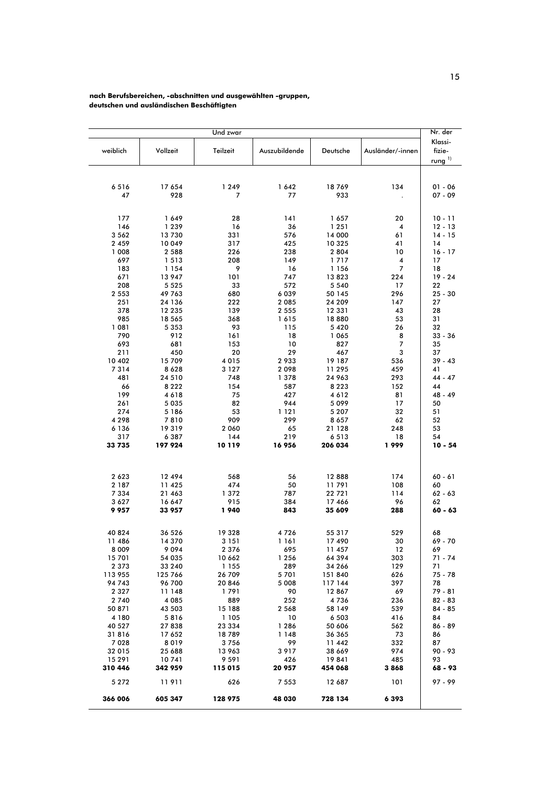#### nach Berufsbereichen, -abschnitten und ausgewählten -gruppen, deutschen und ausländischen Beschäftigten

|                   |                | Und zwar          |               |                   |                     | Nr. der                           |
|-------------------|----------------|-------------------|---------------|-------------------|---------------------|-----------------------------------|
| weiblich          | Vollzeit       | Teilzeit          | Auszubildende | Deutsche          | Ausländer/-innen    | Klassi-<br>fizie-<br>rung $^{1)}$ |
|                   |                |                   |               |                   |                     |                                   |
| 6516              | 17 654         | 1 2 4 9           | 1642          | 18769             | 134                 | $01 - 06$                         |
| 47                | 928            | 7                 | 77            | 933               |                     | $07 - 09$                         |
| 177               | 1649           | 28                | 141           | 1657              | 20                  | $10 - 11$                         |
| 146               | 1 2 3 9        | 16                | 36            | 1 2 5 1           | 4                   | 12 - 13                           |
| 3 5 6 2           | 13730          | 331               | 576           | 14 000            | 61                  | $14 - 15$                         |
| 2 4 5 9           | 10 049         | 317               | 425           | 10 325            | 41                  | 14                                |
| 1 008             | 2 5 8 8        | 226               | 238           | 2 8 0 4           | 10                  | $16 - 17$                         |
| 697               | 1 5 1 3        | 208               | 149           | 1717              | 4                   | 17                                |
| 183               | 1 1 5 4        | 9                 | 16            | 1 156             | 7                   | 18                                |
| 671               | 13 947         | 101               | 747           | 13823             | 224                 | $19 - 24$                         |
| 208               | 5 5 2 5        | 33                | 572           | 5 5 4 0           | 17                  | 22                                |
| 2 5 5 3           | 49 763         | 680               | 6039          | 50 145            | 296                 | $25 - 30$                         |
| 251               | 24 136         | 222               | 2085          | 24 209            | 147                 | 27                                |
| 378               | 12 235         | 139               | 2 5 5 5       | 12 331            | 43                  | 28                                |
| 985               | 18 565         | 368               | 1615          | 18880             | 53                  | 31                                |
| 1081<br>790       | 5 3 5 3<br>912 | 93                | 115<br>18     | 5420              | 26                  | 32                                |
| 693               | 681            | 161<br>153        | 10            | 1 0 6 5<br>827    | 8<br>$\overline{7}$ | 33 - 36<br>35                     |
| 211               | 450            | 20                | 29            | 467               | 3                   | 37                                |
| 10 402            | 15 709         | 4 0 1 5           | 2933          | 19 187            | 536                 | $39 - 43$                         |
| 7314              | 8628           | 3 1 2 7           | 2098          | 11 295            | 459                 | 41                                |
| 481               | 24 510         | 748               | 1378          | 24 963            | 293                 | 44 - 47                           |
| 66                | 8 2 2 2        | 154               | 587           | 8 2 2 3           | 152                 | 44                                |
| 199               | 4618           | 75                | 427           | 4612              | 81                  | 48 - 49                           |
| 261               | 5 0 3 5        | 82                | 944           | 5099              | 17                  | 50                                |
| 274               | 5 1 8 6        | 53                | 1 1 2 1       | 5 2 0 7           | 32                  | 51                                |
| 4 2 9 8           | 7810           | 909               | 299           | 8657              | 62                  | 52                                |
| 6 1 3 6           | 19319          | 2 0 6 0           | 65            | 21 128            | 248                 | 53                                |
| 317               | 6 3 8 7        | 144               | 219           | 6513              | 18                  | 54                                |
| 33735             | 197 924        | 10119             | 16956         | 206 034           | 1999                | $10 - 54$                         |
|                   |                |                   |               |                   |                     |                                   |
| 2623              | 12 494         | 568               | 56            | 12888             | 174                 | $60 - 61$                         |
| 2 1 8 7           | 11 425         | 474               | 50            | 11791             | 108                 | 60                                |
| 7 3 3 4           | 21 463         | 1372              | 787           | 22 721            | 114                 | 62 - 63                           |
| 3627              | 16 647         | 915<br>1940       | 384<br>843    | 17 466<br>35 609  | 96                  | 62<br>$60 - 63$                   |
| 9 9 5 7           | 33 957         |                   |               |                   | 288                 |                                   |
| 40 824            | 36 526         | 19 328            | 4726          | 55 317            | 529                 | 68                                |
| 11 486            | 14 370         | 3 151             | 1 1 6 1       | 17 490            | 30                  | 69 - 70                           |
| 8009              | 9094           | 2 3 7 6           | 695           | 11 457            | 12                  | 69                                |
| 15701             | 54 035         | 10 662            | 1 2 5 6       | 64 394            | 303                 | $71 - 74$                         |
| 2 3 7 3           | 33 240         | 1 1 5 5           | 289           | 34 266            | 129                 | 71                                |
| 113 955           | 125 766        | 26 709            | 5701          | 151 840           | 626                 | 75 - 78                           |
| 94743             | 96 700         | 20 846            | 5 0 0 8       | 117 144           | 397                 | 78                                |
| 2 3 2 7           | 11 148         | 1791              | 90            | 12 867            | 69                  | 79 - 81                           |
| 2 7 4 0           | 4 0 8 5        | 889               | 252           | 4736              | 236                 | $82 - 83$                         |
| 50 871            | 43 503         | 15 188            | 2 5 6 8       | 58 149            | 539                 | 84 - 85                           |
| 4 1 8 0<br>40 527 | 5816<br>27838  | 1 1 0 5<br>23 334 | 10<br>1 2 8 6 | 6 5 0 3<br>50 606 | 416<br>562          | 84<br>$86 - 89$                   |
| 31816             | 17 652         | 18789             | 1 1 4 8       | 36 365            | 73                  | 86                                |
| 7028              | 8019           | 3756              | 99            | 11 442            | 332                 | 87                                |
| 32 015            | 25 688         | 13 963            | 3917          | 38 669            | 974                 | $90 - 93$                         |
| 15 29 1           | 10741          | 9 5 9 1           | 426           | 19841             | 485                 | 93                                |
| 310 446           | 342 959        | 115 015           | 20 957        | 454 068           | 3868                | 68 - 93                           |
| 5 2 7 2           | 11911          | 626               | 7 5 5 3       | 12 687            | 101                 | $97 - 99$                         |
| 366 006           | 605 347        | 128 975           | 48 030        | 728 134           | 6 3 9 3             |                                   |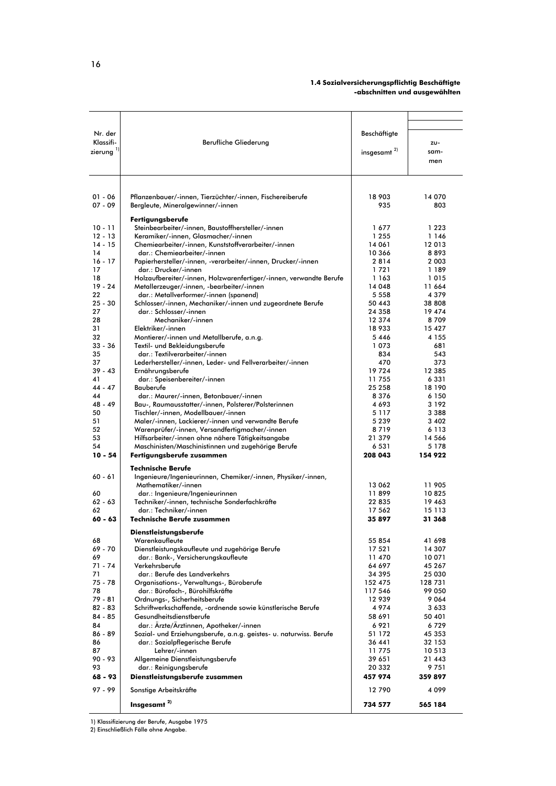## 1.4 Sozialversicherungspflichtig Beschäftigte<br>abschnitten und ausgewählten-

| Nr. der         |                                                                                                       | Beschäftigte       |                    |
|-----------------|-------------------------------------------------------------------------------------------------------|--------------------|--------------------|
| Klassifi-       | Berufliche Gliederung                                                                                 |                    | zu-                |
| zierung $^{1}$  |                                                                                                       | insgesamt $^{2)}$  | sam-               |
|                 |                                                                                                       |                    | men                |
|                 |                                                                                                       |                    |                    |
|                 |                                                                                                       |                    |                    |
| $01 - 06$       | Pflanzenbauer/-innen, Tierzüchter/-innen, Fischereiberufe                                             | 18 903             | 14 070             |
| $07 - 09$       | Bergleute, Mineralgewinner/-innen                                                                     | 935                | 803                |
|                 | Fertigungsberufe                                                                                      |                    |                    |
| $10 - 11$       | Steinbearbeiter/-innen, Baustoffhersteller/-innen                                                     | 1677               | 1 2 2 3            |
| $12 - 13$       | Keramiker/-innen, Glasmacher/-innen                                                                   | 1 2 5 5            | 1 1 4 6            |
| $14 - 15$<br>14 | Chemiearbeiter/-innen, Kunststoffverarbeiter/-innen<br>dar.: Chemiearbeiter/-innen                    | 14 061<br>10 366   | 12 013<br>8893     |
| $16 - 17$       | Papierhersteller/-innen, -verarbeiter/-innen, Drucker/-innen                                          | 2814               | 2 0 0 3            |
| 17              | dar.: Drucker/-innen                                                                                  | 1721               | 1 189              |
| 18              | Holzaufbereiter/-innen, Holzwarenfertiger/-innen, verwandte Berufe                                    | 1 163              | 1015               |
| $19 - 24$<br>22 | Metallerzeuger/-innen, -bearbeiter/-innen                                                             | 14 048             | 11 664             |
| $25 - 30$       | dar.: Metallverformer/-innen (spanend)<br>Schlosser/-innen, Mechaniker/-innen und zugeordnete Berufe  | 5 5 5 8<br>50 443  | 4 3 7 9<br>38 808  |
| 27              | dar.: Schlosser/-innen                                                                                | 24 358             | 19 474             |
| 28              | Mechaniker/-innen                                                                                     | 12 374             | 8709               |
| 31              | Elektriker/-innen                                                                                     | 18933              | 15 427             |
| 32              | Montierer/-innen und Metallberufe, a.n.g.                                                             | 5446               | 4 1 5 5            |
| 33 - 36<br>35   | Textil- und Bekleidungsberufe<br>dar.: Textilverarbeiter/-innen                                       | 1073<br>834        | 681<br>543         |
| 37              | Lederhersteller/-innen, Leder- und Fellverarbeiter/-innen                                             | 470                | 373                |
| $39 - 43$       | Ernährungsberufe                                                                                      | 19724              | 12 385             |
| 41              | dar.: Speisenbereiter/-innen                                                                          | 11755              | 6 3 3 1            |
| $44 - 47$<br>44 | Bauberufe                                                                                             | 25 258             | 18 190             |
| 48 - 49         | dar.: Maurer/-innen, Betonbauer/-innen<br>Bau-, Raumausstatter/-innen, Polsterer/Polsterinnen         | 8376<br>4693       | 6 150<br>3 1 9 2   |
| 50              | Tischler/-innen, Modellbauer/-innen                                                                   | 5 1 1 7            | 3 3 8 8            |
| 51              | Maler/-innen, Lackierer/-innen und verwandte Berufe                                                   | 5 2 3 9            | 3 4 0 2            |
| 52              | Warenprüfer/-innen, Versandfertigmacher/-innen                                                        | 8719               | 6 1 1 3            |
| 53              | Hilfsarbeiter/-innen ohne nähere Tätigkeitsangabe                                                     | 21 379             | 14 566             |
| 54<br>$10 - 54$ | Maschinisten/Maschinistinnen und zugehörige Berufe<br>Fertigungsberufe zusammen                       | 6 5 3 1<br>208 043 | 5 1 7 8<br>154 922 |
|                 |                                                                                                       |                    |                    |
| $60 - 61$       | <b>Technische Berufe</b><br>Ingenieure/Ingenieurinnen, Chemiker/-innen, Physiker/-innen,              |                    |                    |
|                 | Mathematiker/-innen                                                                                   | 13 062             | 11 905             |
| 60              | dar.: Ingenieure/Ingenieurinnen                                                                       | 11899              | 10825              |
| $62 - 63$       | Techniker/-innen, technische Sonderfachkräfte                                                         | 22 835             | 19 463             |
| 62<br>$60 - 63$ | dar.: Techniker/-innen<br><b>Technische Berufe zusammen</b>                                           | 17 562<br>35 897   | 15 113<br>31 368   |
|                 |                                                                                                       |                    |                    |
|                 | Dienstleistungsberufe                                                                                 |                    |                    |
| 68<br>69 - 70   | Warenkaufleute<br>Dienstleistungskaufleute und zugehörige Berufe                                      | 55 854<br>17 521   | 41 698<br>14 307   |
| 69              | dar.: Bank-, Versicherungskaufleute                                                                   | 11 470             | 10 071             |
| 71 - 74         | Verkehrsberufe                                                                                        | 64 697             | 45 267             |
| 71              | dar.: Berufe des Landverkehrs                                                                         | 34 395             | 25 030             |
| $75 - 78$<br>78 | Organisations-, Verwaltungs-, Büroberufe<br>dar.: Bürofach-, Bürohilfskräfte                          | 152 475<br>117 546 | 128 731<br>99 050  |
| $79 - 81$       | Ordnungs-, Sicherheitsberufe                                                                          | 12 939             | 9064               |
| $82 - 83$       | Schriftwerkschaffende, -ordnende sowie künstlerische Berufe                                           | 4974               | 3633               |
| $84 - 85$       | Gesundheitsdienstberufe                                                                               | 58 691             | 50 401             |
| 84              | dar.: Ärzte/Ärztinnen, Apotheker/-innen                                                               | 6921               | 6729               |
| 86 - 89<br>86   | Sozial- und Erziehungsberufe, a.n.g. geistes- u. naturwiss. Berufe<br>dar.: Sozialpflegerische Berufe | 51 172<br>36 441   | 45 353<br>32 153   |
| 87              | Lehrer/-innen                                                                                         | 11775              | 10 513             |
| 90 - 93         | Allgemeine Dienstleistungsberufe                                                                      | 39 651             | 21 443             |
| 93              | dar.: Reinigungsberufe                                                                                | 20 332             | 9751               |
| 68 - 93         | Dienstleistungsberufe zusammen                                                                        | 457 974            | 359 897            |
| $97 - 99$       | Sonstige Arbeitskräfte                                                                                | 12790              | 4 099              |
|                 | Insgesamt <sup>2)</sup>                                                                               | 734 577            | 565 184            |

1) Klassifizierung der Berufe, Ausgabe 1975<br>2) Einschließlich Fälle ohne Angabe.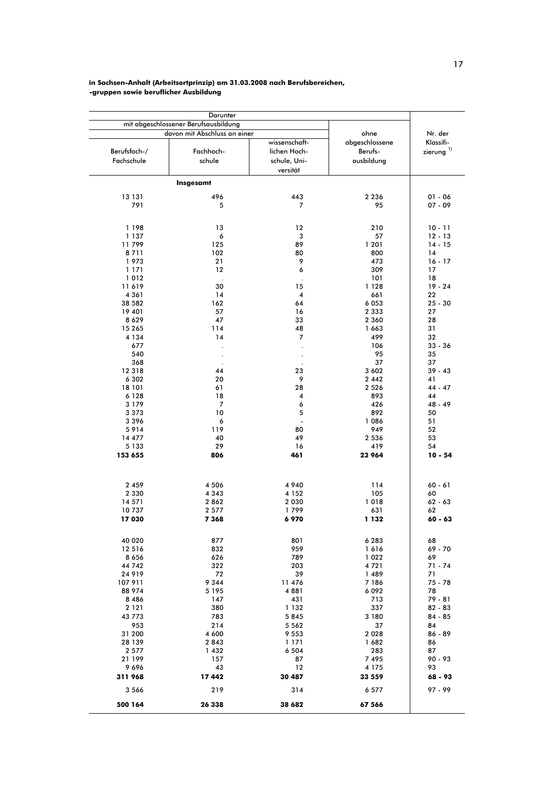# in Sachsen-Anhalt (Arbeitsortprinzip) am 31.03.2008 nach Berufsbereichen,<br>-gruppen sowie beruflicher Ausbildung

|                                                                                                                                                                                                                                                | Darunter                                                                                                                           |                                                                                                                                               |                                                                                                                                                                                                                   |                                                                                                                                                                                                                              |
|------------------------------------------------------------------------------------------------------------------------------------------------------------------------------------------------------------------------------------------------|------------------------------------------------------------------------------------------------------------------------------------|-----------------------------------------------------------------------------------------------------------------------------------------------|-------------------------------------------------------------------------------------------------------------------------------------------------------------------------------------------------------------------|------------------------------------------------------------------------------------------------------------------------------------------------------------------------------------------------------------------------------|
|                                                                                                                                                                                                                                                | mit abgeschlossener Berufsausbildung<br>davon mit Abschluss an einer                                                               |                                                                                                                                               | ohne                                                                                                                                                                                                              | Nr. der                                                                                                                                                                                                                      |
| Berufsfach-/<br>Fachschule                                                                                                                                                                                                                     | Fachhoch-<br>schule                                                                                                                | wissenschaft-<br>lichen Hoch-<br>schule, Uni-<br>versität                                                                                     | abgeschlossene<br>Berufs-<br>ausbildung                                                                                                                                                                           | Klassifi-<br>zierung $^{1}$                                                                                                                                                                                                  |
|                                                                                                                                                                                                                                                | Insgesamt                                                                                                                          |                                                                                                                                               |                                                                                                                                                                                                                   |                                                                                                                                                                                                                              |
| 13 131                                                                                                                                                                                                                                         | 496                                                                                                                                | 443                                                                                                                                           | 2 2 3 6                                                                                                                                                                                                           | $01 - 06$                                                                                                                                                                                                                    |
| 791                                                                                                                                                                                                                                            | 5                                                                                                                                  | 7                                                                                                                                             | 95                                                                                                                                                                                                                | $07 - 09$                                                                                                                                                                                                                    |
| 1 198<br>1 137<br>11799<br>8711<br>1973<br>1 171<br>1012<br>11 619<br>4 3 6 1<br>38 582<br>19 401<br>8629<br>15 265<br>4 1 3 4<br>677<br>540<br>368<br>12 3 18<br>6 3 0 2<br>18 101<br>6 1 2 8<br>3 1 7 9<br>3 3 7 3<br>3396<br>5914<br>14 477 | 13<br>6<br>125<br>102<br>21<br>12<br>30<br>14<br>162<br>57<br>47<br>114<br>14<br>44<br>20<br>61<br>18<br>7<br>10<br>6<br>119<br>40 | 12<br>3<br>89<br>80<br>9<br>6<br>15<br>4<br>64<br>16<br>33<br>48<br>7<br>23<br>9<br>28<br>4<br>6<br>5<br>$\overline{\phantom{a}}$<br>80<br>49 | 210<br>57<br>1 201<br>800<br>473<br>309<br>101<br>1 1 2 8<br>661<br>6 0 5 3<br>2 3 3 3<br>2 3 6 0<br>1663<br>499<br>106<br>95<br>37<br>3 602<br>2 4 4 2<br>2 5 2 6<br>893<br>426<br>892<br>1086<br>949<br>2 5 3 6 | $10 - 11$<br>$12 - 13$<br>$14 - 15$<br>14<br>$16 - 17$<br>17<br>18<br>$19 - 24$<br>22<br>$25 - 30$<br>27<br>28<br>31<br>32<br>$33 - 36$<br>35<br>37<br>$39 - 43$<br>41<br>$44 - 47$<br>44<br>48 - 49<br>50<br>51<br>52<br>53 |
| 5 1 3 3                                                                                                                                                                                                                                        | 29                                                                                                                                 | 16                                                                                                                                            | 419                                                                                                                                                                                                               | 54                                                                                                                                                                                                                           |
| 153 655                                                                                                                                                                                                                                        | 806                                                                                                                                | 461                                                                                                                                           | 23 964                                                                                                                                                                                                            | $10 - 54$                                                                                                                                                                                                                    |
| 2 4 5 9                                                                                                                                                                                                                                        | 4 5 0 6                                                                                                                            | 4 9 4 0                                                                                                                                       | 114                                                                                                                                                                                                               | $60 - 61$                                                                                                                                                                                                                    |
| 2 3 3 0                                                                                                                                                                                                                                        | 4 3 4 3                                                                                                                            | 4 1 5 2                                                                                                                                       | 105                                                                                                                                                                                                               | 60                                                                                                                                                                                                                           |
| 14 571                                                                                                                                                                                                                                         | 2 8 6 2                                                                                                                            | 2 0 3 0                                                                                                                                       | 1018                                                                                                                                                                                                              | $62 - 63$                                                                                                                                                                                                                    |
| 10737                                                                                                                                                                                                                                          | 2 5 7 7                                                                                                                            | 1799                                                                                                                                          | 631                                                                                                                                                                                                               | 62                                                                                                                                                                                                                           |
| 17 030                                                                                                                                                                                                                                         | 7 368                                                                                                                              | 6970                                                                                                                                          | 1 132                                                                                                                                                                                                             | $60 - 63$                                                                                                                                                                                                                    |
| 40 020                                                                                                                                                                                                                                         | 877                                                                                                                                | 801                                                                                                                                           | 6 2 8 3                                                                                                                                                                                                           | 68                                                                                                                                                                                                                           |
| 12 516                                                                                                                                                                                                                                         | 832                                                                                                                                | 959                                                                                                                                           | 1616                                                                                                                                                                                                              | 69 - 70                                                                                                                                                                                                                      |
| 8656                                                                                                                                                                                                                                           | 626                                                                                                                                | 789                                                                                                                                           | 1 0 2 2                                                                                                                                                                                                           | 69                                                                                                                                                                                                                           |
| 44 742                                                                                                                                                                                                                                         | 322                                                                                                                                | 203                                                                                                                                           | 4721                                                                                                                                                                                                              | $71 - 74$                                                                                                                                                                                                                    |
| 24 9 19                                                                                                                                                                                                                                        | 72                                                                                                                                 | 39                                                                                                                                            | 1489                                                                                                                                                                                                              | 71                                                                                                                                                                                                                           |
| 107 911                                                                                                                                                                                                                                        | 9 3 4 4                                                                                                                            | 11 476                                                                                                                                        | 7 186                                                                                                                                                                                                             | 75 - 78                                                                                                                                                                                                                      |
| 88 974                                                                                                                                                                                                                                         | 5 1 9 5                                                                                                                            | 4881                                                                                                                                          | 6 0 9 2                                                                                                                                                                                                           | 78                                                                                                                                                                                                                           |
| 8 4 8 6                                                                                                                                                                                                                                        | 147                                                                                                                                | 431                                                                                                                                           | 713                                                                                                                                                                                                               | 79 - 81                                                                                                                                                                                                                      |
| 2 1 2 1                                                                                                                                                                                                                                        | 380                                                                                                                                | 1 1 3 2                                                                                                                                       | 337                                                                                                                                                                                                               | $82 - 83$                                                                                                                                                                                                                    |
| 43 773                                                                                                                                                                                                                                         | 783                                                                                                                                | 5845                                                                                                                                          | 3 180                                                                                                                                                                                                             | $84 - 85$                                                                                                                                                                                                                    |
| 953                                                                                                                                                                                                                                            | 214                                                                                                                                | 5 5 6 2                                                                                                                                       | 37                                                                                                                                                                                                                | 84                                                                                                                                                                                                                           |
| 31 200                                                                                                                                                                                                                                         | 4 600                                                                                                                              | 9 5 5 3                                                                                                                                       | 2 0 2 8                                                                                                                                                                                                           | $86 - 89$                                                                                                                                                                                                                    |
| 28 139                                                                                                                                                                                                                                         | 2843                                                                                                                               | 1 1 7 1                                                                                                                                       | 1682                                                                                                                                                                                                              | 86                                                                                                                                                                                                                           |
| 2 5 7 7                                                                                                                                                                                                                                        | 1432                                                                                                                               | 6 5 0 4                                                                                                                                       | 283                                                                                                                                                                                                               | 87                                                                                                                                                                                                                           |
| 21 199                                                                                                                                                                                                                                         | 157                                                                                                                                | 87                                                                                                                                            | 7 4 9 5                                                                                                                                                                                                           | $90 - 93$                                                                                                                                                                                                                    |
| 9696                                                                                                                                                                                                                                           | 43                                                                                                                                 | 12                                                                                                                                            | 4 1 7 5                                                                                                                                                                                                           | 93                                                                                                                                                                                                                           |
| 311 968                                                                                                                                                                                                                                        | 17442                                                                                                                              | 30 487                                                                                                                                        | 33 559                                                                                                                                                                                                            | 68 - 93                                                                                                                                                                                                                      |
| 3 566                                                                                                                                                                                                                                          | 219                                                                                                                                | 314                                                                                                                                           | 6 5 7 7                                                                                                                                                                                                           | 97 - 99                                                                                                                                                                                                                      |
| 500 164                                                                                                                                                                                                                                        | 26 338                                                                                                                             | 38 682                                                                                                                                        | 67 566                                                                                                                                                                                                            |                                                                                                                                                                                                                              |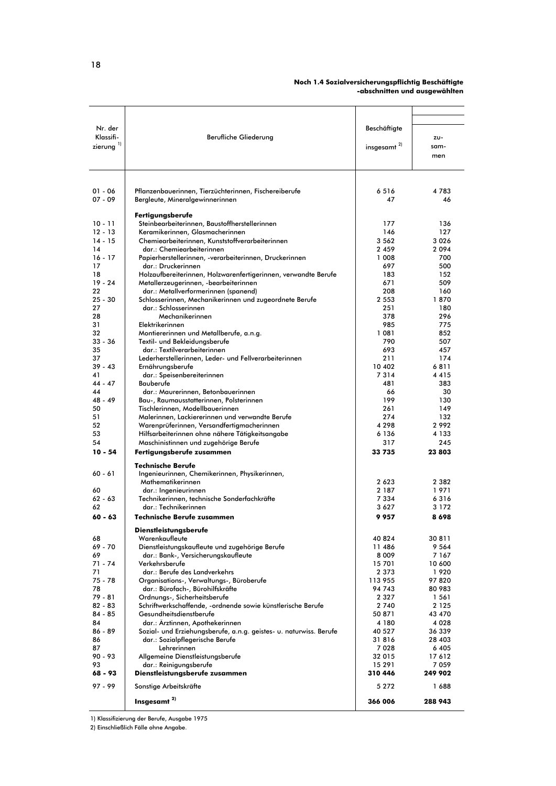#### Noch 1.4 Sozialversicherungspflichtig Beschäftigte -abschnitten und ausgewählten

| Nr. der                            |                                                                                                       | Beschäftigte       |                  |
|------------------------------------|-------------------------------------------------------------------------------------------------------|--------------------|------------------|
| Klassifi-<br>zierung <sup>1)</sup> | Berufliche Gliederung                                                                                 | insgesamt $^{2)}$  | zu-<br>sam-      |
|                                    |                                                                                                       |                    | men              |
|                                    |                                                                                                       |                    |                  |
|                                    |                                                                                                       |                    |                  |
| $01 - 06$                          | Pflanzenbauerinnen, Tierzüchterinnen, Fischereiberufe                                                 | 6516               | 4783             |
| $07 - 09$                          | Bergleute, Mineralgewinnerinnen                                                                       | 47                 | 46               |
|                                    | Fertigungsberufe                                                                                      |                    |                  |
| $10 - 11$                          | Steinbearbeiterinnen, Baustoffherstellerinnen                                                         | 177                | 136              |
| $12 - 13$                          | Keramikerinnen, Glasmacherinnen                                                                       | 146                | 127              |
| $14 - 15$<br>14                    | Chemiearbeiterinnen, Kunststoffverarbeiterinnen<br>dar.: Chemiearbeiterinnen                          | 3 5 6 2<br>2 4 5 9 | 3026<br>2094     |
| $16 - 17$                          | Papierherstellerinnen, -verarbeiterinnen, Druckerinnen                                                | 1 008              | 700              |
| 17                                 | dar.: Druckerinnen                                                                                    | 697                | 500              |
| 18                                 | Holzaufbereiterinnen, Holzwarenfertigerinnen, verwandte Berufe                                        | 183                | 152              |
| $19 - 24$<br>22                    | Metallerzeugerinnen, -bearbeiterinnen<br>dar.: Metallverformerinnen (spanend)                         | 671<br>208         | 509<br>160       |
| $25 - 30$                          | Schlosserinnen, Mechanikerinnen und zugeordnete Berufe                                                | 2 5 5 3            | 1870             |
| 27                                 | dar.: Schlosserinnen                                                                                  | 251                | 180              |
| 28<br>31                           | Mechanikerinnen<br>Elektrikerinnen                                                                    | 378<br>985         | 296<br>775       |
| 32                                 | Montiererinnen und Metallberufe, a.n.g.                                                               | 1 081              | 852              |
| $33 - 36$                          | Textil- und Bekleidungsberufe                                                                         | 790                | 507              |
| 35                                 | dar.: Textilverarbeiterinnen                                                                          | 693                | 457              |
| 37<br>$39 - 43$                    | Lederherstellerinnen, Leder- und Fellverarbeiterinnen<br>Ernährungsberufe                             | 211<br>10 402      | 174<br>6811      |
| 41                                 | dar.: Speisenbereiterinnen                                                                            | 7314               | 4415             |
| $44 - 47$                          | Bauberufe                                                                                             | 481                | 383              |
| 44<br>48 - 49                      | dar.: Maurerinnen, Betonbauerinnen                                                                    | 66<br>199          | 30               |
| 50                                 | Bau-, Raumausstatterinnen, Polsterinnen<br>Tischlerinnen, Modellbauerinnen                            | 261                | 130<br>149       |
| 51                                 | Malerinnen, Lackiererinnen und verwandte Berufe                                                       | 274                | 132              |
| 52                                 | Warenprüferinnen, Versandfertigmacherinnen                                                            | 4 2 9 8            | 2992             |
| 53<br>54                           | Hilfsarbeiterinnen ohne nähere Tätigkeitsangabe<br>Maschinistinnen und zugehörige Berufe              | 6 1 3 6<br>317     | 4 1 3 3<br>245   |
| $10 - 54$                          | Fertigungsberufe zusammen                                                                             | 33 735             | 23803            |
|                                    | <b>Technische Berufe</b>                                                                              |                    |                  |
| $60 - 61$                          | Ingenieurinnen, Chemikerinnen, Physikerinnen,                                                         |                    |                  |
|                                    | Mathematikerinnen                                                                                     | 2623               | 2 3 8 2          |
| 60<br>$62 - 63$                    | dar.: Ingenieurinnen                                                                                  | 2 187<br>7 3 3 4   | 1971<br>6316     |
| 62                                 | Technikerinnen, technische Sonderfachkräfte<br>dar.: Technikerinnen                                   | 3627               | 3 1 7 2          |
| $60 - 63$                          | <b>Technische Berufe zusammen</b>                                                                     | 9957               | 8698             |
|                                    | <b>Dienstleistungsberufe</b>                                                                          |                    |                  |
| 68                                 | Warenkaufleute                                                                                        | 40 824             | 30811            |
| 69 - 70                            | Dienstleistungskaufleute und zugehörige Berufe                                                        | 11486              | 9 564            |
| 69<br>$71 - 74$                    | dar.: Bank-, Versicherungskaufleute<br>Verkehrsberufe                                                 | 8 0 0 9<br>15701   | 7 167<br>10 600  |
| 71                                 | dar.: Berufe des Landverkehrs                                                                         | 2 3 7 3            | 1920             |
| $75 - 78$                          | Organisations-, Verwaltungs-, Büroberufe                                                              | 113 955            | 97820            |
| 78<br>$79 - 81$                    | dar.: Bürofach-, Bürohilfskräfte<br>Ordnungs-, Sicherheitsberufe                                      | 94 743<br>2 3 2 7  | 80 983<br>1561   |
| $82 - 83$                          | Schriftwerkschaffende, -ordnende sowie künstlerische Berufe                                           | 2 740              | 2 1 2 5          |
| $84 - 85$                          | Gesundheitsdienstberufe                                                                               | 50 871             | 43 470           |
| 84                                 | dar.: Ärztinnen, Apothekerinnen                                                                       | 4 1 8 0            | 4 0 2 8          |
| 86 - 89<br>86                      | Sozial- und Erziehungsberufe, a.n.g. geistes- u. naturwiss. Berufe<br>dar.: Sozialpflegerische Berufe | 40 527<br>31816    | 36 339<br>28 403 |
| 87                                 | Lehrerinnen                                                                                           | 7028               | 6 4 0 5          |
| $90 - 93$                          | Allgemeine Dienstleistungsberufe                                                                      | 32 015             | 17612            |
| 93<br>68 - 93                      | dar.: Reinigungsberufe<br>Dienstleistungsberufe zusammen                                              | 15 29 1<br>310 446 | 7059<br>249 902  |
|                                    |                                                                                                       |                    |                  |
| $97 - 99$                          | Sonstige Arbeitskräfte<br>Insgesamt <sup>2)</sup>                                                     | 5 2 7 2<br>366 006 | 1688<br>288 943  |
|                                    |                                                                                                       |                    |                  |

1) Klassifizierung der Berufe, Ausgabe 1975

2) Einschließlich Fälle ohne Angabe.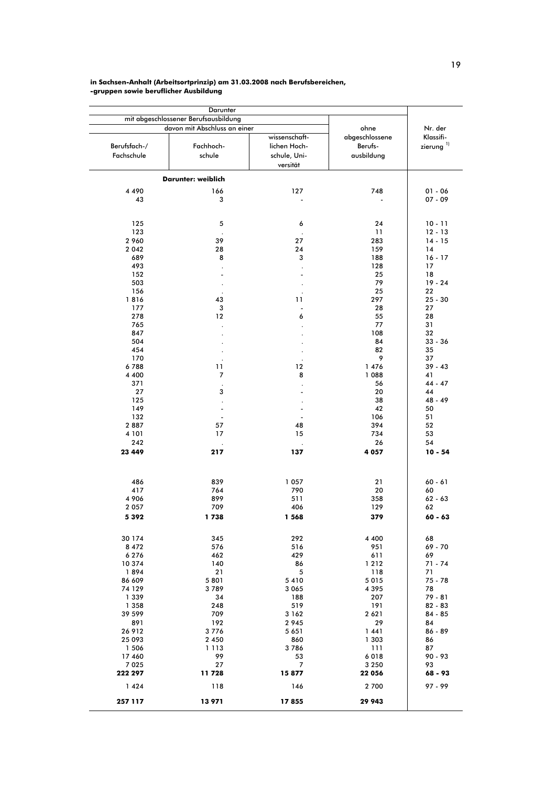#### in Sachsen-Anhalt (Arbeitsortprinzip) am 31.03.2008 nach Berufsbereichen, -gruppen sowie beruflicher Ausbildung

|                            | mit abgeschlossener Berufsausbildung                |                                                           |                                                 |                                        |
|----------------------------|-----------------------------------------------------|-----------------------------------------------------------|-------------------------------------------------|----------------------------------------|
| Berufsfach-/<br>Fachschule | davon mit Abschluss an einer<br>Fachhoch-<br>schule | wissenschaft-<br>lichen Hoch-<br>schule, Uni-<br>versität | ohne<br>abgeschlossene<br>Berufs-<br>ausbildung | Nr. der<br>Klassifi-<br>zierung $^{1}$ |
|                            | Darunter: weiblich                                  |                                                           |                                                 |                                        |
|                            |                                                     |                                                           |                                                 |                                        |
| 4 4 9 0<br>43              | 166<br>3                                            | 127                                                       | 748                                             | $01 - 06$<br>07 - 09                   |
| 125<br>123                 | 5                                                   | 6                                                         | 24<br>11                                        | $10 - 11$<br>$12 - 13$                 |
| 2 960                      | 39                                                  | 27                                                        | 283                                             | $14 - 15$                              |
| 2 0 4 2                    | 28                                                  | 24                                                        | 159                                             | 14                                     |
| 689                        | 8                                                   | з                                                         | 188                                             | $16 - 17$                              |
| 493                        |                                                     | $\cdot$                                                   | 128                                             | 17                                     |
| 152                        |                                                     | ÷,                                                        | 25                                              | 18                                     |
| 503                        |                                                     | $\cdot$                                                   | 79                                              | $19 - 24$                              |
| 156                        |                                                     |                                                           | 25                                              | 22                                     |
| 1816                       | 43                                                  | 11                                                        | 297                                             | $25 - 30$                              |
| 177                        | 3                                                   | $\overline{a}$                                            | 28                                              | 27                                     |
| 278                        | 12                                                  | 6                                                         | 55                                              | 28                                     |
| 765                        |                                                     | $\cdot$                                                   | 77                                              | 31                                     |
| 847                        |                                                     |                                                           | 108                                             | 32                                     |
| 504                        |                                                     |                                                           | 84                                              | $33 - 36$                              |
| 454                        |                                                     |                                                           | 82                                              | 35                                     |
| 170                        |                                                     |                                                           | 9                                               | 37                                     |
| 6788                       | 11                                                  | 12                                                        | 1 476                                           | $39 - 43$                              |
| 4 4 0 0                    | 7                                                   | 8                                                         | 1 088                                           | 41                                     |
| 371                        |                                                     |                                                           | 56                                              | 44 - 47                                |
| 27                         | 3                                                   |                                                           | 20                                              | 44                                     |
| 125                        |                                                     |                                                           | 38                                              | 48 - 49                                |
| 149                        | -                                                   |                                                           | 42                                              | 50                                     |
| 132                        | $\overline{\phantom{a}}$                            |                                                           | 106                                             | 51                                     |
| 2887                       | 57                                                  | 48                                                        | 394                                             | 52                                     |
| 4 10 1                     | 17                                                  | 15                                                        | 734                                             | 53                                     |
| 242                        |                                                     | $\cdot$                                                   | 26                                              | 54                                     |
| 23 449                     | 217                                                 | 137                                                       | 4 0 5 7                                         | $10 - 54$                              |
| 486                        | 839                                                 | 1 0 5 7                                                   | 21                                              | $60 - 61$                              |
| 417                        | 764                                                 | 790                                                       | 20                                              | 60                                     |
| 4 9 0 6                    | 899                                                 | 511                                                       | 358                                             | $62 - 63$                              |
| 2 0 5 7                    | 709                                                 | 406                                                       | 129                                             | 62                                     |
| 5 3 9 2                    | 1738                                                | 1 568                                                     | 379                                             | $60 - 63$                              |
|                            |                                                     |                                                           |                                                 |                                        |
| 30 174                     | 345                                                 | 292                                                       | 4 4 0 0                                         | 68                                     |
| 8 4 7 2                    | 576                                                 | 516                                                       | 951                                             | 69 - 70                                |
| 6276                       | 462                                                 | 429                                                       | 611                                             | 69                                     |
| 10 374                     | 140                                                 | 86                                                        | 1 2 1 2                                         | 71 - 74                                |
| 1894<br>86 609             | 21                                                  | 5                                                         | 118                                             | 71                                     |
| 74 129                     | 5 8 0 1<br>3789                                     | 5410<br>3 0 6 5                                           | 5 0 1 5                                         | 75 - 78<br>78                          |
| 1 3 3 9                    | 34                                                  |                                                           | 4395<br>207                                     | 79 - 81                                |
| 1 3 5 8                    | 248                                                 | 188<br>519                                                | 191                                             | $82 - 83$                              |
|                            |                                                     |                                                           |                                                 | $84 - 85$                              |
| 39 599                     | 709                                                 | 3 1 6 2                                                   | 2 6 2 1                                         |                                        |
| 891<br>26 912              | 192<br>3776                                         | 2945<br>5 6 5 1                                           | 29<br>1441                                      | 84<br>$86 - 89$                        |
|                            |                                                     |                                                           |                                                 |                                        |
| 25 093                     | 2 4 5 0                                             | 860                                                       | 1 303                                           | 86<br>87                               |
| 1 506<br>17 460            | 1 1 1 3<br>99                                       | 3786                                                      | 111<br>6018                                     | 90 - 93                                |
| 7 0 2 5                    | 27                                                  | 53<br>7                                                   | 3 2 5 0                                         | 93                                     |
| 222 297                    | 11 728                                              | 15877                                                     | 22 056                                          | 68 - 93                                |
| 1424                       | 118                                                 | 146                                                       | 2 700                                           | 97 - 99                                |
| 257 117                    | 13 971                                              | 17855                                                     | 29 943                                          |                                        |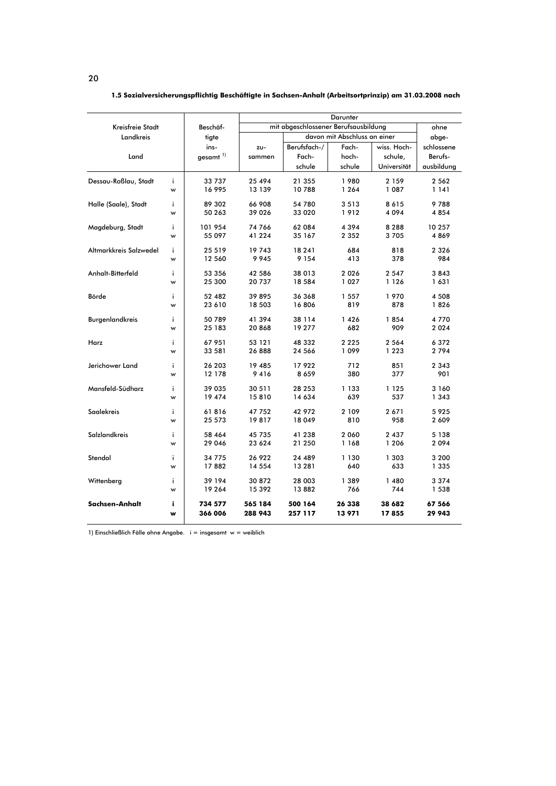|                        |    |                        |                                      |              | Darunter                     |             |            |
|------------------------|----|------------------------|--------------------------------------|--------------|------------------------------|-------------|------------|
| Kreisfreie Stadt       |    | Beschäf-               | mit abgeschlossener Berufsausbildung | ohne         |                              |             |            |
| Landkreis              |    | tigte                  |                                      |              | davon mit Abschluss an einer |             | abge-      |
|                        |    | ins-                   | ZU-                                  | Berufsfach-/ | Fach-                        | wiss. Hoch- | schlossene |
| Land                   |    | $gesamt$ <sup>1)</sup> | sammen                               | Fach-        | hoch-                        | schule,     | Berufs-    |
|                        |    |                        |                                      | schule       | schule                       | Universität | ausbildung |
| Dessau-Roßlau, Stadt   | i. | 33 737                 | 25 494                               | 21 355       | 1980                         | 2 1 5 9     | 2 5 6 2    |
|                        | w  | 16 995                 | 13 139                               | 10788        | 1 2 6 4                      | 1 087       | 1 141      |
| Halle (Saale), Stadt   | i. | 89 302                 | 66 908                               | 54 780       | 3513                         | 8615        | 9788       |
|                        | w  | 50 263                 | 39 0 26                              | 33 020       | 1912                         | 4094        | 4854       |
| Magdeburg, Stadt       | i. | 101 954                | 74 766                               | 62 084       | 4 3 9 4                      | 8 2 8 8     | 10 257     |
|                        | w  | 55 097                 | 41 224                               | 35 167       | 2 3 5 2                      | 3705        | 4869       |
| Altmarkkreis Salzwedel | i. | 25 5 19                | 19743                                | 18 24 1      | 684                          | 818         | 2 3 2 6    |
|                        | w  | 12 560                 | 9945                                 | 9 1 5 4      | 413                          | 378         | 984        |
| Anhalt-Bitterfeld      | j. | 53 356                 | 42 586                               | 38 013       | 2026                         | 2 5 4 7     | 3843       |
|                        | w  | 25 300                 | 20737                                | 18 5 84      | 1 0 2 7                      | 1 1 2 6     | 1631       |
| Börde                  | i. | 52 482                 | 39 895                               | 36 368       | 1 5 5 7                      | 1970        | 4 508      |
|                        | w  | 23 610                 | 18 503                               | 16806        | 819                          | 878         | 1826       |
| <b>Burgenlandkreis</b> | i. | 50 789                 | 41 394                               | 38 1 14      | 1426                         | 1854        | 4770       |
|                        | w  | 25 183                 | 20868                                | 19 277       | 682                          | 909         | 2 0 2 4    |
| Harz                   | j. | 67 951                 | 53 121                               | 48 332       | 2 2 2 5                      | 2 5 6 4     | 6372       |
|                        | w  | 33 581                 | 26888                                | 24 566       | 1099                         | 1 2 2 3     | 2794       |
| Jerichower Land        | j. | 26 203                 | 19 485                               | 17922        | 712                          | 851         | 2 3 4 3    |
|                        | w  | 12 178                 | 9416                                 | 8659         | 380                          | 377         | 901        |
| Mansfeld-Südharz       | j. | 39 035                 | 30 511                               | 28 253       | 1 1 3 3                      | 1 1 2 5     | 3 160      |
|                        | w  | 19 474                 | 15810                                | 14 634       | 639                          | 537         | 1 3 4 3    |
| Saalekreis             | i. | 61816                  | 47 752                               | 42 972       | 2 1 0 9                      | 2671        | 5925       |
|                        | w  | 25 573                 | 19817                                | 18 049       | 810                          | 958         | 2 609      |
| <b>Salzlandkreis</b>   | i. | 58 464                 | 45 735                               | 41 238       | 2 0 6 0                      | 2 4 3 7     | 5 1 3 8    |
|                        | w  | 29 046                 | 23 624                               | 21 250       | 1 1 6 8                      | 1 2 0 6     | 2 094      |
| Stendal                | i. | 34 775                 | 26 922                               | 24 489       | 1 1 3 0                      | 1 303       | 3 200      |
|                        | w  | 17882                  | 14 5 54                              | 13 28 1      | 640                          | 633         | 1 335      |
| Wittenberg             | i. | 39 194                 | 30 872                               | 28 003       | 1 389                        | 1 480       | 3 374      |
|                        | w  | 19 264                 | 15 392                               | 13882        | 766                          | 744         | 1 538      |
| Sachsen-Anhalt         | i  | 734 577                | 565 184                              | 500 164      | 26 338                       | 38 682      | 67 566     |
|                        | w  | 366 006                | 288 943                              | 257 117      | 13971                        | 17855       | 29 943     |

1.5 Sozialversicherungspflichtig Beschäftigte in Sachsen-Anhalt (Arbeitsortprinzip) am 31.03.2008 nach

1) Einschließlich Fälle ohne Angabe. i = insgesamt w = weiblich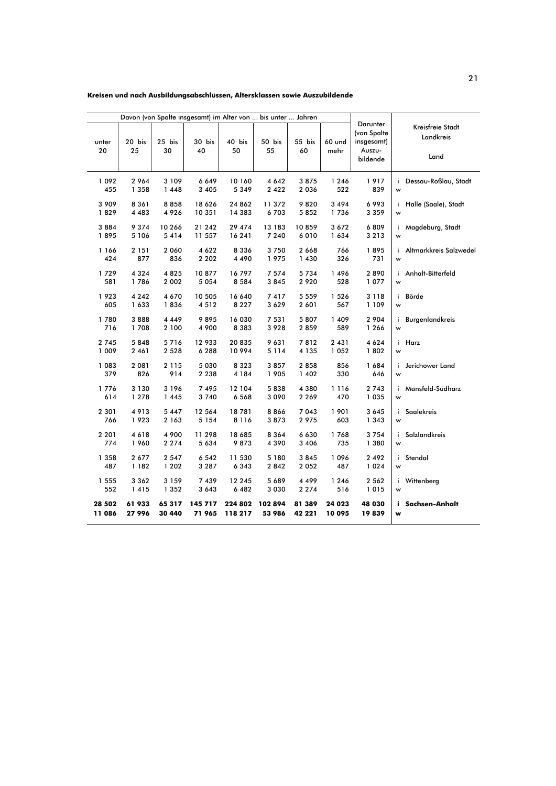#### Kreisen und nach Ausbildungsabschlüssen, Altersklassen sowie Auszubildende

|                |                    |                  | Davon (von Spalte insgesamt) im Alter von  bis unter  Jahren |                    |                    |                    |                |                                                 |                                   |                        |
|----------------|--------------------|------------------|--------------------------------------------------------------|--------------------|--------------------|--------------------|----------------|-------------------------------------------------|-----------------------------------|------------------------|
| unter          | 20 bis             | 25 bis<br>30     | 30 bis<br>40                                                 | 40 bis<br>50       | 50 bis             | 55 bis<br>60       | 60 und         | Darunter<br>(von Spalte<br>insgesamt)<br>Auszu- | Kreisfreie Stadt<br>Landkreis     |                        |
| 20             | 25                 |                  |                                                              |                    | 55                 |                    | mehr           | bildende                                        | Land                              |                        |
| 1 0 9 2<br>455 | 2964<br>1 3 5 8    | 3 1 0 9<br>1448  | 6 6 4 9<br>3 4 0 5                                           | 10 160<br>5349     | 4 6 4 2<br>2 4 2 2 | 3875<br>2 0 3 6    | 1 2 4 6<br>522 | 1917<br>839                                     | Dessau-Roßlau, Stadt<br>i.<br>w   |                        |
| 3 9 0 9        | 8 3 6 1            | 8858             | 18 6 26                                                      | 24 862             | 11372              | 9820               | 3 4 9 4        | 6993                                            | Halle (Saale), Stadt<br>i.        |                        |
| 1829           | 4 4 8 3            | 4926             | 10 351                                                       | 14 3 8 3           | 6703               | 5852               | 1736           | 3 3 5 9                                         | W                                 |                        |
| 3884<br>1895   | 9 3 7 4<br>5 1 0 6 | 10 266<br>5414   | 21 242<br>11 557                                             | 29 474<br>16 241   | 13 183<br>7 2 4 0  | 10859<br>6010      | 3672<br>1634   | 6809<br>3213                                    | Magdeburg, Stadt<br>i.<br>W       |                        |
|                |                    |                  |                                                              |                    |                    |                    |                |                                                 |                                   |                        |
| 1 166<br>424   | 2 1 5 1<br>877     | 2 0 6 0<br>836   | 4 6 2 2<br>2 2 0 2                                           | 8 3 3 6<br>4 4 9 0 | 3750<br>1975       | 2 6 6 8<br>1 4 3 0 | 766<br>326     | 1895<br>731                                     | i.<br>W                           | Altmarkkreis Salzwedel |
| 1729           | 4 3 2 4            | 4825             | 10877                                                        | 16797              | 7 5 7 4            | 5734               | 1496           | 2890                                            | Anhalt-Bitterfeld<br>i.           |                        |
| 581            | 1786               | 2 0 0 2          | 5 0 5 4                                                      | 8584               | 3845               | 2 9 2 0            | 528            | 1 077                                           | w                                 |                        |
| 1923           | 4 2 4 2            | 4 670            | 10 505                                                       | 16 640             | 7417               | 5 5 5 9            | 1526           | 3 1 1 8                                         | Börde<br>i.                       |                        |
| 605            | 1 633              | 1836             | 4512                                                         | 8 2 2 7            | 3 6 2 9            | 2 601              | 567            | 1 1 0 9                                         | w                                 |                        |
| 1780<br>716    | 3888<br>1708       | 4 4 4 9<br>2 100 | 9895<br>4 900                                                | 16 030<br>8 3 8 3  | 7 531<br>3928      | 5807<br>2859       | 1 409<br>589   | 2 9 0 4<br>1 266                                | <b>Burgenlandkreis</b><br>i.<br>w |                        |
| 2 7 4 5        | 5848               | 5716             | 12 933                                                       | 20835              | 9631               | 7812               | 2 4 3 1        | 4 6 2 4                                         | Harz<br>i.                        |                        |
| 1 009          | 2 4 6 1            | 2 5 2 8          | 6288                                                         | 10994              | 5 1 1 4            | 4 1 3 5            | 1 0 5 2        | 1802                                            | W                                 |                        |
| 1 083          | 2 0 8 1            | 2 1 1 5          | 5 0 3 0                                                      | 8 3 2 3            | 3857               | 2858               | 856            | 1684                                            | Jerichower Land<br>i.             |                        |
| 379            | 826                | 914              | 2 2 3 8                                                      | 4 1 8 4            | 1 905              | 1 402              | 330            | 646                                             | w                                 |                        |
| 1776<br>614    | 3 1 3 0<br>1 2 7 8 | 3 1 9 6<br>1445  | 7495<br>3740                                                 | 12 104<br>6568     | 5838<br>3 0 9 0    | 4 3 8 0<br>2 2 6 9 | 1 1 1 6<br>470 | 2 7 4 3<br>1 0 3 5                              | Mansfeld-Südharz<br>i.<br>W       |                        |
| 2 3 0 1        | 4913               | 5 4 4 7          | 12 564                                                       | 18781              | 8866               | 7 0 4 3            | 1 901          | 3 6 4 5                                         | <b>Saalekreis</b><br>i.           |                        |
| 766            | 1923               | 2 1 6 3          | 5 1 5 4                                                      | 8 1 1 6            | 3873               | 2 975              | 603            | 1 3 4 3                                         | W                                 |                        |
| 2 2 0 1        | 4618               | 4 900            | 11 298                                                       | 18 685             | 8 3 6 4            | 6 630              | 1768           | 3754                                            | <b>Salzlandkreis</b><br>i.        |                        |
| 774            | 1960               | 2 2 7 4          | 5 634                                                        | 9873               | 4 3 9 0            | 3 4 0 6            | 735            | 1 380                                           | W                                 |                        |
| 1 358          | 2677               | 2 5 4 7          | 6 5 4 2                                                      | 11 530             | 5 1 8 0            | 3845               | 1096           | 2 4 9 2                                         | Stendal<br>i.                     |                        |
| 487            | 1 1 8 2            | 1 2 0 2          | 3 2 8 7                                                      | 6343               | 2842               | 2 0 5 2            | 487            | 1 0 2 4                                         | w                                 |                        |
| 1 5 5 5<br>552 | 3 3 6 2<br>1415    | 3 1 5 9<br>1 352 | 7439<br>3643                                                 | 12 245<br>6482     | 5 689<br>3 0 3 0   | 4 4 9 9<br>2 2 7 4 | 1 2 4 6<br>516 | 2 5 6 2<br>1015                                 | Wittenberg<br>i.<br>w             |                        |
| 28 502         | 61933              | 65 317           | 145 717                                                      | 224 802            | 102894             | 81 389             | 24 023         | 48 030                                          | Sachsen-Anhalt<br>i.              |                        |
| 11 086         | 27996              | 30 440           | 71 965                                                       | 118 217            | 53 986             | 42 221             | 10 095         | 19839                                           | w                                 |                        |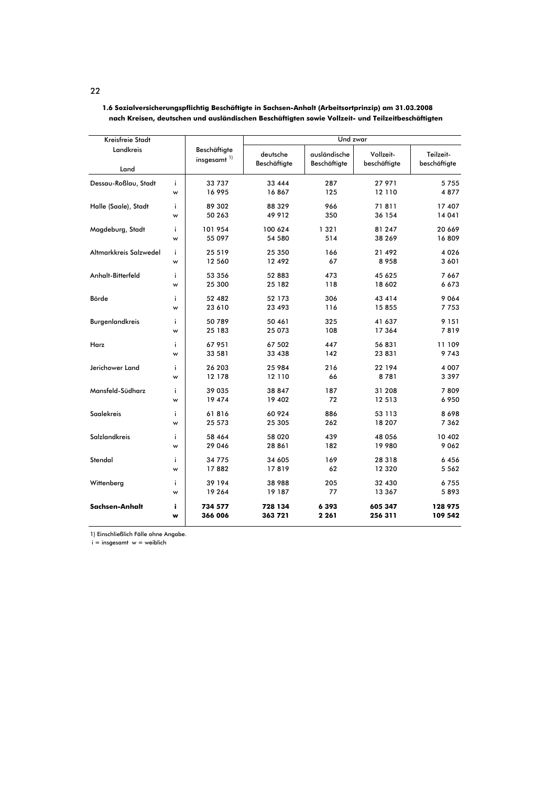| Kreisfreie Stadt       |         |                                         | Und zwar                 |                              |                           |                           |  |  |  |
|------------------------|---------|-----------------------------------------|--------------------------|------------------------------|---------------------------|---------------------------|--|--|--|
| Landkreis<br>Land      |         | Beschäftigte<br>insgesamt <sup>1)</sup> | deutsche<br>Beschäftigte | ausländische<br>Beschäftigte | Vollzeit-<br>beschäftigte | Teilzeit-<br>beschäftigte |  |  |  |
|                        |         |                                         |                          |                              |                           |                           |  |  |  |
| Dessau-Roßlau, Stadt   | j.<br>w | 33 737<br>16 995                        | 33 4 4 4<br>16867        | 287<br>125                   | 27 971<br>12 110          | 5755<br>4877              |  |  |  |
| Halle (Saale), Stadt   | i.      | 89 302                                  | 88 329                   | 966                          | 71811                     | 17 407                    |  |  |  |
|                        | W       | 50 263                                  | 49 9 12                  | 350                          | 36 154                    | 14 04 1                   |  |  |  |
| Magdeburg, Stadt       | j.      | 101 954                                 | 100 624                  | 1 3 2 1                      | 81 247                    | 20 669                    |  |  |  |
|                        | W       | 55 097                                  | 54 580                   | 514                          | 38 269                    | 16809                     |  |  |  |
| Altmarkkreis Salzwedel | i       | 25 5 19                                 | 25 350                   | 166                          | 21 492                    | 4 0 2 6                   |  |  |  |
|                        | w       | 12 560                                  | 12 492                   | 67                           | 8958                      | 3 601                     |  |  |  |
| Anhalt-Bitterfeld      | i.      | 53 356                                  | 52 883                   | 473                          | 45 625                    | 7 6 6 7                   |  |  |  |
|                        | w       | 25 300                                  | 25 182                   | 118                          | 18 602                    | 6673                      |  |  |  |
| Börde                  | ì       | 52 482                                  | 52 173                   | 306                          | 43 4 14                   | 9 0 6 4                   |  |  |  |
|                        | w       | 23 610                                  | 23 493                   | 116                          | 15 855                    | 7753                      |  |  |  |
| <b>Burgenlandkreis</b> | i.      | 50 789                                  | 50 461                   | 325                          | 41 637                    | 9 1 5 1                   |  |  |  |
|                        | w       | 25 183                                  | 25 073                   | 108                          | 17 364                    | 7819                      |  |  |  |
| Harz                   | i.      | 67 951                                  | 67 502                   | 447                          | 56 831                    | 11 109                    |  |  |  |
|                        | w       | 33 581                                  | 33 438                   | 142                          | 23 831                    | 9743                      |  |  |  |
| Jerichower Land        | i.      | 26 203                                  | 25 984                   | 216                          | 22 194                    | 4 0 0 7                   |  |  |  |
|                        | W       | 12 178                                  | 12 110                   | 66                           | 8781                      | 3 3 9 7                   |  |  |  |
| Mansfeld-Südharz       | i.      | 39 035                                  | 38 847                   | 187                          | 31 208                    | 7809                      |  |  |  |
|                        | w       | 19 474                                  | 19 402                   | 72                           | 12 5 13                   | 6 9 5 0                   |  |  |  |
| <b>Saalekreis</b>      | i       | 61816                                   | 60 924                   | 886                          | 53 113                    | 8698                      |  |  |  |
|                        | w       | 25 573                                  | 25 305                   | 262                          | 18 207                    | 7 3 6 2                   |  |  |  |
| <b>Salzlandkreis</b>   | i       | 58 464                                  | 58 020                   | 439                          | 48 056                    | 10 402                    |  |  |  |
|                        | w       | 29 046                                  | 28 861                   | 182                          | 19 980                    | 9 0 6 2                   |  |  |  |
| Stendal                | i.      | 34 775                                  | 34 605                   | 169                          | 28 3 18                   | 6456                      |  |  |  |
|                        | w       | 17882                                   | 17819                    | 62                           | 12 3 20                   | 5 5 6 2                   |  |  |  |
| Wittenberg             | i       | 39 194                                  | 38 988                   | 205                          | 32 430                    | 6755                      |  |  |  |
|                        | w       | 19 264                                  | 19 187                   | 77                           | 13 367                    | 5893                      |  |  |  |

728 134

363 721

6 3 9 3

2 2 6 1

605 347

256 311

128 975 109 542

1.6 Sozialversicherungspflichtig Beschäftigte in Sachsen-Anhalt (Arbeitsortprinzip) am 31.03.2008 nach Kreisen, deutschen und ausländischen Beschäftigten sowie Vollzeit- und Teilzeitbeschäftigten

1) Einschließlich Fälle ohne Angabe.

 $\mathbf{i}$ 

 $\mathbf{w}$ 

734 577

366 006

 $i =$  insgesamt  $w =$  weiblich

Sachsen-Anhalt

22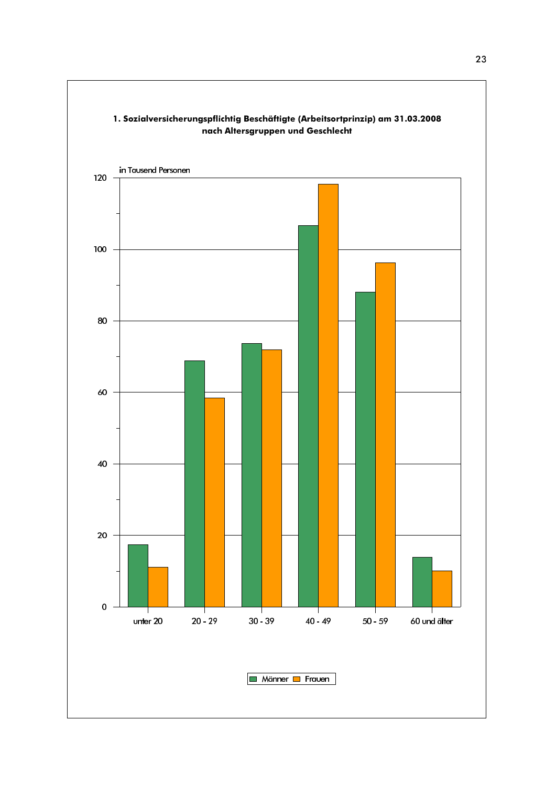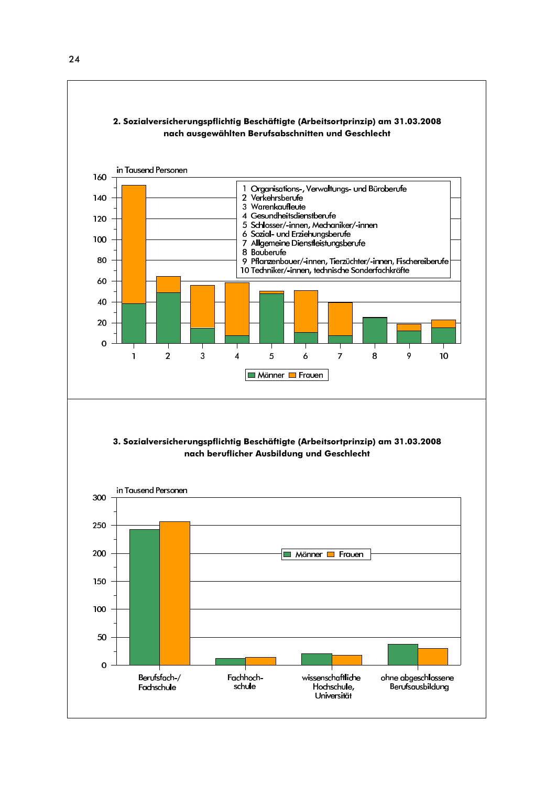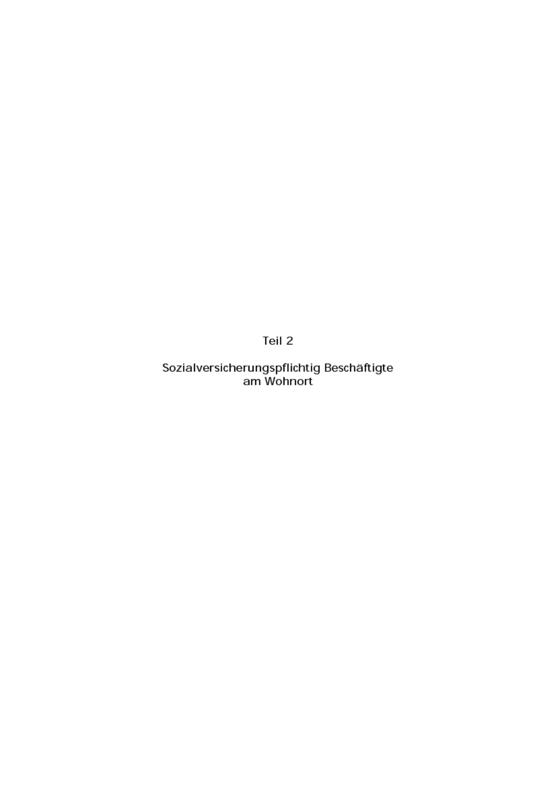Teil 2

Sozialversicherungspflichtig Beschäftigte am Wohnort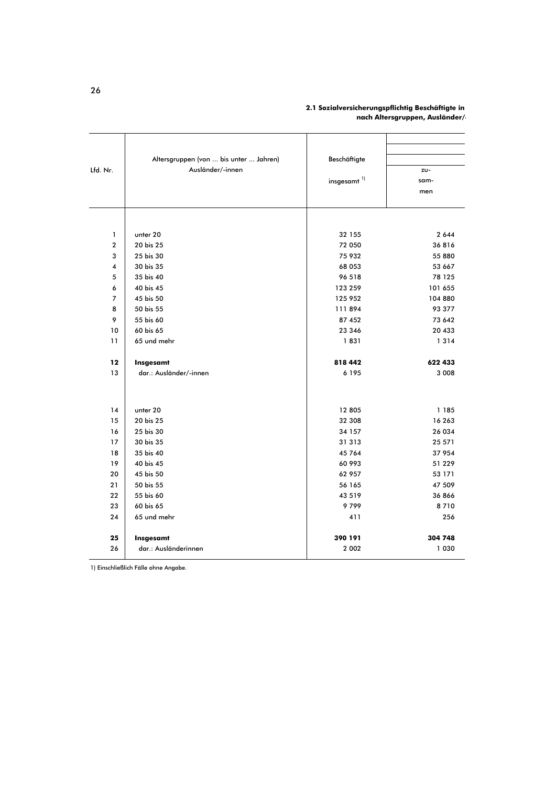| 2.1 Sozialversicherungspflichtig Beschäftigte in |
|--------------------------------------------------|
| nach Altersgruppen, Ausländer/                   |

|                | Altersgruppen (von  bis unter  Jahren) | Beschäftigte            |                  |
|----------------|----------------------------------------|-------------------------|------------------|
| Lfd. Nr.       | Ausländer/-innen                       |                         | zu-              |
|                |                                        | insgesamt <sup>1)</sup> | sam-             |
|                |                                        |                         | men              |
|                |                                        |                         |                  |
| $\mathbf{1}$   | unter 20                               | 32 155                  | 2 6 4 4          |
| $\mathbf{2}$   | 20 bis 25                              | 72 050                  | 36816            |
| 3              | 25 bis 30                              | 75 932                  | 55 880           |
| 4              | 30 bis 35                              | 68 053                  | 53 667           |
| 5              | 35 bis 40                              | 96 518                  | 78 125           |
| 6              | 40 bis 45                              | 123 259                 | 101 655          |
| $\overline{7}$ | 45 bis 50                              | 125 952                 | 104 880          |
| 8              | 50 bis 55                              | 111894                  | 93 377           |
| 9              | 55 bis 60                              | 87 452                  | 73 642           |
| 10             | 60 bis 65                              | 23 346                  | 20 433           |
| 11             | 65 und mehr                            | 1831                    | 1 3 1 4          |
| 12             | Insgesamt                              | 818 442                 | 622 433          |
| 13             | dar.: Ausländer/-innen                 | 6 1 9 5                 | 3 0 0 8          |
|                |                                        |                         |                  |
| 14             | unter 20                               | 12 805                  | 1 1 8 5          |
| 15             | 20 bis 25                              | 32 308                  | 16 263           |
| 16             | 25 bis 30                              | 34 157                  | 26 034           |
| 17             | 30 bis 35<br>35 bis 40                 | 31 313                  | 25 571           |
| 18<br>19       | 40 bis 45                              | 45 764<br>60 993        | 37 954           |
| 20             | 45 bis 50                              | 62 957                  | 51 229           |
| 21             | 50 bis 55                              | 56 165                  | 53 171<br>47 509 |
| 22             | 55 bis 60                              | 43 5 19                 | 36866            |
| 23             | 60 bis 65                              | 9799                    | 8710             |
| 24             | 65 und mehr                            | 411                     | 256              |
|                |                                        |                         |                  |
| 25             | Insgesamt                              | 390 191                 | 304 748          |
| 26             | dar.: Ausländerinnen                   | 2 0 0 2                 | 1 0 3 0          |

1) Einschließlich Fälle ohne Angabe.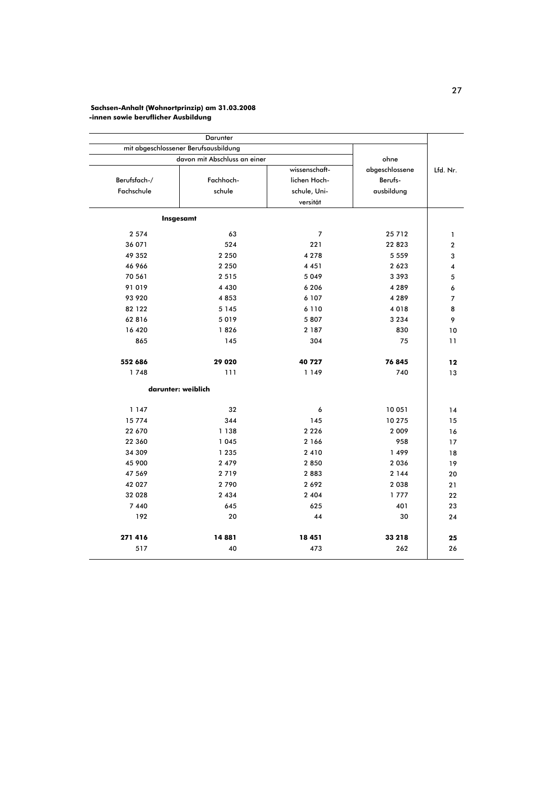## Sachsen-Anhalt (Wohnortprinzip) am 31.03.2008<br>-innen sowie beruflicher Ausbildung

|          |                                         |                                               | Darunter<br>mit abgeschlossener Berufsausbildung |                            |  |
|----------|-----------------------------------------|-----------------------------------------------|--------------------------------------------------|----------------------------|--|
|          | ohne                                    |                                               | davon mit Abschluss an einer                     |                            |  |
| Lfd. Nr. | abgeschlossene<br>Berufs-<br>ausbildung | wissenschaft-<br>lichen Hoch-<br>schule, Uni- | Fachhoch-<br>schule                              | Berufsfach-/<br>Fachschule |  |
|          |                                         | versität                                      |                                                  |                            |  |
|          |                                         |                                               |                                                  | Insgesamt                  |  |
|          | 25712                                   | 7                                             | 63                                               | 2 5 7 4                    |  |
|          | 22823                                   | 221                                           | 524                                              | 36 071                     |  |
|          | 5 5 5 9                                 | 4 2 7 8                                       | 2 2 5 0                                          | 49 352                     |  |
|          | 2 6 2 3                                 | 4 4 5 1                                       | 2 2 5 0                                          | 46 966                     |  |
|          | 3 3 9 3                                 | 5 0 4 9                                       | 2 5 1 5                                          | 70 561                     |  |
|          | 4 2 8 9                                 | 6 2 0 6                                       | 4 4 3 0                                          | 91 019                     |  |
|          | 4 2 8 9                                 | 6 107                                         | 4853                                             | 93 920                     |  |
|          | 4018                                    | 6 1 1 0                                       | 5 1 4 5                                          | 82 122                     |  |
|          | 3 2 3 4                                 | 5807                                          | 5019                                             | 62816                      |  |
|          | 830                                     | 2 187                                         | 1826                                             | 16 420                     |  |
|          | 75                                      | 304                                           | 145                                              | 865                        |  |
|          | 76845                                   | 40 727                                        | 29 0 20                                          | 552 686                    |  |
|          | 740                                     | 1 1 4 9                                       | 111                                              | 1748                       |  |
|          |                                         |                                               |                                                  | darunter: weiblich         |  |
|          | 10 051                                  | 6                                             | 32                                               | 1 1 4 7                    |  |
|          | 10275                                   | 145                                           | 344                                              | 15774                      |  |
|          | 2 0 0 9                                 | 2 2 2 6                                       | 1 1 3 8                                          | 22 670                     |  |
|          | 958                                     | 2 166                                         | 1 0 4 5                                          | 22 360                     |  |
|          | 1499                                    | 2 4 1 0                                       | 1 2 3 5                                          | 34 309                     |  |
|          | 2 0 3 6                                 | 2850                                          | 2 4 7 9                                          | 45 900                     |  |
|          | 2 1 4 4                                 | 2883                                          | 2719                                             | 47 569                     |  |
|          | 2 0 3 8                                 | 2692                                          | 2790                                             | 42 027                     |  |
|          | 1777                                    | 2 4 0 4                                       | 2 4 3 4                                          | 32 028                     |  |
|          | 401                                     | 625                                           | 645                                              | 7 4 4 0                    |  |
|          | 30                                      | 44                                            | 20                                               | 192                        |  |
|          | 33 218                                  | 18 451                                        | 14881                                            | 271 416                    |  |
|          | 262                                     | 473                                           | 40                                               | 517                        |  |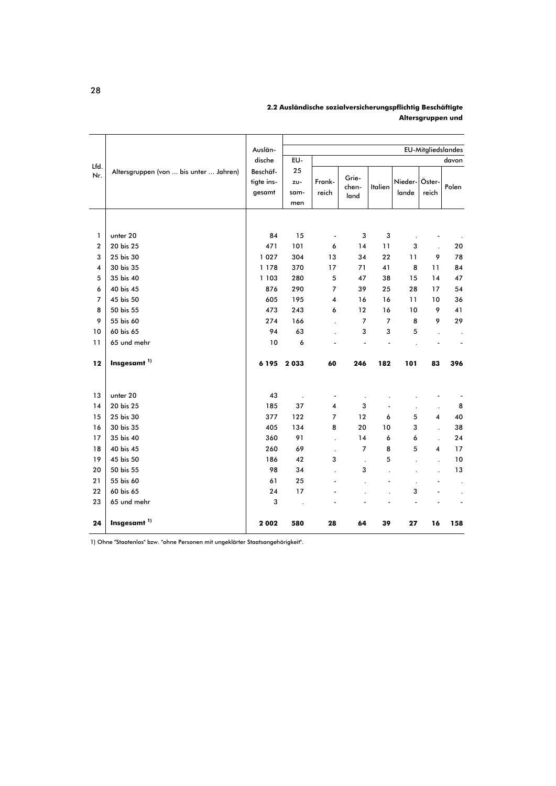|                         |                                        | Auslän-    |      |                          |                |                |                      | <b>EU-Mitgliedslandes</b> |                      |
|-------------------------|----------------------------------------|------------|------|--------------------------|----------------|----------------|----------------------|---------------------------|----------------------|
| Lfd.                    |                                        | dische     | EU-  |                          |                |                |                      |                           | davon                |
| Nr.                     | Altersgruppen (von  bis unter  Jahren) | Beschäf-   | 25   |                          | Grie-          |                |                      |                           |                      |
|                         |                                        | tigte ins- | zu-  | Frank-                   | chen-          | Italien        | Nieder-Öster-        |                           | Polen                |
|                         |                                        | gesamt     | sam- | reich                    | land           |                | lande                | reich                     |                      |
|                         |                                        |            | men  |                          |                |                |                      |                           |                      |
|                         |                                        |            |      |                          |                |                |                      |                           |                      |
| 1                       | unter 20                               | 84         | 15   | $\overline{\phantom{a}}$ | 3              | 3              | $\ddot{\phantom{0}}$ |                           |                      |
| $\overline{\mathbf{c}}$ | 20 bis 25                              | 471        | 101  | 6                        | 14             | 11             | 3                    |                           | 20                   |
| 3                       | 25 bis 30                              | 1 0 2 7    | 304  | 13                       | 34             | 22             | 11                   | 9                         | 78                   |
| 4                       | 30 bis 35                              | 1 1 7 8    | 370  | 17                       | 71             | 41             | 8                    | 11                        | 84                   |
| 5                       | 35 bis 40                              | 1 1 0 3    | 280  | 5                        | 47             | 38             | 15                   | 14                        | 47                   |
| 6                       | 40 bis 45                              | 876        | 290  | 7                        | 39             | 25             | 28                   | 17                        | 54                   |
| $\overline{7}$          | 45 bis 50                              | 605        | 195  | 4                        | 16             | 16             | 11                   | 10                        | 36                   |
| 8                       | 50 bis 55                              | 473        | 243  | 6                        | 12             | 16             | 10                   | 9                         | 41                   |
| 9                       | 55 bis 60                              | 274        | 166  | $\overline{a}$           | $\overline{7}$ | $\overline{7}$ | 8                    | 9                         | 29                   |
| 10                      | 60 bis 65                              | 94         | 63   |                          | 3              | 3              | 5                    |                           | $\cdot$              |
| 11                      | 65 und mehr                            | 10         | 6    |                          |                |                |                      |                           |                      |
|                         |                                        |            |      |                          |                |                |                      |                           |                      |
| 12                      | Insgesamt <sup>1)</sup>                | 6 1 9 5    | 2033 | 60                       | 246            | 182            | 101                  | 83                        | 396                  |
|                         |                                        |            |      |                          |                |                |                      |                           |                      |
| 13                      | unter 20                               | 43         |      |                          |                |                |                      |                           |                      |
| 14                      | 20 bis 25                              | 185        | 37   | $\overline{\mathbf{4}}$  | 3              |                |                      | $\cdot$                   | 8                    |
| 15                      | 25 bis 30                              | 377        | 122  | $\overline{7}$           | 12             | 6              | 5                    | 4                         | 40                   |
| 16                      | 30 bis 35                              | 405        | 134  | 8                        | 20             | 10             | 3                    |                           | 38                   |
| 17                      | 35 bis 40                              | 360        | 91   |                          | 14             | 6              | 6                    | $\ddot{\phantom{a}}$      | 24                   |
| 18                      | 40 bis 45                              | 260        | 69   | $\cdot$                  | $\overline{7}$ | 8              | 5                    | 4                         | 17                   |
| 19                      | 45 bis 50                              | 186        | 42   | 3                        | $\overline{a}$ | 5              |                      |                           | 10                   |
| 20                      | 50 bis 55                              | 98         | 34   | $\overline{a}$           | 3              |                |                      |                           | 13                   |
| 21                      | 55 bis 60                              | 61         | 25   | ÷,                       |                |                | $\cdot$              |                           | $\cdot$              |
| 22                      | 60 bis 65                              | 24         | 17   |                          |                |                | 3                    |                           | $\ddot{\phantom{0}}$ |
| 23                      | 65 und mehr                            | 3          |      |                          |                |                |                      |                           |                      |
| 24                      | Insgesamt <sup>1)</sup>                | 2002       | 580  | 28                       | 64             | 39             | 27                   | 16                        | 158                  |

2.2 Ausländische sozialversicherungspflichtig Beschäftigte Altersgruppen und

1) Ohne "Staatenlos" bzw. "ohne Personen mit ungeklärter Staatsangehörigkeit".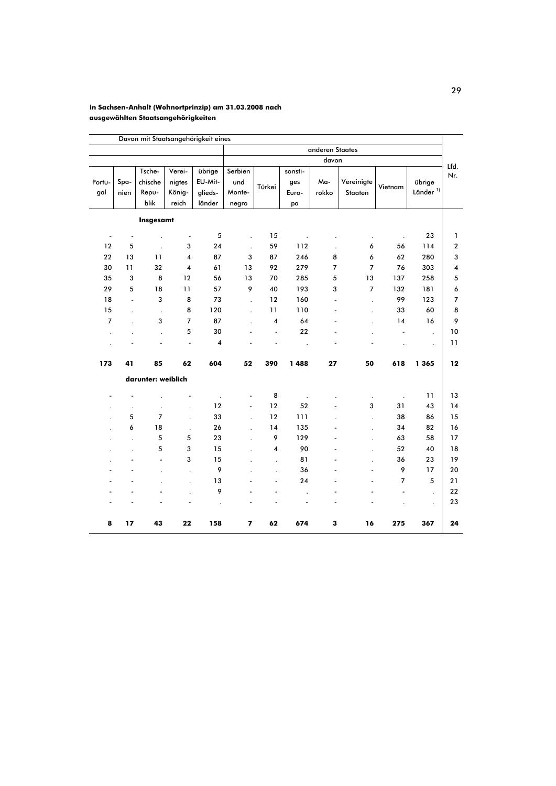#### in Sachsen-Anhalt (Wohnortprinzip) am 31.03.2008 nach ausgewählten Staatsangehörigkeiten

|                          |                          |                          |                          |         |                         |                         |                      | anderen Staates |                          |                |                      |                         |
|--------------------------|--------------------------|--------------------------|--------------------------|---------|-------------------------|-------------------------|----------------------|-----------------|--------------------------|----------------|----------------------|-------------------------|
|                          |                          |                          |                          |         |                         |                         |                      | davon           |                          |                |                      |                         |
|                          |                          | Tsche-                   | Verei-                   | übrige  | Serbien                 |                         | sonsti-              |                 |                          |                |                      | Lfd.                    |
| Portu-                   | Spa-                     | chische                  | nigtes                   | EU-Mit- | und                     |                         | ges                  | Ma-             | Vereinigte               |                | übrige               | Nr.                     |
| gal                      | nien                     | Repu-                    | König-                   | glieds- | Monte-                  | Türkei                  | Euro-                | rokko           | Staaten                  | Vietnam        | Länder <sup>1)</sup> |                         |
|                          |                          | blik                     | reich                    | länder  | negro                   |                         | pa                   |                 |                          |                |                      |                         |
|                          |                          | Insgesamt                |                          |         |                         |                         |                      |                 |                          |                |                      |                         |
| $\overline{\phantom{a}}$ | $\overline{\phantom{a}}$ | $\cdot$                  | $\overline{\phantom{a}}$ | 5       |                         | 15                      | $\cdot$              |                 | $\cdot$                  | $\blacksquare$ | 23                   | 1                       |
| 12                       | 5                        | $\ddot{\phantom{0}}$     | 3                        | 24      | $\ddot{\phantom{a}}$    | 59                      | 112                  | $\cdot$         | 6                        | 56             | 114                  | $\boldsymbol{2}$        |
| 22                       | 13                       | 11                       | 4                        | 87      | 3                       | 87                      | 246                  | 8               | 6                        | 62             | 280                  | 3                       |
| 30                       | 11                       | 32                       | 4                        | 61      | 13                      | 92                      | 279                  | $\overline{7}$  | $\overline{7}$           | 76             | 303                  | $\overline{\mathbf{4}}$ |
| 35                       | 3                        | 8                        | 12                       | 56      | 13                      | 70                      | 285                  | 5               | 13                       | 137            | 258                  | 5                       |
| 29                       | 5                        | 18                       | 11                       | 57      | 9                       | 40                      | 193                  | 3               | $\overline{7}$           | 132            | 181                  | 6                       |
| 18                       | $\overline{a}$           | 3                        | 8                        | 73      | $\ddot{\phantom{0}}$    | 12                      | 160                  | $\overline{a}$  | $\ddot{\phantom{0}}$     | 99             | 123                  | $\overline{7}$          |
| 15                       |                          | $\cdot$                  | 8                        | 120     | $\ddot{\phantom{0}}$    | 11                      | 110                  |                 | $\cdot$                  | 33             | 60                   | 8                       |
| 7                        |                          | 3                        | $\overline{7}$           | 87      | ÷                       | $\overline{\mathbf{4}}$ | 64                   |                 | $\overline{a}$           | 14             | 16                   | 9                       |
|                          |                          | $\ddot{\phantom{0}}$     | 5                        | 30      |                         | $\overline{a}$          | 22                   |                 |                          | $\overline{a}$ | $\ddot{\phantom{0}}$ | 10                      |
|                          |                          |                          | $\overline{\phantom{a}}$ | 4       |                         |                         | $\ddot{\phantom{a}}$ |                 |                          |                | $\cdot$              | 11                      |
| 173                      | 41                       | 85                       | 62                       | 604     | 52                      | 390                     | 1 4 8 8              | 27              | 50                       | 618            | 1 365                | 12                      |
|                          |                          | darunter: weiblich       |                          |         |                         |                         |                      |                 |                          |                |                      |                         |
|                          | L,                       |                          |                          |         |                         | 8                       |                      |                 |                          |                | 11                   | 13                      |
|                          |                          |                          | $\cdot$                  | 12      | $\overline{a}$          | 12                      | 52                   |                 | 3                        | 31             | 43                   | 14                      |
|                          | 5                        | $\overline{7}$           | $\cdot$                  | 33      | $\ddot{\phantom{0}}$    | 12                      | 111                  |                 | $\ddot{\phantom{0}}$     | 38             | 86                   | 15                      |
|                          | 6                        | 18                       | $\cdot$                  | 26      | $\ddot{\phantom{0}}$    | 14                      | 135                  |                 | $\overline{a}$           | 34             | 82                   | 16                      |
|                          | $\overline{a}$           | 5                        | 5                        | 23      |                         | 9                       | 129                  |                 | $\overline{a}$           | 63             | 58                   | 17                      |
|                          |                          | 5                        | 3                        | 15      |                         | 4                       | 90                   |                 |                          | 52             | 40                   | 18                      |
|                          | L,                       | $\overline{\phantom{a}}$ | 3                        | 15      |                         | $\ddot{\phantom{0}}$    | 81                   |                 |                          | 36             | 23                   | 19                      |
|                          |                          |                          | $\ddot{\phantom{0}}$     | 9       |                         |                         | 36                   |                 | $\overline{\phantom{a}}$ | 9              | 17                   | 20                      |
|                          |                          |                          | $\ddot{\phantom{0}}$     | 13      |                         | ä,                      | 24                   |                 | ÷,                       | $\overline{7}$ | 5                    | 21                      |
|                          |                          |                          | $\ddot{\phantom{a}}$     | 9       |                         |                         | $\cdot$              |                 |                          |                | $\cdot$              | 22                      |
|                          |                          |                          |                          |         |                         |                         |                      |                 |                          |                | $\cdot$              | 23                      |
| 8                        | 17                       | 43                       | 22                       | 158     | $\overline{\mathbf{z}}$ | 62                      | 674                  | 3               | 16                       | 275            | 367                  | 24                      |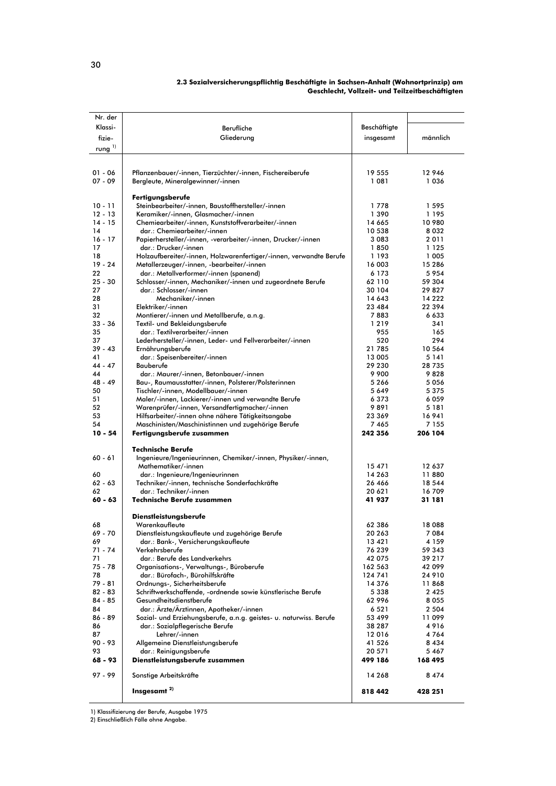| Nr. der         |                                                                                                      |                   |                 |
|-----------------|------------------------------------------------------------------------------------------------------|-------------------|-----------------|
| Klassi-         | Berufliche                                                                                           | Beschäftigte      |                 |
| fizie-          | Gliederung                                                                                           | insgesamt         | männlich        |
| rung $^{1)}$    |                                                                                                      |                   |                 |
|                 |                                                                                                      |                   |                 |
|                 |                                                                                                      |                   |                 |
| $01 - 06$       | Pflanzenbauer/-innen, Tierzüchter/-innen, Fischereiberufe                                            | 19 555            | 12 946          |
| $07 - 09$       | Bergleute, Mineralgewinner/-innen                                                                    | 1 0 8 1           | 1036            |
|                 | Fertigungsberufe                                                                                     |                   |                 |
| $10 - 11$       | Steinbearbeiter/-innen, Baustoffhersteller/-innen                                                    | 1778              | 1595            |
| $12 - 13$       | Keramiker/-innen, Glasmacher/-innen                                                                  | 1390              | 1195            |
| $14 - 15$       | Chemiearbeiter/-innen, Kunststoffverarbeiter/-innen                                                  | 14 665            | 10 980          |
| 14              | dar.: Chemiearbeiter/-innen                                                                          | 10 538            | 8 0 3 2         |
| $16 - 17$       | Papierhersteller/-innen, -verarbeiter/-innen, Drucker/-innen                                         | 3 0 8 3           | 2011            |
| 17              | dar.: Drucker/-innen                                                                                 | 1850              | 1 1 2 5         |
| 18              | Holzaufbereiter/-innen, Holzwarenfertiger/-innen, verwandte Berufe                                   | 1 1 9 3           | 1 005           |
| $19 - 24$       | Metallerzeuger/-innen, -bearbeiter/-innen                                                            | 16 003            | 15 2 8 6        |
| 22<br>$25 - 30$ | dar.: Metallverformer/-innen (spanend)<br>Schlosser/-innen, Mechaniker/-innen und zugeordnete Berufe | 6 1 7 3<br>62 110 | 5954<br>59 304  |
| 27              | dar.: Schlosser/-innen                                                                               | 30 104            | 29 827          |
| 28              | Mechaniker/-innen                                                                                    | 14 643            | 14 2 2 2        |
| 31              | Elektriker/-innen                                                                                    | 23 4 8 4          | 22 394          |
| 32              | Montierer/-innen und Metallberufe, a.n.g.                                                            | 7883              | 6 6 3 3         |
| $33 - 36$       | Textil- und Bekleidungsberufe                                                                        | 1219              | 341             |
| 35              | dar.: Textilverarbeiter/-innen                                                                       | 955               | 165             |
| 37              | Lederhersteller/-innen, Leder- und Fellverarbeiter/-innen                                            | 520               | 294             |
| $39 - 43$       | Ernährungsberufe                                                                                     | 21 785            | 10 564          |
| 41              | dar.: Speisenbereiter/-innen                                                                         | 13 005            | 5 141           |
| $44 - 47$<br>44 | Bauberufe                                                                                            | 29 230<br>9900    | 28 735<br>9828  |
| 48 - 49         | dar.: Maurer/-innen, Betonbauer/-innen<br>Bau-, Raumausstatter/-innen, Polsterer/Polsterinnen        | 5266              | 5056            |
| 50              | Tischler/-innen, Modellbauer/-innen                                                                  | 5 6 4 9           | 5 3 7 5         |
| 51              | Maler/-innen, Lackierer/-innen und verwandte Berufe                                                  | 6373              | 6059            |
| 52              | Warenprüfer/-innen, Versandfertigmacher/-innen                                                       | 9891              | 5 181           |
| 53              | Hilfsarbeiter/-innen ohne nähere Tätigkeitsangabe                                                    | 23 369            | 16941           |
| 54              | Maschinisten/Maschinistinnen und zugehörige Berufe                                                   | 7465              | 7 1 5 5         |
| $10 - 54$       | Fertigungsberufe zusammen                                                                            | 242 356           | 206 104         |
|                 | Technische Berufe                                                                                    |                   |                 |
| 60 - 61         | Ingenieure/Ingenieurinnen, Chemiker/-innen, Physiker/-innen,                                         |                   |                 |
|                 | Mathematiker/-innen                                                                                  | 15 471            | 12 637          |
| 60              | dar.: Ingenieure/Ingenieurinnen                                                                      | 14 263            | 11880           |
| $62 - 63$       | Techniker/-innen, technische Sonderfachkräfte                                                        | 26 466            | 18 5 4 4        |
| 62              | dar.: Techniker/-innen                                                                               | 20 621            | 16709           |
| $60 - 63$       | <b>Technische Berufe zusammen</b>                                                                    | 41 937            | 31 181          |
|                 |                                                                                                      |                   |                 |
|                 | <b>Dienstleistungsberufe</b>                                                                         |                   |                 |
| 68<br>69 - 70   | Warenkaufleute                                                                                       | 62 386<br>20 263  | 18 088<br>7 084 |
| 69              | Dienstleistungskaufleute und zugehörige Berufe<br>dar.: Bank-, Versicherungskaufleute                | 13 4 21           | 4 159           |
| 71 - 74         | Verkehrsberufe                                                                                       | 76 239            | 59 343          |
| 71              | dar.: Berufe des Landverkehrs                                                                        | 42 075            | 39 217          |
| 75 - 78         | Organisations-, Verwaltungs-, Büroberufe                                                             | 162 563           | 42 099          |
| 78              | dar.: Bürofach-, Bürohilfskräfte                                                                     | 124 741           | 24 910          |
| 79 - 81         | Ordnungs-, Sicherheitsberufe                                                                         | 14 376            | 11868           |
| $82 - 83$       | Schriftwerkschaffende, -ordnende sowie künstlerische Berufe                                          | 5 3 3 8           | 2425            |
| 84 - 85         | Gesundheitsdienstberufe                                                                              | 62 996            | 8 0 5 5         |
| 84              | dar.: Ärzte/Ärztinnen, Apotheker/-innen                                                              | 6 5 2 1           | 2 5 0 4         |
| 86 - 89         | Sozial- und Erziehungsberufe, a.n.g. geistes- u. naturwiss. Berufe                                   | 53 499            | 11 099          |
| 86              | dar.: Sozialpflegerische Berufe                                                                      | 38 287            | 4 9 1 6         |
| 87<br>90 - 93   | Lehrer/-innen                                                                                        | 12016             | 4 764<br>8434   |
| 93              | Allgemeine Dienstleistungsberufe<br>dar.: Reinigungsberufe                                           | 41 526<br>20 571  | 5 467           |
| 68 - 93         | Dienstleistungsberufe zusammen                                                                       | 499 186           | 168 495         |
|                 |                                                                                                      |                   |                 |
| 97 - 99         | Sonstige Arbeitskräfte                                                                               | 14 268            | 8474            |
|                 |                                                                                                      |                   |                 |
|                 | Insgesamt <sup>2)</sup>                                                                              | 818 442           | 428 251         |

#### 2.3 Sozialversicherungspflichtig Beschäftigte in Sachsen-Anhalt (Wohnortprinzip) am Geschlecht, Vollzeit- und Teilzeitbeschäftigten

1) Klassifizierung der Berufe, Ausgabe 1975<br>2) Einschließlich Fälle ohne Angabe.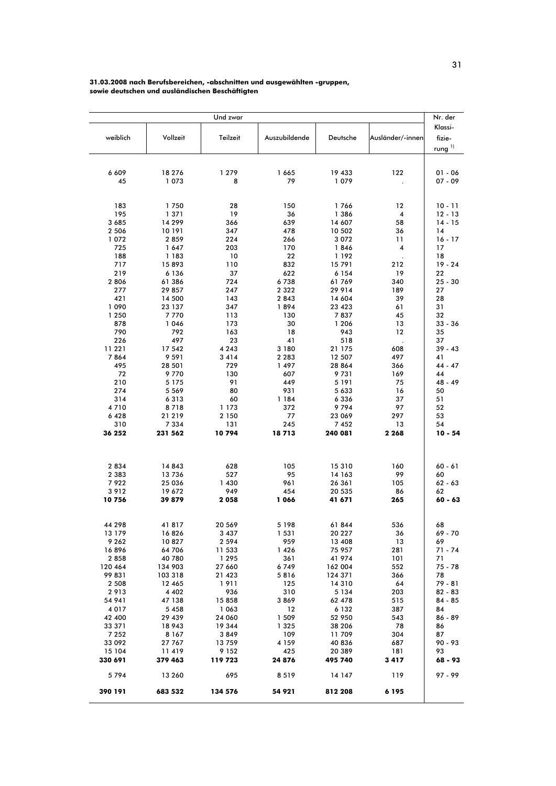#### 31.03.2008 nach Berufsbereichen, -abschnitten und ausgewählten -gruppen, sowie deutschen und ausländischen Beschäftigten

|                    |                   | Und zwar          |                 |                  |                  | Nr. der         |
|--------------------|-------------------|-------------------|-----------------|------------------|------------------|-----------------|
|                    |                   |                   |                 |                  |                  | Klassi-         |
| weiblich           | Vollzeit          | Teilzeit          | Auszubildende   | Deutsche         | Ausländer/-innen | fizie-          |
|                    |                   |                   |                 |                  |                  |                 |
|                    |                   |                   |                 |                  |                  | rung $^{1)}$    |
|                    |                   |                   |                 |                  |                  |                 |
| 6 609              | 18 276            | 1 2 7 9           | 1 665           | 19 433           | 122              | 01 - 06         |
| 45                 | 1073              | 8                 | 79              | 1079             |                  | 07 - 09         |
|                    |                   |                   |                 |                  |                  |                 |
|                    |                   |                   |                 |                  |                  |                 |
| 183                | 1750              | 28                | 150             | 1766             | 12               | $10 - 11$       |
| 195                | 1 371             | 19                | 36              | 1 3 8 6          | 4                | $12 - 13$       |
| 3 6 8 5            | 14 299            | 366               | 639             | 14 607           | 58               | $14 - 15$       |
| 2 5 0 6            | 10 191            | 347               | 478             | 10 502           | 36               | 14              |
| 1072               | 2859              | 224               | 266             | 3 0 7 2          | 11               | $16 - 17$       |
| 725                | 1647              | 203               | 170             | 1846             | 4                | 17              |
| 188                | 1 183             | 10                | 22              | 1 192            |                  | 18              |
| 717                | 15893             | 110               | 832             | 15791            | 212              | $19 - 24$       |
| 219                | 6 1 3 6           | 37                | 622             | 6 1 5 4          | 19               | 22              |
| 2 8 0 6            | 61 386            | 724               | 6738            | 61769            | 340              | 25 - 30         |
| 277                | 29 857            | 247               | 2 3 2 2         | 29 9 14          | 189              | 27              |
| 421                | 14 500            | 143               | 2843            | 14 604           | 39               | 28              |
| 1090               | 23 137            | 347               | 1894            | 23 423           | 61               | 31              |
| 1 2 5 0            | 7770              | 113               | 130             | 7837             | 45               | 32              |
| 878                | 1046              | 173               | 30              | 1 206            | 13               | $33 - 36$       |
| 790                | 792               | 163               | 18              | 943              | 12               | 35              |
| 226                | 497               | 23<br>4 2 4 3     | 41              | 518              |                  | 37              |
| 11 221<br>7864     | 17 542<br>9 5 9 1 |                   | 3 180           | 21 175           | 608<br>497       | $39 - 43$<br>41 |
| 495                | 28 501            | 3414<br>729       | 2 2 8 3<br>1497 | 12 507<br>28 864 | 366              | 44 - 47         |
| 72                 | 9770              | 130               | 607             | 9731             | 169              | 44              |
| 210                | 5 1 7 5           | 91                | 449             | 5 1 9 1          | 75               | 48 - 49         |
| 274                | 5 5 6 9           | 80                | 931             | 5 6 3 3          | 16               | 50              |
| 314                | 6313              | 60                | 1 184           | 6 3 3 6          | 37               | 51              |
| 4710               | 8718              | 1 173             | 372             | 9 794            | 97               | 52              |
| 6428               | 21 219            | 2 150             | 77              | 23 069           | 297              | 53              |
| 310                | 7 3 3 4           | 131               | 245             | 7452             | 13               | 54              |
| 36 252             | 231 562           | 10794             | 18713           | 240 081          | 2 2 6 8          | $10 - 54$       |
|                    |                   |                   |                 |                  |                  |                 |
|                    |                   |                   |                 |                  |                  |                 |
|                    |                   |                   | 105             |                  |                  |                 |
| 2 8 3 4<br>2 3 8 3 | 14 843<br>13736   | 628<br>527        | 95              | 15310<br>14 163  | 160<br>99        | 60 - 61<br>60   |
| 7922               | 25 036            | 1430              | 961             | 26 361           | 105              | 62 - 63         |
| 3912               | 19 672            | 949               | 454             | 20 535           | 86               | 62              |
| 10756              | 39879             | 2058              | 1 066           | 41 671           | 265              | $60 - 63$       |
|                    |                   |                   |                 |                  |                  |                 |
|                    |                   |                   |                 |                  |                  |                 |
| 44 298             | 41817             | 20 569            | 5 1 9 8         | 61844            | 536              | 68              |
| 13 179             | 16826             | 3437              | 1531            | 20 227           | 36               | 69 - 70         |
| 9 2 6 2            | 10827             | 2 5 9 4           | 959             | 13 408           | 13               | 69              |
| 16896              | 64 706            | 11 533            | 1 4 2 6         | 75 957           | 281              | $71 - 74$       |
| 2 8 5 8            | 40 780            | 1 2 9 5           | 361             | 41 974           | 101              | 71              |
| 120 464            | 134 903           | 27 660            | 6749            | 162 004          | 552              | 75 - 78         |
| 99 831             | 103 318           | 21 423            | 5816            | 124 371          | 366              | 78              |
| 2 5 0 8            | 12 465            | 1911              | 125             | 14 3 10          | 64               | 79 - 81         |
| 2913               | 4 4 0 2           | 936               | 310             | 5 1 3 4          | 203              | 82 - 83         |
| 54 941             | 47 138            | 15 858            | 3869            | 62 478           | 515              | $84 - 85$       |
| 4017<br>42 400     | 5458<br>29 439    | 1 0 6 3<br>24 060 | 12<br>1 509     | 6 1 3 2          | 387<br>543       | 84<br>86 - 89   |
| 33 371             | 18 943            | 19 344            | 1 3 2 5         | 52 950<br>38 206 | 78               | 86              |
| 7 2 5 2            | 8 1 6 7           | 3849              | 109             | 11709            | 304              | 87              |
| 33 092             | 27 767            | 13759             | 4 1 5 9         | 40 836           | 687              | 90 - 93         |
| 15 104             | 11419             | 9 1 5 2           | 425             | 20 389           | 181              | 93              |
| 330 691            | 379 463           | 119 723           | 24 876          | 495 740          | 3417             | 68 - 93         |
| 5794               | 13 260            | 695               | 8519            | 14 147           | 119              | $97 - 99$       |
| 390 191            | 683 532           | 134 576           | 54 921          | 812 208          | 6 1 9 5          |                 |
|                    |                   |                   |                 |                  |                  |                 |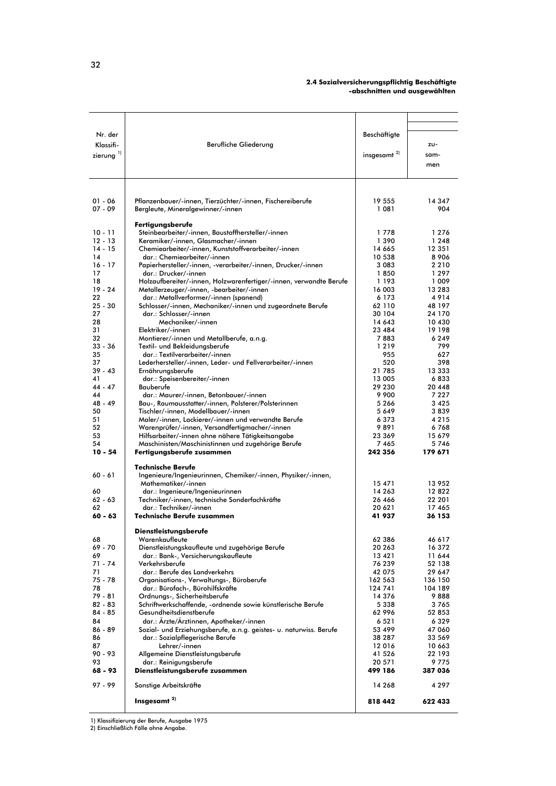#### 2.4 Sozialversicherungspflichtig Beschäftigte -abschnitten und ausgewählten

| Nr. der        |                                                                    | Beschäftigte      |          |
|----------------|--------------------------------------------------------------------|-------------------|----------|
|                |                                                                    |                   |          |
| Klassifi-      | Berufliche Gliederung                                              |                   | ZU-      |
| zierung $^{1}$ |                                                                    | insgesamt $^{2)}$ | sam-     |
|                |                                                                    |                   | men      |
|                |                                                                    |                   |          |
|                |                                                                    |                   |          |
|                |                                                                    |                   |          |
|                |                                                                    |                   |          |
| $01 - 06$      | Pflanzenbauer/-innen, Tierzüchter/-innen, Fischereiberufe          | 19 555            | 14 347   |
| $07 - 09$      | Bergleute, Mineralgewinner/-innen                                  | 1 081             | 904      |
|                |                                                                    |                   |          |
|                | Fertigungsberufe                                                   |                   |          |
| $10 - 11$      | Steinbearbeiter/-innen, Baustoffhersteller/-innen                  | 1778              | 1 2 7 6  |
| $12 - 13$      | Keramiker/-innen, Glasmacher/-innen                                | 1 390             | 1 2 4 8  |
| $14 - 15$      | Chemiearbeiter/-innen, Kunststoffverarbeiter/-innen                | 14 665            | 12 351   |
| 14             |                                                                    |                   |          |
|                | dar.: Chemiearbeiter/-innen                                        | 10 538            | 8906     |
| $16 - 17$      | Papierhersteller/-innen, -verarbeiter/-innen, Drucker/-innen       | 3 0 8 3           | 2 2 1 0  |
| 17             | dar.: Drucker/-innen                                               | 1850              | 1 2 9 7  |
| 18             | Holzaufbereiter/-innen, Holzwarenfertiger/-innen, verwandte Berufe | 1 1 9 3           | 1 009    |
| $19 - 24$      | Metallerzeuger/-innen, -bearbeiter/-innen                          | 16 003            | 13 2 8 3 |
| 22             | dar.: Metallverformer/-innen (spanend)                             | 6 1 7 3           | 4914     |
| $25 - 30$      | Schlosser/-innen, Mechaniker/-innen und zugeordnete Berufe         | 62 110            | 48 197   |
| 27             | dar.: Schlosser/-innen                                             | 30 104            | 24 170   |
| 28             | Mechaniker/-innen                                                  | 14 643            | 10 430   |
| 31             | Elektriker/-innen                                                  | 23 484            | 19 198   |
| 32             | Montierer/-innen und Metallberufe, a.n.g.                          | 7883              | 6249     |
| $33 - 36$      | Textil- und Bekleidungsberufe                                      | 1219              | 799      |
| 35             | dar.: Textilverarbeiter/-innen                                     | 955               | 627      |
| 37             | Lederhersteller/-innen, Leder- und Fellverarbeiter/-innen          | 520               | 398      |
| $39 - 43$      |                                                                    | 21785             |          |
|                | Ernährungsberufe                                                   |                   | 13 333   |
| 41             | dar.: Speisenbereiter/-innen                                       | 13 005            | 6833     |
| $44 - 47$      | Bauberufe                                                          | 29 230            | 20 448   |
| 44             | dar.: Maurer/-innen, Betonbauer/-innen                             | 9 9 0 0           | 7 2 2 7  |
| 48 - 49        | Bau-, Raumausstatter/-innen, Polsterer/Polsterinnen                | 5266              | 3 4 2 5  |
| 50             | Tischler/-innen, Modellbauer/-innen                                | 5 649             | 3839     |
| 51             | Maler/-innen, Lackierer/-innen und verwandte Berufe                | 6373              | 4 2 1 5  |
| 52             | Warenprüfer/-innen, Versandfertigmacher/-innen                     | 9891              | 6768     |
| 53             | Hilfsarbeiter/-innen ohne nähere Tätigkeitsangabe                  | 23 369            | 15 679   |
| 54             | Maschinisten/Maschinistinnen und zugehörige Berufe                 | 7 4 6 5           | 5746     |
| $10 - 54$      | Fertigungsberufe zusammen                                          | 242 356           | 179 671  |
|                |                                                                    |                   |          |
|                | <b>Technische Berufe</b>                                           |                   |          |
| $60 - 61$      | Ingenieure/Ingenieurinnen, Chemiker/-innen, Physiker/-innen,       |                   |          |
|                | Mathematiker/-innen                                                | 15 471            | 13 952   |
| 60             | dar.: Ingenieure/Ingenieurinnen                                    | 14 263            | 12822    |
| $62 - 63$      | Techniker/-innen, technische Sonderfachkräfte                      | 26 466            | 22 201   |
| 62             | dar.: Techniker/-innen                                             | 20 621            | 17465    |
| $60 - 63$      | <b>Technische Berufe zusammen</b>                                  | 41 937            | 36 153   |
|                |                                                                    |                   |          |
|                | Dienstleistungsberufe                                              |                   |          |
|                |                                                                    |                   |          |
| 68<br>69 - 70  | Warenkaufleute                                                     | 62 386            | 46 617   |
|                | Dienstleistungskaufleute und zugehörige Berufe                     | 20 263            | 16 372   |
| 69             | dar.: Bank-, Versicherungskaufleute                                | 13 4 21           | 11 644   |
| 71 - 74        | Verkehrsberufe                                                     | 76 239            | 52 138   |
| 71             | dar.: Berufe des Landverkehrs                                      | 42 075            | 29 647   |
| $75 - 78$      | Organisations-, Verwaltungs-, Büroberufe                           | 162 563           | 136 150  |
| 78             | dar.: Bürofach-, Bürohilfskräfte                                   | 124 741           | 104 189  |
| $79 - 81$      | Ordnungs-, Sicherheitsberufe                                       | 14 376            | 9888     |
| $82 - 83$      | Schriftwerkschaffende, -ordnende sowie künstlerische Berufe        | 5 338             | 3 765    |
| 84 - 85        | Gesundheitsdienstberufe                                            | 62 996            | 52 853   |
| 84             | dar.: Ärzte/Ärztinnen, Apotheker/-innen                            | 6 5 2 1           | 6329     |
| $86 - 89$      | Sozial- und Erziehungsberufe, a.n.g. geistes- u. naturwiss. Berufe | 53 499            | 47 060   |
| 86             | dar.: Sozialpflegerische Berufe                                    | 38 287            | 33 569   |
| 87             | Lehrer/-innen                                                      | 12016             | 10 663   |
| 90 - 93        |                                                                    |                   |          |
|                | Allgemeine Dienstleistungsberufe                                   | 41 526            | 22 193   |
| 93             | dar.: Reinigungsberufe                                             | 20 571            | 9775     |
| 68 - 93        | Dienstleistungsberufe zusammen                                     | 499 186           | 387 036  |
| $97 - 99$      | Sonstige Arbeitskräfte                                             | 14 268            | 4 2 9 7  |
|                |                                                                    |                   |          |
|                | Insgesamt <sup>2)</sup>                                            | 818 442           | 622 433  |
|                |                                                                    |                   |          |

1) Klassifizierung der Berufe, Ausgabe 1975<br>2) Einschließlich Fälle ohne Angabe.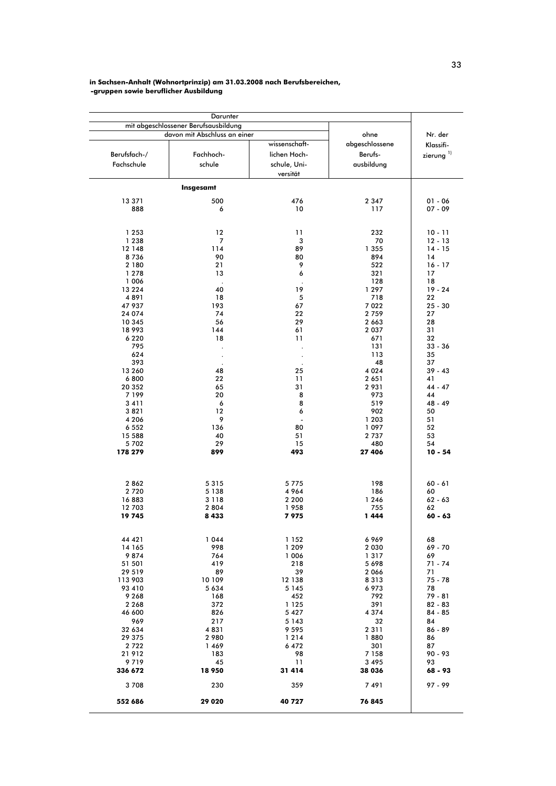#### in Sachsen-Anhalt (Wohnortprinzip) am 31.03.2008 nach Berufsbereichen, -gruppen sowie beruflicher Ausbildung

|                   | Darunter                             |                   |                   |                       |
|-------------------|--------------------------------------|-------------------|-------------------|-----------------------|
|                   | mit abgeschlossener Berufsausbildung |                   |                   |                       |
|                   | davon mit Abschluss an einer         |                   | ohne              | Nr. der               |
|                   |                                      | wissenschaft-     | abgeschlossene    | Klassifi-             |
| Berufsfach-/      | Fachhoch-                            | lichen Hoch-      | Berufs-           | zierung <sup>1)</sup> |
| Fachschule        | schule                               | schule, Uni-      | ausbildung        |                       |
|                   |                                      | versität          |                   |                       |
|                   | Insgesamt                            |                   |                   |                       |
|                   |                                      |                   |                   |                       |
| 13 371            | 500                                  | 476               | 2 3 4 7           | $01 - 06$             |
| 888               | 6                                    | 10                | 117               | $07 - 09$             |
|                   |                                      |                   |                   |                       |
| 1 2 5 3           | 12                                   | 11                | 232               | $10 - 11$             |
| 1 2 3 8           | 7                                    | 3                 | 70                | $12 - 13$             |
| 12 148            | 114                                  | 89                | 1 355             | $14 - 15$             |
| 8736              | 90                                   | 80                | 894               | 14                    |
| 2 180             | 21                                   | 9                 | 522               | $16 - 17$             |
| 1 2 7 8           | 13                                   | 6                 | 321               | 17                    |
| 1 0 0 6           |                                      |                   | 128               | 18                    |
| 13 2 2 4<br>4891  | 40<br>18                             | 19<br>$\sqrt{5}$  | 1 2 9 7<br>718    | $19 - 24$<br>22       |
| 47 937            | 193                                  | 67                | 7 0 2 2           | $25 - 30$             |
| 24 074            | 74                                   | 22                | 2 7 5 9           | 27                    |
| 10 345            | 56                                   | 29                | 2 6 6 3           | 28                    |
| 18 993            | 144                                  | 61                | 2 0 3 7           | 31                    |
| 6 2 2 0           | 18                                   | 11                | 671               | 32                    |
| 795               |                                      |                   | 131               | $33 - 36$             |
| 624               |                                      |                   | 113               | 35                    |
| 393               |                                      |                   | 48                | 37                    |
| 13 260            | 48                                   | 25                | 4 0 2 4           | $39 - 43$             |
| 6800              | 22                                   | 11                | 2 651             | 41                    |
| 20 352<br>7 199   | 65<br>20                             | 31<br>8           | 2931<br>973       | $44 - 47$<br>44       |
| 3411              | 6                                    | 8                 | 519               | 48 - 49               |
| 3821              | 12                                   | 6                 | 902               | 50                    |
| 4 2 0 6           | 9                                    |                   | 1 203             | 51                    |
| 6 5 5 2           | 136                                  | 80                | 1097              | 52                    |
| 15 588            | 40                                   | 51                | 2 7 3 7           | 53                    |
| 5702              | 29                                   | 15                | 480               | 54                    |
| 178 279           | 899                                  | 493               | 27 406            | $10 - 54$             |
|                   |                                      |                   |                   |                       |
| 2862              | 5315                                 | 5775              | 198               | $60 - 61$             |
| 2720              | 5 1 3 8                              | 4964              | 186               | 60                    |
| 16883             | 3 1 1 8                              | 2 2 0 0           | 1 2 4 6           | $62 - 63$             |
| 12 703            | 2 8 0 4                              | 1958              | 755               | 62                    |
| 19745             | 8433                                 | 7975              | 1444              | $60 - 63$             |
|                   |                                      |                   |                   |                       |
| 44 42 1           | 1044                                 | 1 1 5 2           | 6969              | 68                    |
| 14 165            | 998                                  | 1 2 0 9           | 2 0 3 0           | 69 - 70               |
| 9874              | 764                                  | 1 0 0 6           | 1317              | 69                    |
| 51 501            | 419                                  | 218               | 5698              | $71 - 74$             |
| 29 519            | 89<br>10 109                         | 39                | 2 0 6 6           | 71                    |
| 113 903<br>93 410 | 5 6 3 4                              | 12 138<br>5 1 4 5 | 8313<br>6 973     | 75 - 78<br>78         |
| 9 2 6 8           | 168                                  | 452               | 792               | 79 - 81               |
| 2 2 6 8           | 372                                  | 1 1 2 5           | 391               | 82 - 83               |
| 46 600            | 826                                  | 5 4 2 7           | 4 3 7 4           | $84 - 85$             |
| 969               | 217                                  | 5 1 4 3           | 32                | 84                    |
| 32 634            | 4831                                 | 9 5 9 5           | 2 3 1 1           | $86 - 89$             |
| 29 375            | 2 9 8 0                              | 1214              | 1880              | 86                    |
| 2722              | 1469                                 | 6472              | 301               | 87                    |
| 21912             | 183                                  | 98                | 7 1 5 8           | 90 - 93               |
| 9719<br>336 672   | 45<br>18 950                         | 11<br>31 414      | 3 4 9 5<br>38 036 | 93<br>68 - 93         |
| 3708              | 230                                  | 359               | 7491              | $97 - 99$             |
|                   |                                      |                   |                   |                       |
| 552 686           | 29 0 20                              | 40 727            | 76 845            |                       |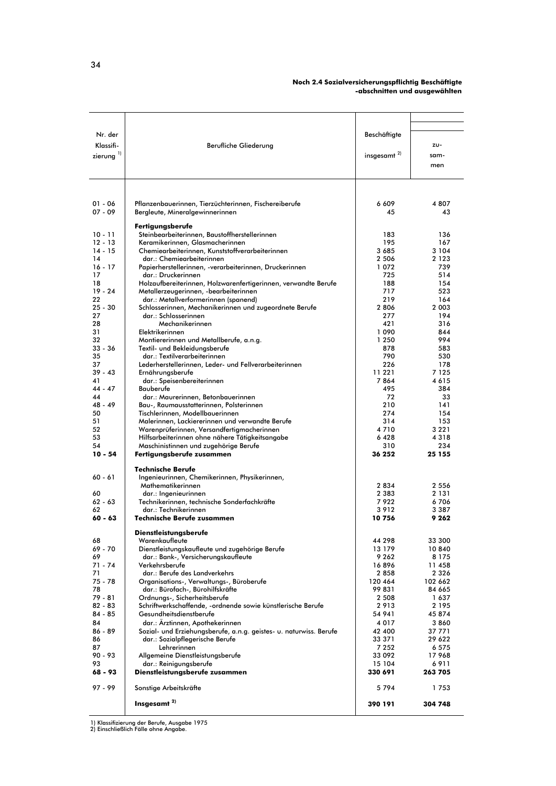#### Noch 2.4 Sozialversicherungspflichtig Beschäftigte -abschnitten und ausgewählten

| Nr. der<br>Klassifi-<br>zierung $^{1}$ | Berufliche Gliederung                                                                                 | Beschäftigte<br>insgesamt <sup>2)</sup> | ZU-<br>sam-<br>men |
|----------------------------------------|-------------------------------------------------------------------------------------------------------|-----------------------------------------|--------------------|
|                                        |                                                                                                       |                                         |                    |
| $01 - 06$<br>$07 - 09$                 | Pflanzenbauerinnen, Tierzüchterinnen, Fischereiberufe<br>Bergleute, Mineralgewinnerinnen              | 6 609<br>45                             | 4807<br>43         |
| $10 - 11$                              | Fertigungsberufe                                                                                      |                                         |                    |
| $12 - 13$                              | Steinbearbeiterinnen, Baustoffherstellerinnen<br>Keramikerinnen, Glasmacherinnen                      | 183<br>195                              | 136<br>167         |
| $14 - 15$                              | Chemiearbeiterinnen, Kunststoffverarbeiterinnen                                                       | 3685                                    | 3 1 0 4            |
| 14                                     | dar.: Chemiearbeiterinnen                                                                             | 2 5 0 6                                 | 2 1 2 3            |
| $16 - 17$<br>17                        | Papierherstellerinnen, -verarbeiterinnen, Druckerinnen<br>dar.: Druckerinnen                          | 1072<br>725                             | 739<br>514         |
| 18                                     | Holzaufbereiterinnen, Holzwarenfertigerinnen, verwandte Berufe                                        | 188                                     | 154                |
| $19 - 24$                              | Metallerzeugerinnen, -bearbeiterinnen                                                                 | 717                                     | 523                |
| 22                                     | dar.: Metallverformerinnen (spanend)                                                                  | 219                                     | 164                |
| $25 - 30$<br>27                        | Schlosserinnen, Mechanikerinnen und zugeordnete Berufe<br>dar.: Schlosserinnen                        | 2806<br>277                             | 2 0 0 3<br>194     |
| 28                                     | Mechanikerinnen                                                                                       | 421                                     | 316                |
| 31                                     | Elektrikerinnen                                                                                       | 1 0 9 0                                 | 844                |
| 32                                     | Montiererinnen und Metallberufe, a.n.g.                                                               | 1 250                                   | 994                |
| $33 - 36$<br>35                        | Textil- und Bekleidungsberufe<br>dar.: Textilverarbeiterinnen                                         | 878<br>790                              | 583<br>530         |
| 37                                     | Lederherstellerinnen, Leder- und Fellverarbeiterinnen                                                 | 226                                     | 178                |
| $39 - 43$                              | Ernährungsberufe                                                                                      | 11 221                                  | 7 1 2 5            |
| 41                                     | dar.: Speisenbereiterinnen                                                                            | 7864                                    | 4615               |
| $44 - 47$<br>44                        | Bauberufe<br>dar.: Maurerinnen, Betonbauerinnen                                                       | 495<br>72                               | 384<br>33          |
| $48 - 49$                              | Bau-, Raumausstatterinnen, Polsterinnen                                                               | 210                                     | 141                |
| 50                                     | Tischlerinnen, Modellbauerinnen                                                                       | 274                                     | 154                |
| 51                                     | Malerinnen, Lackiererinnen und verwandte Berufe                                                       | 314                                     | 153                |
| 52<br>53                               | Warenprüferinnen, Versandfertigmacherinnen<br>Hilfsarbeiterinnen ohne nähere Tätigkeitsangabe         | 4710<br>6428                            | 3 2 2 1<br>4 3 1 8 |
| 54                                     | Maschinistinnen und zugehörige Berufe                                                                 | 310                                     | 234                |
| $10 - 54$                              | Fertigungsberufe zusammen                                                                             | 36 252                                  | 25 155             |
|                                        | <b>Technische Berufe</b>                                                                              |                                         |                    |
| $60 - 61$                              | Ingenieurinnen, Chemikerinnen, Physikerinnen,                                                         |                                         | 2 5 5 6            |
| 60                                     | Mathematikerinnen<br>dar.: Ingenieurinnen                                                             | 2834<br>2 3 8 3                         | 2 1 3 1            |
| $62 - 63$                              | Technikerinnen, technische Sonderfachkräfte                                                           | 7922                                    | 6706               |
| 62                                     | dar.: Technikerinnen                                                                                  | 3912                                    | 3 3 8 7            |
| $60 - 63$                              | <b>Technische Berufe zusammen</b>                                                                     | 10756                                   | 9 262              |
| 68                                     | <b>Dienstleistungsberufe</b><br>Warenkaufleute                                                        | 44 298                                  | 33 300             |
| 69 - 70                                | Dienstleistungskaufleute und zugehörige Berufe                                                        | 13 179                                  | 10840              |
| 69                                     | dar.: Bank-, Versicherungskaufleute                                                                   | 9 2 6 2                                 | 8 1 7 5            |
| $71 - 74$                              | Verkehrsberufe                                                                                        | 16896                                   | 11458              |
| 71<br>$75 - 78$                        | dar.: Berufe des Landverkehrs<br>Organisations-, Verwaltungs-, Büroberufe                             | 2858<br>120 464                         | 2 3 2 6<br>102 662 |
| 78                                     | dar.: Bürofach-, Bürohilfskräfte                                                                      | 99831                                   | 84 665             |
| $79 - 81$                              | Ordnungs-, Sicherheitsberufe                                                                          | 2 508                                   | 1637               |
| $82 - 83$                              | Schriftwerkschaffende, -ordnende sowie künstlerische Berufe                                           | 2913                                    | 2 1 9 5            |
| 84 - 85                                | Gesundheitsdienstberufe                                                                               | 54 941                                  | 45 874             |
| 84<br>$86 - 89$                        | dar.: Ärztinnen, Apothekerinnen<br>Sozial- und Erziehungsberufe, a.n.g. geistes- u. naturwiss. Berufe | 4017<br>42 400                          | 3860<br>37 771     |
| 86                                     | dar.: Sozialpflegerische Berufe                                                                       | 33 371                                  | 29 622             |
| 87                                     | Lehrerinnen                                                                                           | 7 2 5 2                                 | 6 575              |
| $90 - 93$                              | Allgemeine Dienstleistungsberufe                                                                      | 33 092                                  | 17968              |
| 93<br>68 - 93                          | dar.: Reinigungsberufe<br>Dienstleistungsberufe zusammen                                              | 15 104<br>330 691                       | 6911<br>263 705    |
| $97 - 99$                              |                                                                                                       |                                         | 1753               |
|                                        | Sonstige Arbeitskräfte<br>Insgesamt <sup>2)</sup>                                                     | 5794                                    |                    |
|                                        |                                                                                                       | 390 191                                 | 304 748            |

1) Klassifizierung der Berufe, Ausgabe 1975<br>2) Einschließlich Fälle ohne Angabe.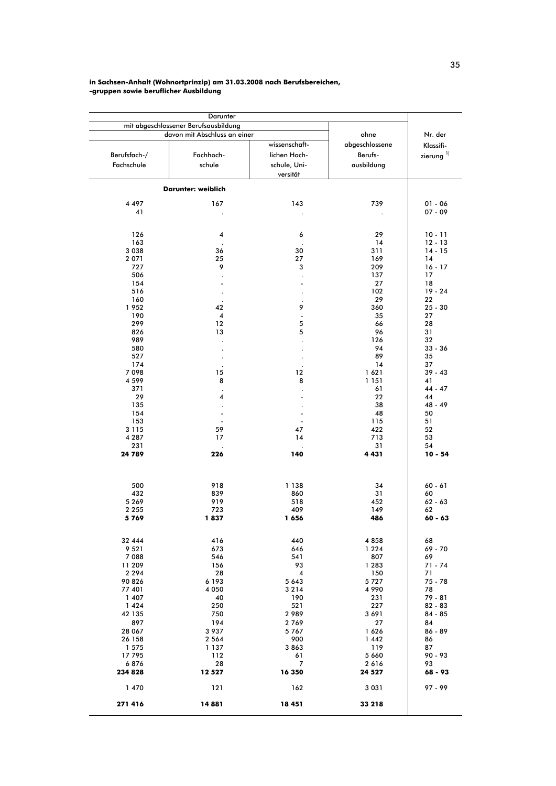#### in Sachsen-Anhalt (Wohnortprinzip) am 31.03.2008 nach Berufsbereichen, -gruppen sowie beruflicher Ausbildung

|                   | Darunter<br>mit abgeschlossener Berufsausbildung |                               |                 |                       |
|-------------------|--------------------------------------------------|-------------------------------|-----------------|-----------------------|
|                   | davon mit Abschluss an einer                     |                               | ohne            | Nr. der               |
|                   |                                                  | wissenschaft-                 |                 |                       |
|                   |                                                  |                               | abgeschlossene  | Klassifi-             |
| Berufsfach-/      | Fachhoch-                                        | lichen Hoch-                  | Berufs-         | zierung <sup>1)</sup> |
| Fachschule        | schule                                           | schule, Uni-                  | ausbildung      |                       |
|                   |                                                  | versität                      |                 |                       |
|                   | Darunter: weiblich                               |                               |                 |                       |
| 4 4 9 7           | 167                                              | 143                           | 739             | $01 - 06$             |
| 41                |                                                  |                               |                 | $07 - 09$             |
|                   |                                                  |                               |                 |                       |
| 126               | 4                                                | 6                             | 29              | $10 - 11$             |
| 163               |                                                  |                               | 14              | $12 - 13$             |
| 3 0 3 8           | 36                                               | 30                            | 311             | $14 - 15$             |
| 2 0 7 1           | 25                                               | 27                            | 169             | 14                    |
| 727               | 9                                                | 3                             | 209             | $16 - 17$             |
| 506               | $\ddot{\phantom{a}}$                             |                               | 137             | 17                    |
| 154               | ÷,                                               | $\overline{a}$                | 27              | 18                    |
| 516               |                                                  |                               | 102             | $19 - 24$             |
| 160               |                                                  |                               | 29              | 22                    |
| 1952              | 42                                               | 9                             | 360             | $25 - 30$             |
| 190               | 4                                                | $\overline{\phantom{a}}$      | 35              | 27                    |
| 299               | 12                                               | 5                             | 66              | 28<br>31              |
| 826<br>989        | 13                                               | 5                             | 96<br>126       | 32                    |
| 580               |                                                  |                               | 94              | $33 - 36$             |
| 527               |                                                  |                               | 89              | 35                    |
| 174               |                                                  |                               | 14              | 37                    |
| 7098              | 15                                               | 12                            | 1621            | $39 - 43$             |
| 4 5 9 9           | 8                                                | 8                             | 1 151           | 41                    |
| 371               |                                                  |                               | 61              | $44 - 47$             |
| 29                | 4                                                |                               | 22              | 44                    |
| 135               | $\ddot{\phantom{a}}$                             |                               | 38              | $48 - 49$             |
| 154<br>153        | $\blacksquare$                                   | $\blacksquare$                | 48<br>115       | 50<br>51              |
| 3 1 1 5           | 59                                               | 47                            | 422             | 52                    |
| 4 2 8 7           | 17                                               | 14                            | 713             | 53                    |
| 231               |                                                  |                               | 31              | 54                    |
| 24 789            | 226                                              | 140                           | 4431            | $10 - 54$             |
|                   |                                                  |                               |                 |                       |
| 500               | 918                                              | 1 1 3 8                       | 34              | $60 - 61$             |
| 432<br>5 2 6 9    | 839<br>919                                       | 860<br>518                    | 31<br>452       | 60<br>$62 - 63$       |
| 2 2 5 5           | 723                                              | 409                           | 149             | 62                    |
| 5769              | 1837                                             | 1656                          | 486             | $60 - 63$             |
|                   |                                                  |                               |                 |                       |
| 32 444            | 416                                              | 440                           | 4858            | 68                    |
| 9 5 2 1           | 673                                              | 646                           | 1 2 2 4         | 69 - 70               |
| 7088              | 546                                              | 541                           | 807             | 69                    |
| 11 209<br>2 2 9 4 | 156<br>28                                        | 93<br>$\overline{\mathbf{4}}$ | 1 2 8 3<br>150  | $71 - 74$<br>71       |
| 90 826            | 6 1 9 3                                          | 5 6 4 3                       | 5727            | 75 - 78               |
| 77 401            | 4 0 5 0                                          | 3214                          | 4 9 9 0         | 78                    |
| 1 4 0 7           | 40                                               | 190                           | 231             | $79 - 81$             |
| 1424              | 250                                              | 521                           | 227             | $82 - 83$             |
| 42 135            | 750                                              | 2989                          | 3691            | 84 - 85               |
| 897               | 194                                              | 2769                          | 27              | 84                    |
| 28 067            | 3 9 3 7                                          | 5767                          | 1626            | 86 - 89               |
| 26 158            | 2 5 6 4                                          | 900                           | 1 4 4 2         | 86                    |
| 1 575             | 1 137                                            | 3863                          | 119             | 87                    |
| 17795<br>6876     | 112<br>28                                        | 61<br>7                       | 5 6 6 0<br>2616 | 90 - 93<br>93         |
| 234 828           | 12 5 27                                          | 16 350                        | 24 5 27         | 68 - 93               |
| 1 470             | 121                                              | 162                           | 3 0 3 1         | $97 - 99$             |
| 271 416           | 14 881                                           | 18 451                        | 33 218          |                       |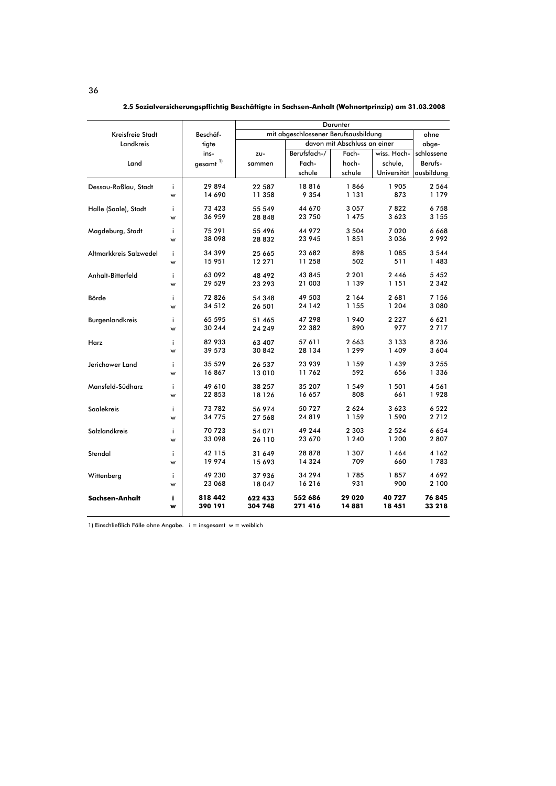|                        |    |                      |                                      |                              | Darunter |             |            |  |
|------------------------|----|----------------------|--------------------------------------|------------------------------|----------|-------------|------------|--|
| Kreisfreie Stadt       |    | Beschäf-             | mit abgeschlossener Berufsausbildung | ohne                         |          |             |            |  |
| Landkreis              |    | tigte                |                                      | davon mit Abschluss an einer |          |             | abge-      |  |
|                        |    | ins-                 | ZU-                                  | Berufsfach-/                 | Fach-    | wiss. Hoch- | schlossene |  |
| Land                   |    | gesamt <sup>1)</sup> | sammen                               | Fach-                        | hoch-    | schule,     | Berufs-    |  |
|                        |    |                      |                                      | schule                       | schule   | Universität | ausbildung |  |
| Dessau-Roßlau, Stadt   | j. | 29894                | 22 587                               | 18816                        | 1866     | 1 905       | 2 5 6 4    |  |
|                        | w  | 14 690               | 11 358                               | 9 3 5 4                      | 1 131    | 873         | 1 179      |  |
| Halle (Saale), Stadt   | i. | 73 423               | 55 549                               | 44 670                       | 3 0 5 7  | 7822        | 6758       |  |
|                        | w  | 36 959               | 28 848                               | 23 750                       | 1475     | 3623        | 3 1 5 5    |  |
| Magdeburg, Stadt       | i. | 75 291               | 55 496                               | 44 972                       | 3 5 0 4  | 7020        | 6668       |  |
|                        | w  | 38 098               | 28832                                | 23 945                       | 1851     | 3036        | 2 992      |  |
| Altmarkkreis Salzwedel | j. | 34 399               | 25 665                               | 23 682                       | 898      | 1 085       | 3 5 4 4    |  |
|                        | w  | 15 951               | 12 271                               | 11 258                       | 502      | 511         | 1483       |  |
| Anhalt-Bitterfeld      | i. | 63 092               | 48 492                               | 43 845                       | 2 2 0 1  | 2 4 4 6     | 5 4 5 2    |  |
|                        | w  | 29 529               | 23 293                               | 21 003                       | 1 139    | 1 151       | 2 3 4 2    |  |
| Börde                  | i  | 72 826               | 54 348                               | 49 503                       | 2 164    | 2681        | 7 1 5 6    |  |
|                        | w  | 34 512               | 26 501                               | 24 142                       | 1 1 5 5  | 1 2 0 4     | 3 0 8 0    |  |
| Burgenlandkreis        | j. | 65 595               | 51 465                               | 47 298                       | 1940     | 2 2 2 7     | 6621       |  |
|                        | w  | 30 244               | 24 249                               | 22 382                       | 890      | 977         | 2717       |  |
| Harz                   | j. | 82 933               | 63 407                               | 57 611                       | 2663     | 3 1 3 3     | 8 2 3 6    |  |
|                        | w  | 39 573               | 30 842                               | 28 134                       | 1299     | 1 409       | 3 604      |  |
| Jerichower Land        | ÷  | 35 529               | 26 537                               | 23 939                       | 1 159    | 1 4 3 9     | 3 2 5 5    |  |
|                        | w  | 16867                | 13 010                               | 11762                        | 592      | 656         | 1 3 3 6    |  |
| Mansfeld-Südharz       | j. | 49 610               | 38 257                               | 35 207                       | 1 549    | 1 501       | 4 5 6 1    |  |
|                        | w  | 22 853               | 18 126                               | 16 657                       | 808      | 661         | 1928       |  |
| <b>Saalekreis</b>      | j. | 73 782               | 56 974                               | 50727                        | 2624     | 3623        | 6 5 22     |  |
|                        | w  | 34 775               | 27 568                               | 24819                        | 1 159    | 1 590       | 2712       |  |
| Salzlandkreis          | i  | 70 723               | 54 071                               | 49 244                       | 2 303    | 2 5 2 4     | 6654       |  |
|                        | w  | 33 098               | 26 110                               | 23 670                       | 1 2 4 0  | 1 200       | 2807       |  |
| Stendal                | i. | 42 115               | 31 649                               | 28 878                       | 1 307    | 1 4 6 4     | 4 1 6 2    |  |
|                        | w  | 19 974               | 15 693                               | 14 3 24                      | 709      | 660         | 1783       |  |
| Wittenberg             | ÷  | 49 230               | 37 936                               | 34 294                       | 1785     | 1857        | 4 6 9 2    |  |
|                        | w  | 23 068               | 18 047                               | 16216                        | 931      | 900         | 2 100      |  |
| Sachsen-Anhalt         | i  | 818 442              | 622 433                              | 552 686                      | 29 020   | 40 727      | 76845      |  |
|                        | w  | 390 191              | 304 748                              | 271 416                      | 14881    | 18 451      | 33 218     |  |

2.5 Sozialversicherungspflichtig Beschäftigte in Sachsen-Anhalt (Wohnortprinzip) am 31.03.2008

1) Einschließlich Fälle ohne Angabe. i = insgesamt w = weiblich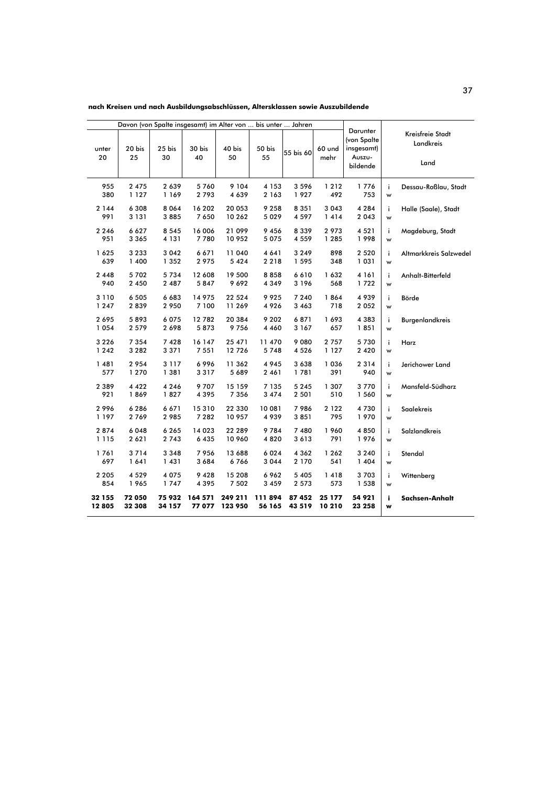nach Kreisen und nach Ausbildungsabschlüssen, Altersklassen sowie Auszubildende

| unter   | 20 bis  | 25 bis  | Davon (von Spalte insgesamt) im Alter von  bis unter  Jahren<br>30 bis | 40 bis  | 50 bis             |         | 60 und  | Darunter<br>(von Spalte<br>insgesamt) |    | Kreisfreie Stadt<br>Landkreis |
|---------|---------|---------|------------------------------------------------------------------------|---------|--------------------|---------|---------|---------------------------------------|----|-------------------------------|
| 20      | 25      | 30      | 55 bis 60<br>40<br>50<br>55<br>mehr                                    |         | Auszu-<br>bildende | Land    |         |                                       |    |                               |
| 955     | 2 4 7 5 | 2639    | 5760                                                                   | 9 1 0 4 | 4 1 5 3            | 3596    | 1212    | 1776                                  | i. | Dessau-Roßlau, Stadt          |
| 380     | 1 1 2 7 | 1 169   | 2793                                                                   | 4 6 3 9 | 2 1 6 3            | 1927    | 492     | 753                                   | w  |                               |
| 2 1 4 4 | 6 3 0 8 | 8064    | 16 202                                                                 | 20 053  | 9 2 5 8            | 8 3 5 1 | 3 0 4 3 | 4 2 8 4                               | i. | Halle (Saale), Stadt          |
| 991     | 3 1 3 1 | 3885    | 7 6 5 0                                                                | 10 262  | 5 0 2 9            | 4 5 9 7 | 1414    | 2 0 4 3                               | w  |                               |
| 2 2 4 6 | 6 6 2 7 | 8 5 4 5 | 16 006                                                                 | 21 099  | 9456               | 8 3 3 9 | 2973    | 4 5 2 1                               | i. | Magdeburg, Stadt              |
| 951     | 3 3 6 5 | 4 1 3 1 | 7780                                                                   | 10 952  | 5 0 7 5            | 4 5 5 9 | 1 2 8 5 | 1998                                  | w  |                               |
| 1625    | 3 2 3 3 | 3 0 4 2 | 6671                                                                   | 11 040  | 4 6 4 1            | 3 2 4 9 | 898     | 2 5 2 0                               | i. | Altmarkkreis Salzwedel        |
| 639     | 1 400   | 1 3 5 2 | 2 9 7 5                                                                | 5 4 2 4 | 2 2 1 8            | 1 5 9 5 | 348     | 1 0 3 1                               | w  |                               |
| 2448    | 5702    | 5734    | 12 608                                                                 | 19 500  | 8858               | 6610    | 1632    | 4 1 6 1                               | i. | Anhalt-Bitterfeld             |
| 940     | 2 4 5 0 | 2 4 8 7 | 5847                                                                   | 9692    | 4 3 4 9            | 3 1 9 6 | 568     | 1722                                  | w  |                               |
| 3 1 1 0 | 6 5 0 5 | 6683    | 14 975                                                                 | 22 5 24 | 9925               | 7 2 4 0 | 1864    | 4939                                  | i. | Börde                         |
| 1 2 4 7 | 2839    | 2 9 5 0 | 7 100                                                                  | 11 269  | 4926               | 3 4 6 3 | 718     | 2 0 5 2                               | w  |                               |
| 2695    | 5893    | 6075    | 12 782                                                                 | 20 384  | 9 2 0 2            | 6871    | 1693    | 4 3 8 3                               | i. | Burgenlandkreis               |
| 1 0 5 4 | 2 5 7 9 | 2698    | 5873                                                                   | 9756    | 4 4 6 0            | 3 1 6 7 | 657     | 1851                                  | w  |                               |
| 3 2 2 6 | 7 3 5 4 | 7428    | 16 147                                                                 | 25 471  | 11 470             | 9080    | 2 7 5 7 | 5730                                  | i. | Harz                          |
| 1 2 4 2 | 3 2 8 2 | 3371    | 7 5 5 1                                                                | 12726   | 5748               | 4 5 2 6 | 1 1 2 7 | 2 4 2 0                               | w  |                               |
| 1481    | 2954    | 3 1 1 7 | 6996                                                                   | 11 362  | 4945               | 3 6 3 8 | 1036    | 2 3 1 4                               | j. | Jerichower Land               |
| 577     | 1 270   | 1 381   | 3317                                                                   | 5 689   | 2 4 6 1            | 1781    | 391     | 940                                   | w  |                               |
| 2 3 8 9 | 4 4 2 2 | 4 2 4 6 | 9707                                                                   | 15 159  | 7 1 3 5            | 5 2 4 5 | 1 307   | 3770                                  | i. | Mansfeld-Südharz              |
| 921     | 1869    | 1827    | 4 3 9 5                                                                | 7 3 5 6 | 3 4 7 4            | 2 5 0 1 | 510     | 1 560                                 | w  |                               |
| 2996    | 6286    | 6671    | 15310                                                                  | 22 330  | 10 081             | 7986    | 2 1 2 2 | 4730                                  | i. | Saalekreis                    |
| 1 1 9 7 | 2769    | 2985    | 7 2 8 2                                                                | 10 957  | 4939               | 3851    | 795     | 1970                                  | w  |                               |
| 2874    | 6048    | 6265    | 14 023                                                                 | 22 289  | 9784               | 7 480   | 1960    | 4850                                  | i. | Salzlandkreis                 |
| 1 1 1 5 | 2 6 2 1 | 2743    | 6 4 3 5                                                                | 10 960  | 4820               | 3613    | 791     | 1976                                  | w  |                               |
| 1761    | 3714    | 3 3 4 8 | 7956                                                                   | 13 688  | 6024               | 4 3 6 2 | 1 2 6 2 | 3 2 4 0                               | i. | Stendal                       |
| 697     | 1641    | 1431    | 3 6 8 4                                                                | 6766    | 3044               | 2 1 7 0 | 541     | 1 4 0 4                               | w  |                               |
| 2 2 0 5 | 4 5 2 9 | 4075    | 9 4 2 8                                                                | 15 208  | 6962               | 5 4 0 5 | 1418    | 3703                                  | j. | Wittenberg                    |
| 854     | 1965    | 1747    | 4 3 9 5                                                                | 7 5 0 2 | 3 4 5 9            | 2 5 7 3 | 573     | 1 538                                 | w  |                               |
| 32 155  | 72 050  | 75932   | 164 571                                                                | 249 211 | 111894             | 87 452  | 25 177  | 54 921                                | j. | Sachsen-Anhalt                |
| 12805   | 32 308  | 34 157  | 77 077                                                                 | 123 950 | 56 165             | 43 519  | 10 210  | 23 258                                | w  |                               |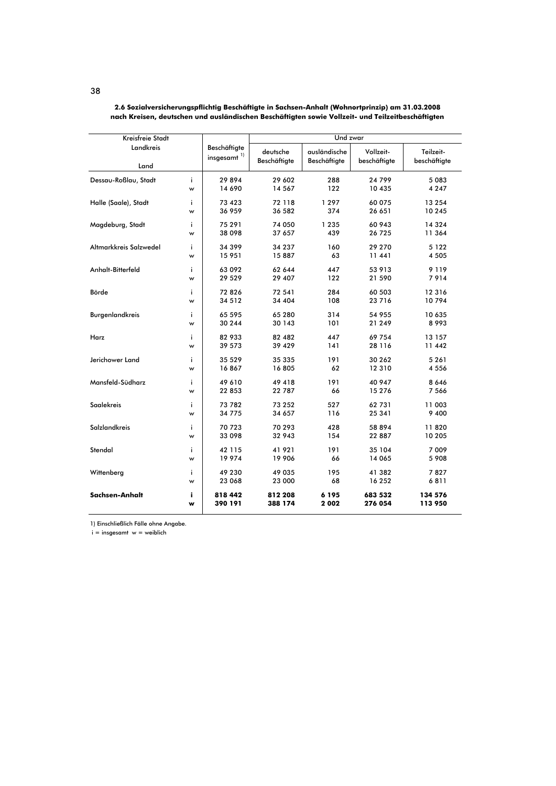| Kreisfreie Stadt       |         | Und zwar                                  |                          |                              |                           |                           |  |
|------------------------|---------|-------------------------------------------|--------------------------|------------------------------|---------------------------|---------------------------|--|
| Landkreis<br>Land      |         | Beschäftigte<br>$insgesamt$ <sup>1)</sup> | deutsche<br>Beschäftigte | ausländische<br>Beschäftigte | Vollzeit-<br>beschäftigte | Teilzeit-<br>beschäftigte |  |
|                        |         |                                           |                          |                              |                           |                           |  |
| Dessau-Roßlau, Stadt   | i.<br>w | 29894<br>14 690                           | 29 602<br>14 567         | 288<br>122                   | 24 799<br>10 435          | 5 083<br>4 2 4 7          |  |
| Halle (Saale), Stadt   | j.      | 73 423                                    | 72 118                   | 1 2 9 7                      | 60 075                    | 13 254                    |  |
|                        | w       | 36 959                                    | 36 582                   | 374                          | 26 651                    | 10 245                    |  |
| Magdeburg, Stadt       | i       | 75 291                                    | 74 050                   | 1 2 3 5                      | 60 943                    | 14 3 24                   |  |
|                        | w       | 38 098                                    | 37 657                   | 439                          | 26 725                    | 11 364                    |  |
| Altmarkkreis Salzwedel | ì       | 34 399                                    | 34 237                   | 160                          | 29 270                    | 5 1 2 2                   |  |
|                        | w       | 15 951                                    | 15887                    | 63                           | 11 441                    | 4 5 0 5                   |  |
| Anhalt-Bitterfeld      | i       | 63 092                                    | 62 644                   | 447                          | 53 913                    | 9 1 1 9                   |  |
|                        | w       | 29 529                                    | 29 407                   | 122                          | 21 590                    | 7914                      |  |
| Börde                  | i       | 72826                                     | 72 541                   | 284                          | 60 503                    | 12 3 16                   |  |
|                        | w       | 34 512                                    | 34 404                   | 108                          | 23 7 16                   | 10794                     |  |
| Burgenlandkreis        | j.      | 65 595                                    | 65 280                   | 314                          | 54 955                    | 10 635                    |  |
|                        | w       | 30 244                                    | 30 143                   | 101                          | 21 249                    | 8 9 9 3                   |  |
| Harz                   | j.      | 82 933                                    | 82 482                   | 447                          | 69 754                    | 13 157                    |  |
|                        | w       | 39 573                                    | 39 429                   | 141                          | 28 1 16                   | 11 442                    |  |
| Jerichower Land        | i       | 35 5 29                                   | 35 335                   | 191                          | 30 262                    | 5 2 6 1                   |  |
|                        | w       | 16867                                     | 16805                    | 62                           | 12 3 10                   | 4 5 5 6                   |  |
| Mansfeld-Südharz       | j.      | 49 610                                    | 49 418                   | 191                          | 40 947                    | 8646                      |  |
|                        | w       | 22 853                                    | 22 787                   | 66                           | 15 276                    | 7 5 6 6                   |  |
| <b>Saalekreis</b>      | j.      | 73 782                                    | 73 252                   | 527                          | 62 731                    | 11 003                    |  |
|                        | w       | 34 775                                    | 34 657                   | 116                          | 25 341                    | 9 4 0 0                   |  |
| <b>Salzlandkreis</b>   | i.      | 70 723                                    | 70 293                   | 428                          | 58 894                    | 11820                     |  |
|                        | w       | 33 098                                    | 32 943                   | 154                          | 22 887                    | 10 205                    |  |
| Stendal                | j.      | 42 115                                    | 41 921                   | 191                          | 35 104                    | 7 0 0 9                   |  |
|                        | w       | 19 974                                    | 19 906                   | 66                           | 14 065                    | 5 908                     |  |
| Wittenberg             | i       | 49 230                                    | 49 035                   | 195                          | 41 382                    | 7827                      |  |
|                        | w       | 23 068                                    | 23 000                   | 68                           | 16 252                    | 6811                      |  |
| Sachsen-Anhalt         | i       | 818 442                                   | 812 208                  | 6 1 9 5                      | 683 532                   | 134 576                   |  |
|                        | w       | 390 191                                   | 388 174                  | 2002                         | 276 054                   | 113 950                   |  |

2.6 Sozialversicherungspflichtig Beschäftigte in Sachsen-Anhalt (Wohnortprinzip) am 31.03.2008<br>nach Kreisen, deutschen und ausländischen Beschäftigten sowie Vollzeit- und Teilzeitbeschäftigten

1) Einschließlich Fälle ohne Angabe.

 $i =$  insgesamt  $w =$  weiblich

#### 38